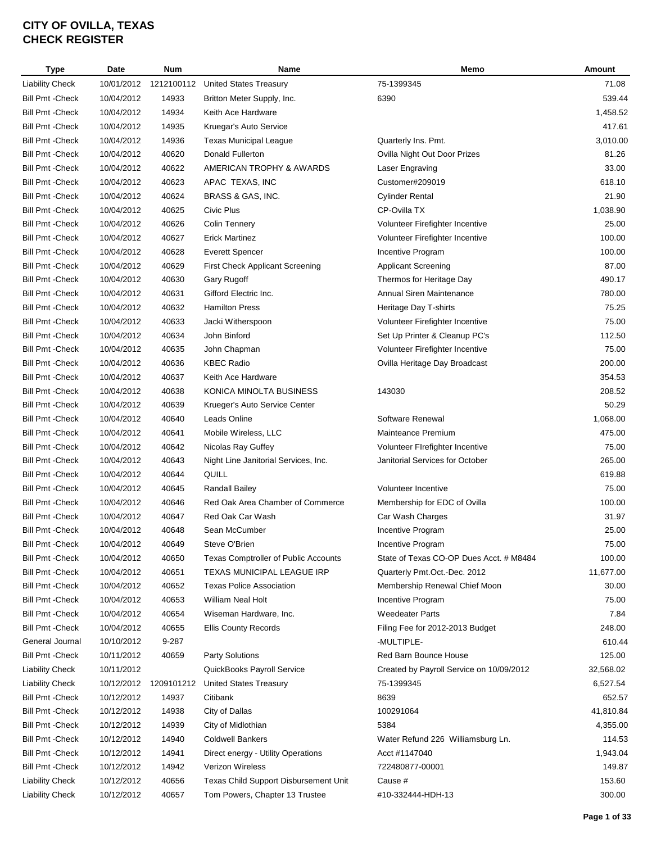| <b>Type</b>                                        | Date                     | Num        | Name                                          | Memo                                     | Amount    |
|----------------------------------------------------|--------------------------|------------|-----------------------------------------------|------------------------------------------|-----------|
| <b>Liability Check</b>                             | 10/01/2012               | 1212100112 | <b>United States Treasury</b>                 | 75-1399345                               | 71.08     |
| <b>Bill Pmt - Check</b>                            | 10/04/2012               | 14933      | Britton Meter Supply, Inc.                    | 6390                                     | 539.44    |
| <b>Bill Pmt - Check</b>                            | 10/04/2012               | 14934      | Keith Ace Hardware                            |                                          | 1,458.52  |
| <b>Bill Pmt - Check</b>                            | 10/04/2012               | 14935      | Kruegar's Auto Service                        |                                          | 417.61    |
| <b>Bill Pmt - Check</b>                            | 10/04/2012               | 14936      | <b>Texas Municipal League</b>                 | Quarterly Ins. Pmt.                      | 3,010.00  |
| <b>Bill Pmt - Check</b>                            | 10/04/2012               | 40620      | Donald Fullerton                              | Ovilla Night Out Door Prizes             | 81.26     |
| <b>Bill Pmt - Check</b>                            | 10/04/2012               | 40622      | AMERICAN TROPHY & AWARDS                      | Laser Engraving                          | 33.00     |
| <b>Bill Pmt - Check</b>                            | 10/04/2012               | 40623      | APAC TEXAS, INC                               | Customer#209019                          | 618.10    |
| <b>Bill Pmt - Check</b>                            | 10/04/2012               | 40624      | BRASS & GAS, INC.                             | <b>Cylinder Rental</b>                   | 21.90     |
| <b>Bill Pmt - Check</b>                            | 10/04/2012               | 40625      | Civic Plus                                    | CP-Ovilla TX                             | 1,038.90  |
| <b>Bill Pmt - Check</b>                            | 10/04/2012               | 40626      | <b>Colin Tennery</b>                          | Volunteer Firefighter Incentive          | 25.00     |
| <b>Bill Pmt - Check</b>                            | 10/04/2012               | 40627      | <b>Erick Martinez</b>                         | Volunteer Firefighter Incentive          | 100.00    |
| <b>Bill Pmt - Check</b>                            | 10/04/2012               | 40628      | <b>Everett Spencer</b>                        | Incentive Program                        | 100.00    |
| <b>Bill Pmt - Check</b>                            | 10/04/2012               | 40629      | First Check Applicant Screening               | <b>Applicant Screening</b>               | 87.00     |
| <b>Bill Pmt - Check</b>                            | 10/04/2012               | 40630      | Gary Rugoff                                   | Thermos for Heritage Day                 | 490.17    |
| <b>Bill Pmt - Check</b>                            | 10/04/2012               | 40631      | Gifford Electric Inc.                         | Annual Siren Maintenance                 | 780.00    |
| <b>Bill Pmt - Check</b>                            | 10/04/2012               | 40632      | <b>Hamilton Press</b>                         | Heritage Day T-shirts                    | 75.25     |
| <b>Bill Pmt - Check</b>                            | 10/04/2012               | 40633      | Jacki Witherspoon                             | Volunteer Firefighter Incentive          | 75.00     |
| <b>Bill Pmt - Check</b>                            | 10/04/2012               | 40634      | John Binford                                  | Set Up Printer & Cleanup PC's            | 112.50    |
| <b>Bill Pmt - Check</b>                            | 10/04/2012               | 40635      | John Chapman                                  | Volunteer Firefighter Incentive          | 75.00     |
| <b>Bill Pmt - Check</b>                            | 10/04/2012               | 40636      | <b>KBEC Radio</b>                             | Ovilla Heritage Day Broadcast            | 200.00    |
| <b>Bill Pmt - Check</b>                            | 10/04/2012               | 40637      | Keith Ace Hardware                            |                                          | 354.53    |
| <b>Bill Pmt - Check</b>                            | 10/04/2012               | 40638      | KONICA MINOLTA BUSINESS                       | 143030                                   | 208.52    |
| <b>Bill Pmt - Check</b>                            | 10/04/2012               | 40639      | Krueger's Auto Service Center                 |                                          | 50.29     |
| <b>Bill Pmt - Check</b>                            | 10/04/2012               | 40640      | Leads Online                                  | Software Renewal                         | 1,068.00  |
| <b>Bill Pmt - Check</b>                            | 10/04/2012               | 40641      | Mobile Wireless, LLC                          | Mainteance Premium                       | 475.00    |
|                                                    |                          | 40642      |                                               |                                          | 75.00     |
| <b>Bill Pmt - Check</b><br><b>Bill Pmt - Check</b> | 10/04/2012               |            | Nicolas Ray Guffey                            | Volunteer Firefighter Incentive          | 265.00    |
| <b>Bill Pmt - Check</b>                            | 10/04/2012<br>10/04/2012 | 40643      | Night Line Janitorial Services, Inc.<br>QUILL | Janitorial Services for October          | 619.88    |
| <b>Bill Pmt - Check</b>                            | 10/04/2012               | 40644      |                                               |                                          |           |
|                                                    |                          | 40645      | Randall Bailey                                | Volunteer Incentive                      | 75.00     |
| <b>Bill Pmt - Check</b>                            | 10/04/2012               | 40646      | Red Oak Area Chamber of Commerce              | Membership for EDC of Ovilla             | 100.00    |
| <b>Bill Pmt - Check</b>                            | 10/04/2012               | 40647      | Red Oak Car Wash                              | Car Wash Charges                         | 31.97     |
| <b>Bill Pmt - Check</b>                            | 10/04/2012               | 40648      | Sean McCumber                                 | Incentive Program                        | 25.00     |
| Bill Pmt -Check                                    | 10/04/2012               | 40649      | Steve O'Brien                                 | Incentive Program                        | 75.00     |
| <b>Bill Pmt - Check</b>                            | 10/04/2012               | 40650      | Texas Comptroller of Public Accounts          | State of Texas CO-OP Dues Acct. # M8484  | 100.00    |
| <b>Bill Pmt - Check</b>                            | 10/04/2012               | 40651      | TEXAS MUNICIPAL LEAGUE IRP                    | Quarterly Pmt.Oct.-Dec. 2012             | 11,677.00 |
| <b>Bill Pmt - Check</b>                            | 10/04/2012               | 40652      | <b>Texas Police Association</b>               | Membership Renewal Chief Moon            | 30.00     |
| <b>Bill Pmt - Check</b>                            | 10/04/2012               | 40653      | William Neal Holt                             | Incentive Program                        | 75.00     |
| <b>Bill Pmt - Check</b>                            | 10/04/2012               | 40654      | Wiseman Hardware, Inc.                        | <b>Weedeater Parts</b>                   | 7.84      |
| <b>Bill Pmt - Check</b>                            | 10/04/2012               | 40655      | <b>Ellis County Records</b>                   | Filing Fee for 2012-2013 Budget          | 248.00    |
| General Journal                                    | 10/10/2012               | 9-287      |                                               | -MULTIPLE-                               | 610.44    |
| <b>Bill Pmt - Check</b>                            | 10/11/2012               | 40659      | <b>Party Solutions</b>                        | Red Barn Bounce House                    | 125.00    |
| <b>Liability Check</b>                             | 10/11/2012               |            | QuickBooks Payroll Service                    | Created by Payroll Service on 10/09/2012 | 32,568.02 |
| <b>Liability Check</b>                             | 10/12/2012               | 1209101212 | <b>United States Treasury</b>                 | 75-1399345                               | 6,527.54  |
| <b>Bill Pmt - Check</b>                            | 10/12/2012               | 14937      | Citibank                                      | 8639                                     | 652.57    |
| <b>Bill Pmt - Check</b>                            | 10/12/2012               | 14938      | City of Dallas                                | 100291064                                | 41,810.84 |
| <b>Bill Pmt - Check</b>                            | 10/12/2012               | 14939      | City of Midlothian                            | 5384                                     | 4,355.00  |
| <b>Bill Pmt - Check</b>                            | 10/12/2012               | 14940      | <b>Coldwell Bankers</b>                       | Water Refund 226 Williamsburg Ln.        | 114.53    |
| <b>Bill Pmt - Check</b>                            | 10/12/2012               | 14941      | Direct energy - Utility Operations            | Acct #1147040                            | 1,943.04  |
| <b>Bill Pmt - Check</b>                            | 10/12/2012               | 14942      | Verizon Wireless                              | 722480877-00001                          | 149.87    |
| <b>Liability Check</b>                             | 10/12/2012               | 40656      | Texas Child Support Disbursement Unit         | Cause #                                  | 153.60    |
| <b>Liability Check</b>                             | 10/12/2012               | 40657      | Tom Powers, Chapter 13 Trustee                | #10-332444-HDH-13                        | 300.00    |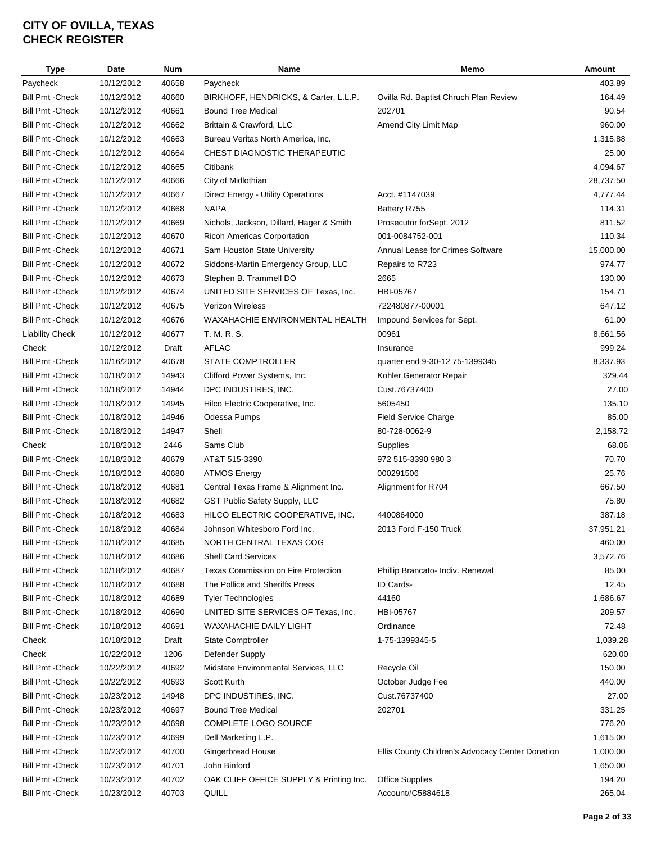| <b>Type</b>             | Date       | <b>Num</b> | Name                                     | Memo                                             | Amount    |
|-------------------------|------------|------------|------------------------------------------|--------------------------------------------------|-----------|
| Paycheck                | 10/12/2012 | 40658      | Paycheck                                 |                                                  | 403.89    |
| <b>Bill Pmt - Check</b> | 10/12/2012 | 40660      | BIRKHOFF, HENDRICKS, & Carter, L.L.P.    | Ovilla Rd. Baptist Chruch Plan Review            | 164.49    |
| <b>Bill Pmt - Check</b> | 10/12/2012 | 40661      | <b>Bound Tree Medical</b>                | 202701                                           | 90.54     |
| <b>Bill Pmt - Check</b> | 10/12/2012 | 40662      | Brittain & Crawford, LLC                 | Amend City Limit Map                             | 960.00    |
| <b>Bill Pmt - Check</b> | 10/12/2012 | 40663      | Bureau Veritas North America, Inc.       |                                                  | 1,315.88  |
| <b>Bill Pmt - Check</b> | 10/12/2012 | 40664      | CHEST DIAGNOSTIC THERAPEUTIC             |                                                  | 25.00     |
| <b>Bill Pmt - Check</b> | 10/12/2012 | 40665      | Citibank                                 |                                                  | 4,094.67  |
| <b>Bill Pmt - Check</b> | 10/12/2012 | 40666      | City of Midlothian                       |                                                  | 28,737.50 |
| <b>Bill Pmt - Check</b> | 10/12/2012 | 40667      | Direct Energy - Utility Operations       | Acct. #1147039                                   | 4,777.44  |
| <b>Bill Pmt - Check</b> | 10/12/2012 | 40668      | <b>NAPA</b>                              | Battery R755                                     | 114.31    |
| <b>Bill Pmt - Check</b> | 10/12/2012 | 40669      | Nichols, Jackson, Dillard, Hager & Smith | Prosecutor forSept. 2012                         | 811.52    |
| <b>Bill Pmt - Check</b> | 10/12/2012 | 40670      | <b>Ricoh Americas Corportation</b>       | 001-0084752-001                                  | 110.34    |
| <b>Bill Pmt - Check</b> | 10/12/2012 | 40671      | Sam Houston State University             | Annual Lease for Crimes Software                 | 15,000.00 |
| <b>Bill Pmt - Check</b> | 10/12/2012 | 40672      | Siddons-Martin Emergency Group, LLC      | Repairs to R723                                  | 974.77    |
| <b>Bill Pmt - Check</b> | 10/12/2012 | 40673      | Stephen B. Trammell DO                   | 2665                                             | 130.00    |
| <b>Bill Pmt - Check</b> | 10/12/2012 | 40674      | UNITED SITE SERVICES OF Texas, Inc.      | HBI-05767                                        | 154.71    |
| <b>Bill Pmt - Check</b> | 10/12/2012 | 40675      | <b>Verizon Wireless</b>                  | 722480877-00001                                  | 647.12    |
| <b>Bill Pmt - Check</b> | 10/12/2012 | 40676      | WAXAHACHIE ENVIRONMENTAL HEALTH          | Impound Services for Sept.                       | 61.00     |
| <b>Liability Check</b>  | 10/12/2012 | 40677      | T. M. R. S.                              | 00961                                            | 8,661.56  |
| Check                   | 10/12/2012 | Draft      | <b>AFLAC</b>                             | Insurance                                        | 999.24    |
| <b>Bill Pmt - Check</b> | 10/16/2012 | 40678      | <b>STATE COMPTROLLER</b>                 |                                                  | 8,337.93  |
| <b>Bill Pmt - Check</b> | 10/18/2012 | 14943      | Clifford Power Systems, Inc.             | quarter end 9-30-12 75-1399345                   | 329.44    |
|                         |            |            |                                          | Kohler Generator Repair                          | 27.00     |
| <b>Bill Pmt - Check</b> | 10/18/2012 | 14944      | DPC INDUSTIRES, INC.                     | Cust.76737400                                    |           |
| <b>Bill Pmt - Check</b> | 10/18/2012 | 14945      | Hilco Electric Cooperative, Inc.         | 5605450                                          | 135.10    |
| <b>Bill Pmt - Check</b> | 10/18/2012 | 14946      | Odessa Pumps                             | <b>Field Service Charge</b>                      | 85.00     |
| <b>Bill Pmt - Check</b> | 10/18/2012 | 14947      | Shell                                    | 80-728-0062-9                                    | 2,158.72  |
| Check                   | 10/18/2012 | 2446       | Sams Club                                | Supplies                                         | 68.06     |
| <b>Bill Pmt - Check</b> | 10/18/2012 | 40679      | AT&T 515-3390                            | 972 515-3390 980 3                               | 70.70     |
| <b>Bill Pmt - Check</b> | 10/18/2012 | 40680      | <b>ATMOS Energy</b>                      | 000291506                                        | 25.76     |
| <b>Bill Pmt - Check</b> | 10/18/2012 | 40681      | Central Texas Frame & Alignment Inc.     | Alignment for R704                               | 667.50    |
| <b>Bill Pmt - Check</b> | 10/18/2012 | 40682      | GST Public Safety Supply, LLC            |                                                  | 75.80     |
| <b>Bill Pmt - Check</b> | 10/18/2012 | 40683      | HILCO ELECTRIC COOPERATIVE, INC.         | 4400864000                                       | 387.18    |
| <b>Bill Pmt - Check</b> | 10/18/2012 | 40684      | Johnson Whitesboro Ford Inc.             | 2013 Ford F-150 Truck                            | 37,951.21 |
| <b>Bill Pmt - Check</b> | 10/18/2012 | 40685      | NORTH CENTRAL TEXAS COG                  |                                                  | 460.00    |
| Bill Pmt -Check         | 10/18/2012 | 40686      | <b>Shell Card Services</b>               |                                                  | 3,572.76  |
| <b>Bill Pmt - Check</b> | 10/18/2012 | 40687      | Texas Commission on Fire Protection      | Phillip Brancato- Indiv. Renewal                 | 85.00     |
| <b>Bill Pmt - Check</b> | 10/18/2012 | 40688      | The Pollice and Sheriffs Press           | ID Cards-                                        | 12.45     |
| <b>Bill Pmt - Check</b> | 10/18/2012 | 40689      | <b>Tyler Technologies</b>                | 44160                                            | 1,686.67  |
| <b>Bill Pmt - Check</b> | 10/18/2012 | 40690      | UNITED SITE SERVICES OF Texas, Inc.      | HBI-05767                                        | 209.57    |
| <b>Bill Pmt - Check</b> | 10/18/2012 | 40691      | <b>WAXAHACHIE DAILY LIGHT</b>            | Ordinance                                        | 72.48     |
| Check                   | 10/18/2012 | Draft      | <b>State Comptroller</b>                 | 1-75-1399345-5                                   | 1,039.28  |
| Check                   | 10/22/2012 | 1206       | Defender Supply                          |                                                  | 620.00    |
| <b>Bill Pmt - Check</b> | 10/22/2012 | 40692      | Midstate Environmental Services, LLC     | Recycle Oil                                      | 150.00    |
| <b>Bill Pmt - Check</b> | 10/22/2012 | 40693      | <b>Scott Kurth</b>                       | October Judge Fee                                | 440.00    |
| <b>Bill Pmt - Check</b> | 10/23/2012 | 14948      | DPC INDUSTIRES, INC.                     | Cust.76737400                                    | 27.00     |
| <b>Bill Pmt - Check</b> | 10/23/2012 | 40697      | <b>Bound Tree Medical</b>                | 202701                                           | 331.25    |
| <b>Bill Pmt - Check</b> | 10/23/2012 | 40698      | COMPLETE LOGO SOURCE                     |                                                  | 776.20    |
| <b>Bill Pmt - Check</b> | 10/23/2012 | 40699      | Dell Marketing L.P.                      |                                                  | 1,615.00  |
| <b>Bill Pmt - Check</b> | 10/23/2012 | 40700      | Gingerbread House                        | Ellis County Children's Advocacy Center Donation | 1,000.00  |
| Bill Pmt -Check         | 10/23/2012 | 40701      | John Binford                             |                                                  | 1,650.00  |
| <b>Bill Pmt - Check</b> | 10/23/2012 | 40702      | OAK CLIFF OFFICE SUPPLY & Printing Inc.  | <b>Office Supplies</b>                           | 194.20    |
| <b>Bill Pmt - Check</b> | 10/23/2012 | 40703      | QUILL                                    | Account#C5884618                                 | 265.04    |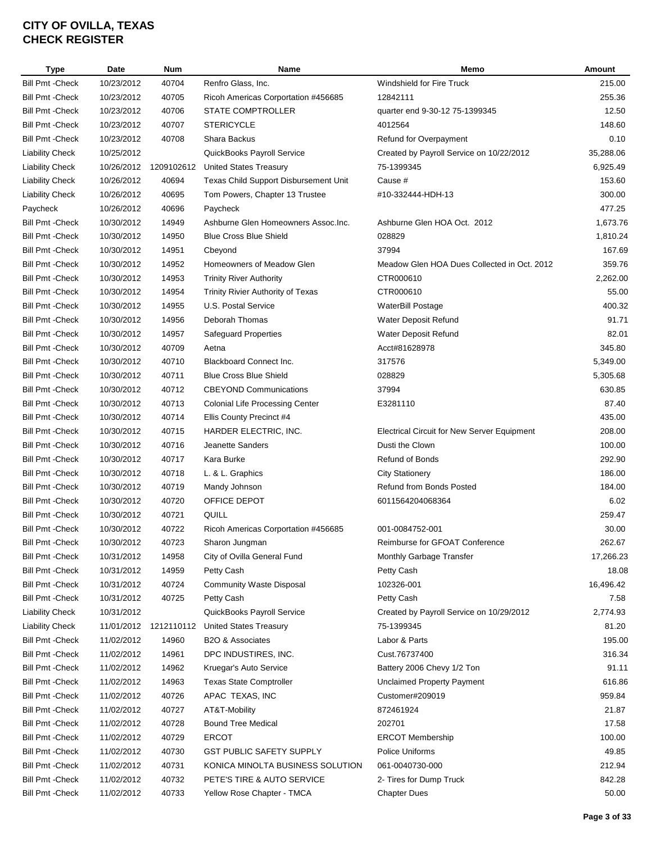| Type                    | Date       | <b>Num</b> | Name                                   | Memo                                        | Amount    |
|-------------------------|------------|------------|----------------------------------------|---------------------------------------------|-----------|
| <b>Bill Pmt - Check</b> | 10/23/2012 | 40704      | Renfro Glass, Inc.                     | Windshield for Fire Truck                   | 215.00    |
| <b>Bill Pmt - Check</b> | 10/23/2012 | 40705      | Ricoh Americas Corportation #456685    | 12842111                                    | 255.36    |
| <b>Bill Pmt - Check</b> | 10/23/2012 | 40706      | STATE COMPTROLLER                      | quarter end 9-30-12 75-1399345              | 12.50     |
| <b>Bill Pmt - Check</b> | 10/23/2012 | 40707      | <b>STERICYCLE</b>                      | 4012564                                     | 148.60    |
| <b>Bill Pmt - Check</b> | 10/23/2012 | 40708      | Shara Backus                           | Refund for Overpayment                      | 0.10      |
| <b>Liability Check</b>  | 10/25/2012 |            | QuickBooks Payroll Service             | Created by Payroll Service on 10/22/2012    | 35,288.06 |
| <b>Liability Check</b>  | 10/26/2012 |            | 1209102612 United States Treasury      | 75-1399345                                  | 6,925.49  |
| <b>Liability Check</b>  | 10/26/2012 | 40694      | Texas Child Support Disbursement Unit  | Cause #                                     | 153.60    |
| <b>Liability Check</b>  | 10/26/2012 | 40695      | Tom Powers, Chapter 13 Trustee         | #10-332444-HDH-13                           | 300.00    |
| Paycheck                | 10/26/2012 | 40696      | Paycheck                               |                                             | 477.25    |
| <b>Bill Pmt - Check</b> | 10/30/2012 | 14949      | Ashburne Glen Homeowners Assoc. Inc.   | Ashburne Glen HOA Oct. 2012                 | 1,673.76  |
| <b>Bill Pmt - Check</b> | 10/30/2012 | 14950      | <b>Blue Cross Blue Shield</b>          | 028829                                      | 1,810.24  |
| <b>Bill Pmt - Check</b> | 10/30/2012 | 14951      | Cbeyond                                | 37994                                       | 167.69    |
| <b>Bill Pmt - Check</b> | 10/30/2012 | 14952      | Homeowners of Meadow Glen              | Meadow Glen HOA Dues Collected in Oct. 2012 | 359.76    |
| <b>Bill Pmt - Check</b> | 10/30/2012 | 14953      | <b>Trinity River Authority</b>         | CTR000610                                   | 2,262.00  |
| <b>Bill Pmt - Check</b> | 10/30/2012 | 14954      | Trinity Rivier Authority of Texas      | CTR000610                                   | 55.00     |
| <b>Bill Pmt - Check</b> | 10/30/2012 | 14955      | U.S. Postal Service                    | WaterBill Postage                           | 400.32    |
| <b>Bill Pmt - Check</b> | 10/30/2012 | 14956      | Deborah Thomas                         | Water Deposit Refund                        | 91.71     |
| <b>Bill Pmt - Check</b> | 10/30/2012 | 14957      | <b>Safeguard Properties</b>            | Water Deposit Refund                        | 82.01     |
| <b>Bill Pmt - Check</b> | 10/30/2012 | 40709      | Aetna                                  | Acct#81628978                               | 345.80    |
| <b>Bill Pmt - Check</b> | 10/30/2012 | 40710      | Blackboard Connect Inc.                | 317576                                      | 5,349.00  |
| <b>Bill Pmt - Check</b> | 10/30/2012 | 40711      | <b>Blue Cross Blue Shield</b>          | 028829                                      | 5,305.68  |
| <b>Bill Pmt - Check</b> | 10/30/2012 | 40712      | <b>CBEYOND Communications</b>          | 37994                                       | 630.85    |
| <b>Bill Pmt - Check</b> | 10/30/2012 | 40713      | <b>Colonial Life Processing Center</b> | E3281110                                    | 87.40     |
| <b>Bill Pmt - Check</b> | 10/30/2012 | 40714      | Ellis County Precinct #4               |                                             | 435.00    |
| <b>Bill Pmt - Check</b> | 10/30/2012 | 40715      | HARDER ELECTRIC, INC.                  | Electrical Circuit for New Server Equipment | 208.00    |
| <b>Bill Pmt - Check</b> | 10/30/2012 | 40716      | Jeanette Sanders                       | Dusti the Clown                             | 100.00    |
| <b>Bill Pmt - Check</b> | 10/30/2012 | 40717      | Kara Burke                             | <b>Refund of Bonds</b>                      | 292.90    |
| <b>Bill Pmt - Check</b> | 10/30/2012 | 40718      | L. & L. Graphics                       | <b>City Stationery</b>                      | 186.00    |
| <b>Bill Pmt - Check</b> | 10/30/2012 | 40719      | Mandy Johnson                          | <b>Refund from Bonds Posted</b>             | 184.00    |
| <b>Bill Pmt - Check</b> | 10/30/2012 | 40720      | OFFICE DEPOT                           | 6011564204068364                            | 6.02      |
| <b>Bill Pmt - Check</b> | 10/30/2012 | 40721      | QUILL                                  |                                             | 259.47    |
| <b>Bill Pmt - Check</b> | 10/30/2012 | 40722      | Ricoh Americas Corportation #456685    | 001-0084752-001                             | 30.00     |
| <b>Bill Pmt - Check</b> | 10/30/2012 | 40723      | Sharon Jungman                         | Reimburse for GFOAT Conference              | 262.67    |
| Bill Pmt -Check         | 10/31/2012 | 14958      | City of Ovilla General Fund            | Monthly Garbage Transfer                    | 17,266.23 |
| <b>Bill Pmt - Check</b> | 10/31/2012 | 14959      | Petty Cash                             | Petty Cash                                  | 18.08     |
| <b>Bill Pmt - Check</b> | 10/31/2012 | 40724      | <b>Community Waste Disposal</b>        | 102326-001                                  | 16,496.42 |
| <b>Bill Pmt - Check</b> | 10/31/2012 | 40725      | Petty Cash                             | Petty Cash                                  | 7.58      |
| <b>Liability Check</b>  | 10/31/2012 |            | QuickBooks Payroll Service             | Created by Payroll Service on 10/29/2012    | 2,774.93  |
| <b>Liability Check</b>  | 11/01/2012 | 1212110112 | <b>United States Treasury</b>          | 75-1399345                                  | 81.20     |
| <b>Bill Pmt - Check</b> | 11/02/2012 | 14960      | B2O & Associates                       | Labor & Parts                               | 195.00    |
| <b>Bill Pmt - Check</b> | 11/02/2012 | 14961      | DPC INDUSTIRES, INC.                   | Cust.76737400                               | 316.34    |
| <b>Bill Pmt - Check</b> | 11/02/2012 | 14962      | Kruegar's Auto Service                 | Battery 2006 Chevy 1/2 Ton                  | 91.11     |
| <b>Bill Pmt - Check</b> | 11/02/2012 | 14963      | <b>Texas State Comptroller</b>         | <b>Unclaimed Property Payment</b>           | 616.86    |
| <b>Bill Pmt - Check</b> | 11/02/2012 | 40726      | APAC TEXAS, INC                        | Customer#209019                             | 959.84    |
| <b>Bill Pmt - Check</b> | 11/02/2012 | 40727      | AT&T-Mobility                          | 872461924                                   | 21.87     |
| <b>Bill Pmt - Check</b> | 11/02/2012 | 40728      | <b>Bound Tree Medical</b>              | 202701                                      | 17.58     |
| <b>Bill Pmt - Check</b> | 11/02/2012 | 40729      | <b>ERCOT</b>                           | <b>ERCOT Membership</b>                     | 100.00    |
| <b>Bill Pmt - Check</b> | 11/02/2012 | 40730      | <b>GST PUBLIC SAFETY SUPPLY</b>        | Police Uniforms                             | 49.85     |
| <b>Bill Pmt - Check</b> | 11/02/2012 | 40731      | KONICA MINOLTA BUSINESS SOLUTION       | 061-0040730-000                             | 212.94    |
| <b>Bill Pmt - Check</b> | 11/02/2012 | 40732      | PETE'S TIRE & AUTO SERVICE             | 2- Tires for Dump Truck                     | 842.28    |
| <b>Bill Pmt - Check</b> | 11/02/2012 | 40733      | Yellow Rose Chapter - TMCA             | <b>Chapter Dues</b>                         | 50.00     |
|                         |            |            |                                        |                                             |           |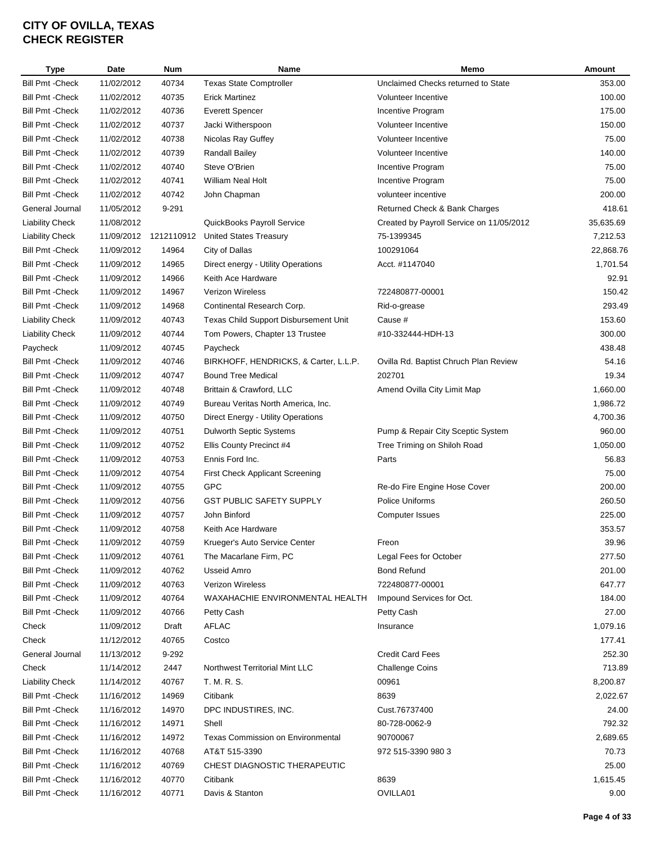| <b>Type</b>             | <b>Date</b> | <b>Num</b> | Name                                     | Memo                                     | Amount    |
|-------------------------|-------------|------------|------------------------------------------|------------------------------------------|-----------|
| <b>Bill Pmt - Check</b> | 11/02/2012  | 40734      | <b>Texas State Comptroller</b>           | Unclaimed Checks returned to State       | 353.00    |
| <b>Bill Pmt - Check</b> | 11/02/2012  | 40735      | <b>Erick Martinez</b>                    | Volunteer Incentive                      | 100.00    |
| <b>Bill Pmt - Check</b> | 11/02/2012  | 40736      | <b>Everett Spencer</b>                   | Incentive Program                        | 175.00    |
| <b>Bill Pmt - Check</b> | 11/02/2012  | 40737      | Jacki Witherspoon                        | Volunteer Incentive                      | 150.00    |
| <b>Bill Pmt - Check</b> | 11/02/2012  | 40738      | Nicolas Ray Guffey                       | Volunteer Incentive                      | 75.00     |
| <b>Bill Pmt - Check</b> | 11/02/2012  | 40739      | Randall Bailey                           | Volunteer Incentive                      | 140.00    |
| <b>Bill Pmt - Check</b> | 11/02/2012  | 40740      | Steve O'Brien                            | Incentive Program                        | 75.00     |
| <b>Bill Pmt - Check</b> | 11/02/2012  | 40741      | William Neal Holt                        | Incentive Program                        | 75.00     |
| <b>Bill Pmt - Check</b> | 11/02/2012  | 40742      | John Chapman                             | volunteer incentive                      | 200.00    |
| General Journal         | 11/05/2012  | 9-291      |                                          | Returned Check & Bank Charges            | 418.61    |
| <b>Liability Check</b>  | 11/08/2012  |            | QuickBooks Payroll Service               | Created by Payroll Service on 11/05/2012 | 35,635.69 |
| <b>Liability Check</b>  | 11/09/2012  | 1212110912 | <b>United States Treasury</b>            | 75-1399345                               | 7,212.53  |
| <b>Bill Pmt - Check</b> | 11/09/2012  | 14964      | City of Dallas                           | 100291064                                | 22,868.76 |
| <b>Bill Pmt - Check</b> | 11/09/2012  | 14965      | Direct energy - Utility Operations       | Acct. #1147040                           | 1,701.54  |
| <b>Bill Pmt - Check</b> | 11/09/2012  | 14966      | Keith Ace Hardware                       |                                          | 92.91     |
| <b>Bill Pmt - Check</b> | 11/09/2012  | 14967      | Verizon Wireless                         | 722480877-00001                          | 150.42    |
| <b>Bill Pmt - Check</b> | 11/09/2012  | 14968      | Continental Research Corp.               | Rid-o-grease                             | 293.49    |
| <b>Liability Check</b>  | 11/09/2012  | 40743      | Texas Child Support Disbursement Unit    | Cause #                                  | 153.60    |
| <b>Liability Check</b>  | 11/09/2012  | 40744      | Tom Powers, Chapter 13 Trustee           | #10-332444-HDH-13                        | 300.00    |
| Paycheck                | 11/09/2012  | 40745      | Paycheck                                 |                                          | 438.48    |
| <b>Bill Pmt - Check</b> | 11/09/2012  | 40746      | BIRKHOFF, HENDRICKS, & Carter, L.L.P.    | Ovilla Rd. Baptist Chruch Plan Review    | 54.16     |
| <b>Bill Pmt - Check</b> | 11/09/2012  | 40747      | <b>Bound Tree Medical</b>                | 202701                                   | 19.34     |
| <b>Bill Pmt - Check</b> | 11/09/2012  | 40748      | Brittain & Crawford, LLC                 | Amend Ovilla City Limit Map              | 1,660.00  |
| <b>Bill Pmt - Check</b> | 11/09/2012  | 40749      | Bureau Veritas North America, Inc.       |                                          | 1,986.72  |
| <b>Bill Pmt - Check</b> | 11/09/2012  | 40750      | Direct Energy - Utility Operations       |                                          | 4,700.36  |
| <b>Bill Pmt - Check</b> | 11/09/2012  | 40751      | Dulworth Septic Systems                  | Pump & Repair City Sceptic System        | 960.00    |
| <b>Bill Pmt - Check</b> | 11/09/2012  | 40752      | Ellis County Precinct #4                 | Tree Triming on Shiloh Road              | 1,050.00  |
| <b>Bill Pmt - Check</b> | 11/09/2012  | 40753      | Ennis Ford Inc.                          | Parts                                    | 56.83     |
| <b>Bill Pmt - Check</b> | 11/09/2012  | 40754      | <b>First Check Applicant Screening</b>   |                                          | 75.00     |
| <b>Bill Pmt - Check</b> | 11/09/2012  | 40755      | <b>GPC</b>                               | Re-do Fire Engine Hose Cover             | 200.00    |
| <b>Bill Pmt - Check</b> | 11/09/2012  | 40756      | <b>GST PUBLIC SAFETY SUPPLY</b>          | Police Uniforms                          | 260.50    |
| <b>Bill Pmt - Check</b> | 11/09/2012  | 40757      | John Binford                             | <b>Computer Issues</b>                   | 225.00    |
| <b>Bill Pmt - Check</b> | 11/09/2012  | 40758      | Keith Ace Hardware                       |                                          | 353.57    |
|                         | 11/09/2012  | 40759      |                                          |                                          |           |
| <b>Bill Pmt - Check</b> |             |            | Krueger's Auto Service Center            | Freon                                    | 39.96     |
| <b>Bill Pmt - Check</b> | 11/09/2012  | 40761      | The Macarlane Firm, PC                   | Legal Fees for October                   | 277.50    |
| <b>Bill Pmt - Check</b> | 11/09/2012  | 40762      | Usseid Amro                              | <b>Bond Refund</b>                       | 201.00    |
| <b>Bill Pmt - Check</b> | 11/09/2012  | 40763      | <b>Verizon Wireless</b>                  | 722480877-00001                          | 647.77    |
| <b>Bill Pmt - Check</b> | 11/09/2012  | 40764      | WAXAHACHIE ENVIRONMENTAL HEALTH          | Impound Services for Oct.                | 184.00    |
| <b>Bill Pmt - Check</b> | 11/09/2012  | 40766      | Petty Cash                               | Petty Cash                               | 27.00     |
| Check                   | 11/09/2012  | Draft      | AFLAC                                    | Insurance                                | 1,079.16  |
| Check                   | 11/12/2012  | 40765      | Costco                                   |                                          | 177.41    |
| General Journal         | 11/13/2012  | 9-292      |                                          | <b>Credit Card Fees</b>                  | 252.30    |
| Check                   | 11/14/2012  | 2447       | Northwest Territorial Mint LLC           | <b>Challenge Coins</b>                   | 713.89    |
| <b>Liability Check</b>  | 11/14/2012  | 40767      | T. M. R. S.                              | 00961                                    | 8,200.87  |
| <b>Bill Pmt - Check</b> | 11/16/2012  | 14969      | Citibank                                 | 8639                                     | 2,022.67  |
| <b>Bill Pmt - Check</b> | 11/16/2012  | 14970      | DPC INDUSTIRES, INC.                     | Cust.76737400                            | 24.00     |
| <b>Bill Pmt - Check</b> | 11/16/2012  | 14971      | Shell                                    | 80-728-0062-9                            | 792.32    |
| Bill Pmt - Check        | 11/16/2012  | 14972      | <b>Texas Commission on Environmental</b> | 90700067                                 | 2,689.65  |
| Bill Pmt - Check        | 11/16/2012  | 40768      | AT&T 515-3390                            | 972 515-3390 980 3                       | 70.73     |
| Bill Pmt - Check        | 11/16/2012  | 40769      | CHEST DIAGNOSTIC THERAPEUTIC             |                                          | 25.00     |
| <b>Bill Pmt - Check</b> | 11/16/2012  | 40770      | Citibank                                 | 8639                                     | 1,615.45  |
| <b>Bill Pmt - Check</b> | 11/16/2012  | 40771      | Davis & Stanton                          | OVILLA01                                 | 9.00      |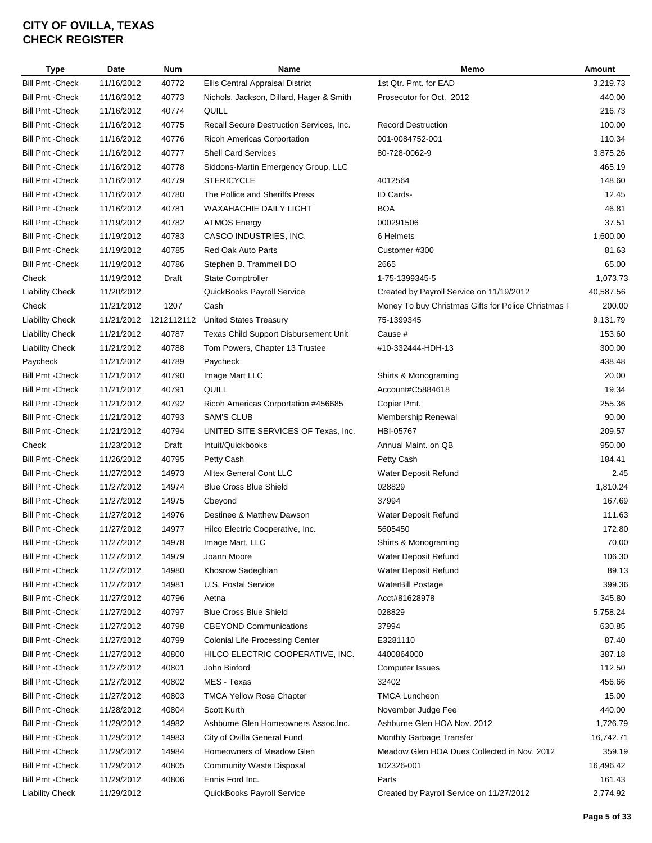| <b>Type</b>                      | Date                     | <b>Num</b>     | Name                                                            | Memo                                                | Amount    |
|----------------------------------|--------------------------|----------------|-----------------------------------------------------------------|-----------------------------------------------------|-----------|
| <b>Bill Pmt - Check</b>          | 11/16/2012               | 40772          | Ellis Central Appraisal District                                | 1st Qtr. Pmt. for EAD                               | 3,219.73  |
| <b>Bill Pmt - Check</b>          | 11/16/2012               | 40773          | Nichols, Jackson, Dillard, Hager & Smith                        | Prosecutor for Oct. 2012                            | 440.00    |
| <b>Bill Pmt - Check</b>          | 11/16/2012               | 40774          | QUILL                                                           |                                                     | 216.73    |
| <b>Bill Pmt - Check</b>          | 11/16/2012               | 40775          | Recall Secure Destruction Services, Inc.                        | <b>Record Destruction</b>                           | 100.00    |
| <b>Bill Pmt - Check</b>          | 11/16/2012               | 40776          | Ricoh Americas Corportation                                     | 001-0084752-001                                     | 110.34    |
| <b>Bill Pmt - Check</b>          | 11/16/2012               | 40777          | <b>Shell Card Services</b>                                      | 80-728-0062-9                                       | 3,875.26  |
| <b>Bill Pmt - Check</b>          | 11/16/2012               | 40778          | Siddons-Martin Emergency Group, LLC                             |                                                     | 465.19    |
| <b>Bill Pmt - Check</b>          | 11/16/2012               | 40779          | <b>STERICYCLE</b>                                               | 4012564                                             | 148.60    |
| <b>Bill Pmt - Check</b>          | 11/16/2012               | 40780          | The Pollice and Sheriffs Press                                  | ID Cards-                                           | 12.45     |
| <b>Bill Pmt - Check</b>          | 11/16/2012               | 40781          | <b>WAXAHACHIE DAILY LIGHT</b>                                   | <b>BOA</b>                                          | 46.81     |
| <b>Bill Pmt - Check</b>          | 11/19/2012               | 40782          | <b>ATMOS Energy</b>                                             | 000291506                                           | 37.51     |
| <b>Bill Pmt - Check</b>          | 11/19/2012               | 40783          | CASCO INDUSTRIES, INC.                                          | 6 Helmets                                           | 1,600.00  |
| <b>Bill Pmt - Check</b>          | 11/19/2012               | 40785          | Red Oak Auto Parts                                              | Customer #300                                       | 81.63     |
| Bill Pmt -Check                  | 11/19/2012               | 40786          | Stephen B. Trammell DO                                          | 2665                                                | 65.00     |
| Check                            | 11/19/2012               | Draft          | <b>State Comptroller</b>                                        | 1-75-1399345-5                                      | 1,073.73  |
| <b>Liability Check</b>           | 11/20/2012               |                | QuickBooks Payroll Service                                      | Created by Payroll Service on 11/19/2012            | 40,587.56 |
| Check                            | 11/21/2012               | 1207           | Cash                                                            | Money To buy Christmas Gifts for Police Christmas F | 200.00    |
| <b>Liability Check</b>           | 11/21/2012               | 1212112112     | <b>United States Treasury</b>                                   | 75-1399345                                          | 9,131.79  |
| <b>Liability Check</b>           | 11/21/2012               | 40787          | Texas Child Support Disbursement Unit                           | Cause #                                             | 153.60    |
| <b>Liability Check</b>           | 11/21/2012               | 40788          | Tom Powers, Chapter 13 Trustee                                  | #10-332444-HDH-13                                   | 300.00    |
| Paycheck                         | 11/21/2012               | 40789          | Paycheck                                                        |                                                     | 438.48    |
| <b>Bill Pmt - Check</b>          | 11/21/2012               | 40790          | Image Mart LLC                                                  | Shirts & Monograming                                | 20.00     |
| <b>Bill Pmt - Check</b>          | 11/21/2012               | 40791          | QUILL                                                           | Account#C5884618                                    | 19.34     |
| <b>Bill Pmt - Check</b>          | 11/21/2012               | 40792          | Ricoh Americas Corportation #456685                             | Copier Pmt.                                         | 255.36    |
| <b>Bill Pmt - Check</b>          | 11/21/2012               | 40793          | <b>SAM'S CLUB</b>                                               | Membership Renewal                                  | 90.00     |
| <b>Bill Pmt - Check</b>          | 11/21/2012               | 40794          | UNITED SITE SERVICES OF Texas, Inc.                             | HBI-05767                                           | 209.57    |
|                                  |                          |                |                                                                 | Annual Maint. on QB                                 | 950.00    |
| Check<br><b>Bill Pmt - Check</b> | 11/23/2012<br>11/26/2012 | Draft<br>40795 | Intuit/Quickbooks                                               |                                                     | 184.41    |
|                                  |                          |                | Petty Cash                                                      | Petty Cash                                          |           |
| <b>Bill Pmt - Check</b>          | 11/27/2012<br>11/27/2012 | 14973<br>14974 | <b>Alltex General Cont LLC</b><br><b>Blue Cross Blue Shield</b> | Water Deposit Refund                                | 2.45      |
| <b>Bill Pmt - Check</b>          |                          |                |                                                                 | 028829                                              | 1,810.24  |
| <b>Bill Pmt - Check</b>          | 11/27/2012               | 14975          | Cbeyond                                                         | 37994                                               | 167.69    |
| <b>Bill Pmt - Check</b>          | 11/27/2012               | 14976          | Destinee & Matthew Dawson                                       | Water Deposit Refund                                | 111.63    |
| <b>Bill Pmt - Check</b>          | 11/27/2012               | 14977          | Hilco Electric Cooperative, Inc.                                | 5605450                                             | 172.80    |
| <b>Bill Pmt - Check</b>          | 11/27/2012               | 14978          | Image Mart, LLC                                                 | Shirts & Monograming                                | 70.00     |
| <b>Bill Pmt - Check</b>          | 11/27/2012               | 14979          | Joann Moore                                                     | Water Deposit Refund                                | 106.30    |
| <b>Bill Pmt - Check</b>          | 11/27/2012               | 14980          | Khosrow Sadeghian                                               | Water Deposit Refund                                | 89.13     |
| <b>Bill Pmt - Check</b>          | 11/27/2012               | 14981          | U.S. Postal Service                                             | <b>WaterBill Postage</b>                            | 399.36    |
| <b>Bill Pmt - Check</b>          | 11/27/2012               | 40796          | Aetna                                                           | Acct#81628978                                       | 345.80    |
| <b>Bill Pmt - Check</b>          | 11/27/2012               | 40797          | <b>Blue Cross Blue Shield</b>                                   | 028829                                              | 5,758.24  |
| Bill Pmt -Check                  | 11/27/2012               | 40798          | <b>CBEYOND Communications</b>                                   | 37994                                               | 630.85    |
| <b>Bill Pmt - Check</b>          | 11/27/2012               | 40799          | <b>Colonial Life Processing Center</b>                          | E3281110                                            | 87.40     |
| <b>Bill Pmt - Check</b>          | 11/27/2012               | 40800          | HILCO ELECTRIC COOPERATIVE, INC.                                | 4400864000                                          | 387.18    |
| Bill Pmt - Check                 | 11/27/2012               | 40801          | John Binford                                                    | <b>Computer Issues</b>                              | 112.50    |
| Bill Pmt - Check                 | 11/27/2012               | 40802          | MES - Texas                                                     | 32402                                               | 456.66    |
| Bill Pmt - Check                 | 11/27/2012               | 40803          | <b>TMCA Yellow Rose Chapter</b>                                 | <b>TMCA Luncheon</b>                                | 15.00     |
| Bill Pmt - Check                 | 11/28/2012               | 40804          | <b>Scott Kurth</b>                                              | November Judge Fee                                  | 440.00    |
| <b>Bill Pmt - Check</b>          | 11/29/2012               | 14982          | Ashburne Glen Homeowners Assoc. Inc.                            | Ashburne Glen HOA Nov. 2012                         | 1,726.79  |
| <b>Bill Pmt - Check</b>          | 11/29/2012               | 14983          | City of Ovilla General Fund                                     | Monthly Garbage Transfer                            | 16,742.71 |
| Bill Pmt - Check                 | 11/29/2012               | 14984          | Homeowners of Meadow Glen                                       | Meadow Glen HOA Dues Collected in Nov. 2012         | 359.19    |
| Bill Pmt - Check                 | 11/29/2012               | 40805          | <b>Community Waste Disposal</b>                                 | 102326-001                                          | 16,496.42 |
| Bill Pmt - Check                 | 11/29/2012               | 40806          | Ennis Ford Inc.                                                 | Parts                                               | 161.43    |
| <b>Liability Check</b>           | 11/29/2012               |                | QuickBooks Payroll Service                                      | Created by Payroll Service on 11/27/2012            | 2,774.92  |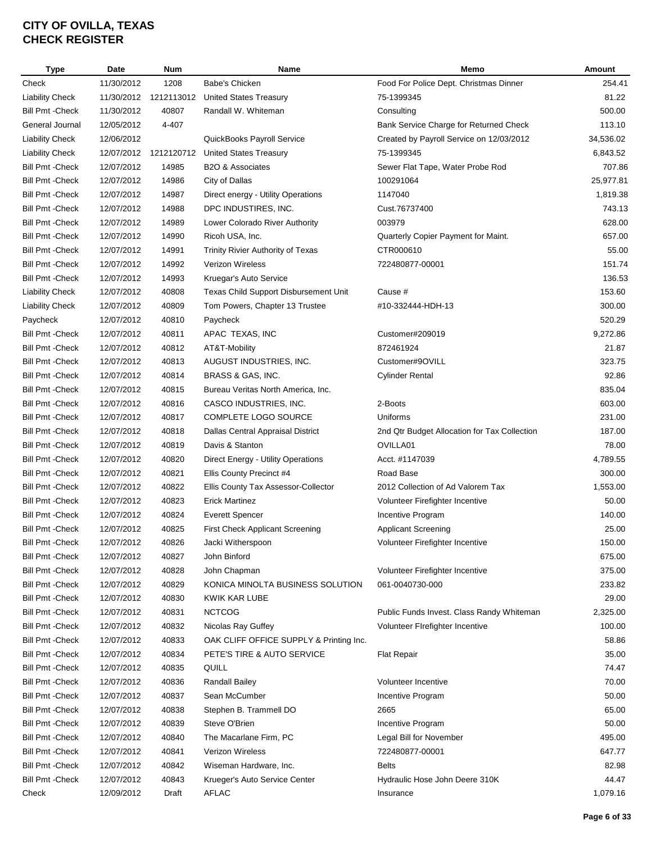| Type                    | <b>Date</b> | <b>Num</b> | Name                                    | Memo                                         | Amount    |
|-------------------------|-------------|------------|-----------------------------------------|----------------------------------------------|-----------|
| Check                   | 11/30/2012  | 1208       | Babe's Chicken                          | Food For Police Dept. Christmas Dinner       | 254.41    |
| <b>Liability Check</b>  | 11/30/2012  | 1212113012 | <b>United States Treasury</b>           | 75-1399345                                   | 81.22     |
| <b>Bill Pmt - Check</b> | 11/30/2012  | 40807      | Randall W. Whiteman                     | Consulting                                   | 500.00    |
| General Journal         | 12/05/2012  | 4-407      |                                         | Bank Service Charge for Returned Check       | 113.10    |
| <b>Liability Check</b>  | 12/06/2012  |            | QuickBooks Payroll Service              | Created by Payroll Service on 12/03/2012     | 34,536.02 |
| <b>Liability Check</b>  | 12/07/2012  | 1212120712 | United States Treasury                  | 75-1399345                                   | 6,843.52  |
| <b>Bill Pmt - Check</b> | 12/07/2012  | 14985      | B2O & Associates                        | Sewer Flat Tape, Water Probe Rod             | 707.86    |
| <b>Bill Pmt - Check</b> | 12/07/2012  | 14986      | City of Dallas                          | 100291064                                    | 25,977.81 |
| <b>Bill Pmt - Check</b> | 12/07/2012  | 14987      | Direct energy - Utility Operations      | 1147040                                      | 1,819.38  |
| <b>Bill Pmt - Check</b> | 12/07/2012  | 14988      | DPC INDUSTIRES, INC.                    | Cust.76737400                                | 743.13    |
| <b>Bill Pmt - Check</b> | 12/07/2012  | 14989      | Lower Colorado River Authority          | 003979                                       | 628.00    |
| <b>Bill Pmt - Check</b> | 12/07/2012  | 14990      | Ricoh USA, Inc.                         | Quarterly Copier Payment for Maint.          | 657.00    |
| <b>Bill Pmt - Check</b> | 12/07/2012  | 14991      | Trinity Rivier Authority of Texas       | CTR000610                                    | 55.00     |
| <b>Bill Pmt - Check</b> | 12/07/2012  | 14992      | <b>Verizon Wireless</b>                 | 722480877-00001                              | 151.74    |
| <b>Bill Pmt - Check</b> | 12/07/2012  | 14993      | Kruegar's Auto Service                  |                                              | 136.53    |
| <b>Liability Check</b>  | 12/07/2012  | 40808      | Texas Child Support Disbursement Unit   | Cause #                                      | 153.60    |
| <b>Liability Check</b>  | 12/07/2012  | 40809      | Tom Powers, Chapter 13 Trustee          | #10-332444-HDH-13                            | 300.00    |
| Paycheck                | 12/07/2012  | 40810      | Paycheck                                |                                              | 520.29    |
| <b>Bill Pmt - Check</b> | 12/07/2012  | 40811      | APAC TEXAS, INC                         | Customer#209019                              | 9,272.86  |
|                         |             |            |                                         |                                              | 21.87     |
| <b>Bill Pmt - Check</b> | 12/07/2012  | 40812      | AT&T-Mobility                           | 872461924                                    |           |
| <b>Bill Pmt - Check</b> | 12/07/2012  | 40813      | AUGUST INDUSTRIES, INC.                 | Customer#9OVILL                              | 323.75    |
| <b>Bill Pmt - Check</b> | 12/07/2012  | 40814      | BRASS & GAS, INC.                       | <b>Cylinder Rental</b>                       | 92.86     |
| <b>Bill Pmt - Check</b> | 12/07/2012  | 40815      | Bureau Veritas North America, Inc.      |                                              | 835.04    |
| <b>Bill Pmt - Check</b> | 12/07/2012  | 40816      | CASCO INDUSTRIES, INC.                  | 2-Boots                                      | 603.00    |
| <b>Bill Pmt - Check</b> | 12/07/2012  | 40817      | COMPLETE LOGO SOURCE                    | Uniforms                                     | 231.00    |
| <b>Bill Pmt - Check</b> | 12/07/2012  | 40818      | Dallas Central Appraisal District       | 2nd Qtr Budget Allocation for Tax Collection | 187.00    |
| <b>Bill Pmt - Check</b> | 12/07/2012  | 40819      | Davis & Stanton                         | OVILLA01                                     | 78.00     |
| <b>Bill Pmt - Check</b> | 12/07/2012  | 40820      | Direct Energy - Utility Operations      | Acct. #1147039                               | 4,789.55  |
| <b>Bill Pmt - Check</b> | 12/07/2012  | 40821      | Ellis County Precinct #4                | Road Base                                    | 300.00    |
| <b>Bill Pmt - Check</b> | 12/07/2012  | 40822      | Ellis County Tax Assessor-Collector     | 2012 Collection of Ad Valorem Tax            | 1,553.00  |
| <b>Bill Pmt - Check</b> | 12/07/2012  | 40823      | <b>Erick Martinez</b>                   | Volunteer Firefighter Incentive              | 50.00     |
| <b>Bill Pmt - Check</b> | 12/07/2012  | 40824      | <b>Everett Spencer</b>                  | Incentive Program                            | 140.00    |
| <b>Bill Pmt - Check</b> | 12/07/2012  | 40825      | First Check Applicant Screening         | <b>Applicant Screening</b>                   | 25.00     |
| <b>Bill Pmt - Check</b> | 12/07/2012  | 40826      | Jacki Witherspoon                       | Volunteer Firefighter Incentive              | 150.00    |
| <b>Bill Pmt - Check</b> | 12/07/2012  | 40827      | John Binford                            |                                              | 675.00    |
| <b>Bill Pmt - Check</b> | 12/07/2012  | 40828      | John Chapman                            | Volunteer Firefighter Incentive              | 375.00    |
| <b>Bill Pmt - Check</b> | 12/07/2012  | 40829      | KONICA MINOLTA BUSINESS SOLUTION        | 061-0040730-000                              | 233.82    |
| <b>Bill Pmt - Check</b> | 12/07/2012  | 40830      | KWIK KAR LUBE                           |                                              | 29.00     |
| Bill Pmt -Check         | 12/07/2012  | 40831      | <b>NCTCOG</b>                           | Public Funds Invest. Class Randy Whiteman    | 2,325.00  |
| Bill Pmt - Check        | 12/07/2012  | 40832      | Nicolas Ray Guffey                      | Volunteer Firefighter Incentive              | 100.00    |
| <b>Bill Pmt - Check</b> | 12/07/2012  | 40833      | OAK CLIFF OFFICE SUPPLY & Printing Inc. |                                              | 58.86     |
| <b>Bill Pmt - Check</b> | 12/07/2012  | 40834      | PETE'S TIRE & AUTO SERVICE              | <b>Flat Repair</b>                           | 35.00     |
| <b>Bill Pmt - Check</b> | 12/07/2012  | 40835      | QUILL                                   |                                              | 74.47     |
| <b>Bill Pmt - Check</b> | 12/07/2012  | 40836      | Randall Bailey                          | Volunteer Incentive                          | 70.00     |
| Bill Pmt -Check         | 12/07/2012  | 40837      | Sean McCumber                           | Incentive Program                            | 50.00     |
| <b>Bill Pmt - Check</b> | 12/07/2012  | 40838      | Stephen B. Trammell DO                  | 2665                                         | 65.00     |
| <b>Bill Pmt - Check</b> | 12/07/2012  | 40839      | Steve O'Brien                           | Incentive Program                            | 50.00     |
| <b>Bill Pmt - Check</b> | 12/07/2012  | 40840      | The Macarlane Firm, PC                  | Legal Bill for November                      | 495.00    |
| <b>Bill Pmt - Check</b> | 12/07/2012  | 40841      | Verizon Wireless                        | 722480877-00001                              | 647.77    |
| <b>Bill Pmt - Check</b> | 12/07/2012  | 40842      | Wiseman Hardware, Inc.                  | <b>Belts</b>                                 | 82.98     |
| <b>Bill Pmt - Check</b> | 12/07/2012  | 40843      | Krueger's Auto Service Center           | Hydraulic Hose John Deere 310K               | 44.47     |
| Check                   | 12/09/2012  | Draft      | AFLAC                                   | Insurance                                    | 1,079.16  |
|                         |             |            |                                         |                                              |           |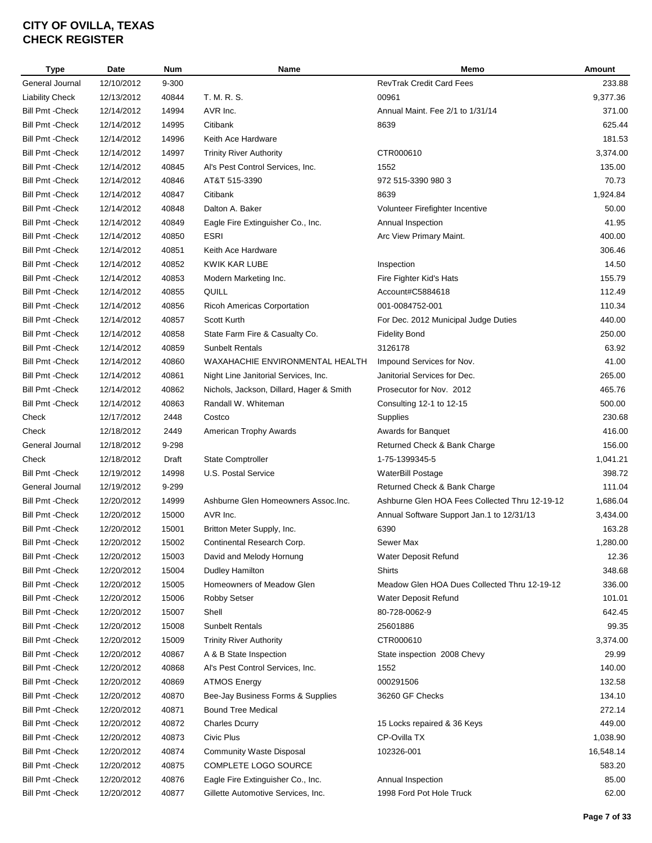| <b>Type</b>             | <b>Date</b> | <b>Num</b> | Name                                     | Memo                                           | Amount    |
|-------------------------|-------------|------------|------------------------------------------|------------------------------------------------|-----------|
| General Journal         | 12/10/2012  | 9-300      |                                          | <b>RevTrak Credit Card Fees</b>                | 233.88    |
| <b>Liability Check</b>  | 12/13/2012  | 40844      | T. M. R. S.                              | 00961                                          | 9,377.36  |
| <b>Bill Pmt - Check</b> | 12/14/2012  | 14994      | AVR Inc.                                 | Annual Maint. Fee 2/1 to 1/31/14               | 371.00    |
| <b>Bill Pmt - Check</b> | 12/14/2012  | 14995      | Citibank                                 | 8639                                           | 625.44    |
| <b>Bill Pmt - Check</b> | 12/14/2012  | 14996      | Keith Ace Hardware                       |                                                | 181.53    |
| <b>Bill Pmt - Check</b> | 12/14/2012  | 14997      | <b>Trinity River Authority</b>           | CTR000610                                      | 3,374.00  |
| <b>Bill Pmt - Check</b> | 12/14/2012  | 40845      | Al's Pest Control Services, Inc.         | 1552                                           | 135.00    |
| <b>Bill Pmt - Check</b> | 12/14/2012  | 40846      | AT&T 515-3390                            | 972 515-3390 980 3                             | 70.73     |
| <b>Bill Pmt - Check</b> | 12/14/2012  | 40847      | Citibank                                 | 8639                                           | 1,924.84  |
| <b>Bill Pmt - Check</b> | 12/14/2012  | 40848      | Dalton A. Baker                          | Volunteer Firefighter Incentive                | 50.00     |
| <b>Bill Pmt - Check</b> | 12/14/2012  | 40849      | Eagle Fire Extinguisher Co., Inc.        | Annual Inspection                              | 41.95     |
| <b>Bill Pmt - Check</b> | 12/14/2012  | 40850      | ESRI                                     | Arc View Primary Maint.                        | 400.00    |
| <b>Bill Pmt - Check</b> | 12/14/2012  | 40851      | Keith Ace Hardware                       |                                                | 306.46    |
| <b>Bill Pmt - Check</b> | 12/14/2012  | 40852      | KWIK KAR LUBE                            | Inspection                                     | 14.50     |
| <b>Bill Pmt - Check</b> | 12/14/2012  | 40853      | Modern Marketing Inc.                    | Fire Fighter Kid's Hats                        | 155.79    |
| <b>Bill Pmt - Check</b> | 12/14/2012  | 40855      | QUILL                                    | Account#C5884618                               | 112.49    |
| <b>Bill Pmt - Check</b> | 12/14/2012  | 40856      | Ricoh Americas Corportation              | 001-0084752-001                                | 110.34    |
|                         |             |            |                                          |                                                |           |
| <b>Bill Pmt - Check</b> | 12/14/2012  | 40857      | <b>Scott Kurth</b>                       | For Dec. 2012 Municipal Judge Duties           | 440.00    |
| <b>Bill Pmt - Check</b> | 12/14/2012  | 40858      | State Farm Fire & Casualty Co.           | <b>Fidelity Bond</b>                           | 250.00    |
| <b>Bill Pmt - Check</b> | 12/14/2012  | 40859      | <b>Sunbelt Rentals</b>                   | 3126178                                        | 63.92     |
| <b>Bill Pmt - Check</b> | 12/14/2012  | 40860      | WAXAHACHIE ENVIRONMENTAL HEALTH          | Impound Services for Nov.                      | 41.00     |
| <b>Bill Pmt - Check</b> | 12/14/2012  | 40861      | Night Line Janitorial Services, Inc.     | Janitorial Services for Dec.                   | 265.00    |
| <b>Bill Pmt - Check</b> | 12/14/2012  | 40862      | Nichols, Jackson, Dillard, Hager & Smith | Prosecutor for Nov. 2012                       | 465.76    |
| <b>Bill Pmt - Check</b> | 12/14/2012  | 40863      | Randall W. Whiteman                      | Consulting 12-1 to 12-15                       | 500.00    |
| Check                   | 12/17/2012  | 2448       | Costco                                   | Supplies                                       | 230.68    |
| Check                   | 12/18/2012  | 2449       | American Trophy Awards                   | Awards for Banquet                             | 416.00    |
| General Journal         | 12/18/2012  | 9-298      |                                          | Returned Check & Bank Charge                   | 156.00    |
| Check                   | 12/18/2012  | Draft      | <b>State Comptroller</b>                 | 1-75-1399345-5                                 | 1,041.21  |
| <b>Bill Pmt - Check</b> | 12/19/2012  | 14998      | U.S. Postal Service                      | WaterBill Postage                              | 398.72    |
| General Journal         | 12/19/2012  | 9-299      |                                          | Returned Check & Bank Charge                   | 111.04    |
| <b>Bill Pmt - Check</b> | 12/20/2012  | 14999      | Ashburne Glen Homeowners Assoc.Inc.      | Ashburne Glen HOA Fees Collected Thru 12-19-12 | 1,686.04  |
| <b>Bill Pmt - Check</b> | 12/20/2012  | 15000      | AVR Inc.                                 | Annual Software Support Jan.1 to 12/31/13      | 3,434.00  |
| <b>Bill Pmt - Check</b> | 12/20/2012  | 15001      | Britton Meter Supply, Inc.               | 6390                                           | 163.28    |
| <b>Bill Pmt - Check</b> | 12/20/2012  | 15002      | Continental Research Corp.               | Sewer Max                                      | 1,280.00  |
| <b>Bill Pmt - Check</b> | 12/20/2012  | 15003      | David and Melody Hornung                 | Water Deposit Refund                           | 12.36     |
| <b>Bill Pmt - Check</b> | 12/20/2012  | 15004      | Dudley Hamilton                          | <b>Shirts</b>                                  | 348.68    |
| <b>Bill Pmt - Check</b> | 12/20/2012  | 15005      | Homeowners of Meadow Glen                | Meadow Glen HOA Dues Collected Thru 12-19-12   | 336.00    |
| <b>Bill Pmt - Check</b> | 12/20/2012  | 15006      | <b>Robby Setser</b>                      | Water Deposit Refund                           | 101.01    |
| Bill Pmt -Check         | 12/20/2012  | 15007      | Shell                                    | 80-728-0062-9                                  | 642.45    |
| <b>Bill Pmt - Check</b> | 12/20/2012  | 15008      | <b>Sunbelt Rentals</b>                   | 25601886                                       | 99.35     |
| <b>Bill Pmt - Check</b> | 12/20/2012  | 15009      | <b>Trinity River Authority</b>           | CTR000610                                      | 3,374.00  |
| Bill Pmt -Check         | 12/20/2012  | 40867      | A & B State Inspection                   | State inspection 2008 Chevy                    | 29.99     |
| <b>Bill Pmt - Check</b> | 12/20/2012  | 40868      | Al's Pest Control Services, Inc.         | 1552                                           | 140.00    |
| <b>Bill Pmt - Check</b> | 12/20/2012  | 40869      | <b>ATMOS Energy</b>                      | 000291506                                      | 132.58    |
| <b>Bill Pmt - Check</b> | 12/20/2012  | 40870      | Bee-Jay Business Forms & Supplies        | 36260 GF Checks                                | 134.10    |
| <b>Bill Pmt - Check</b> | 12/20/2012  | 40871      | <b>Bound Tree Medical</b>                |                                                | 272.14    |
| <b>Bill Pmt - Check</b> | 12/20/2012  | 40872      | <b>Charles Dcurry</b>                    | 15 Locks repaired & 36 Keys                    | 449.00    |
| <b>Bill Pmt - Check</b> | 12/20/2012  | 40873      | Civic Plus                               | CP-Ovilla TX                                   | 1,038.90  |
| <b>Bill Pmt - Check</b> | 12/20/2012  | 40874      | <b>Community Waste Disposal</b>          | 102326-001                                     | 16,548.14 |
| Bill Pmt -Check         | 12/20/2012  | 40875      | COMPLETE LOGO SOURCE                     |                                                | 583.20    |
| <b>Bill Pmt - Check</b> | 12/20/2012  | 40876      | Eagle Fire Extinguisher Co., Inc.        | Annual Inspection                              | 85.00     |
| <b>Bill Pmt - Check</b> | 12/20/2012  | 40877      | Gillette Automotive Services, Inc.       | 1998 Ford Pot Hole Truck                       | 62.00     |
|                         |             |            |                                          |                                                |           |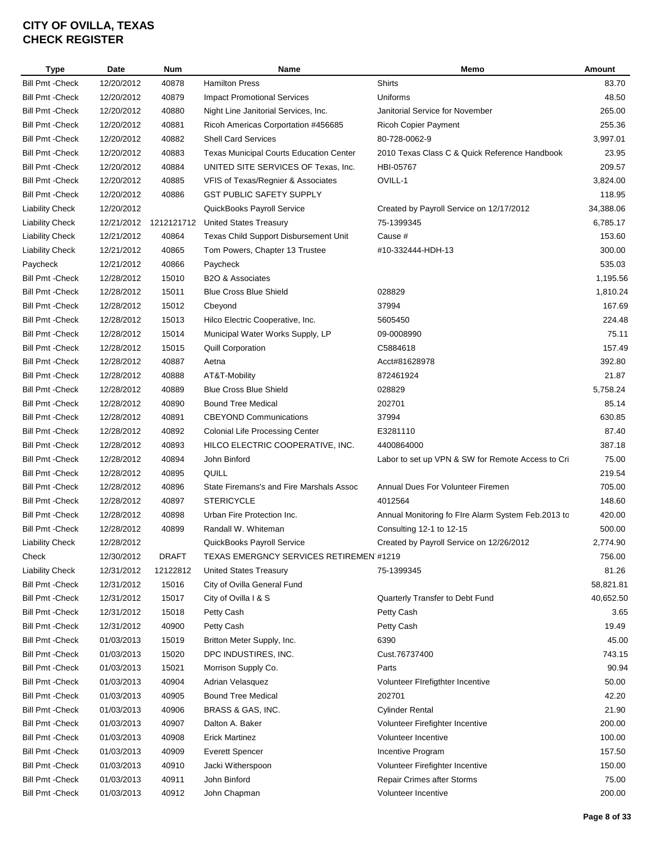| Type                    | Date       | <b>Num</b>   | Name                                           | Memo                                               | Amount    |
|-------------------------|------------|--------------|------------------------------------------------|----------------------------------------------------|-----------|
| <b>Bill Pmt - Check</b> | 12/20/2012 | 40878        | <b>Hamilton Press</b>                          | <b>Shirts</b>                                      | 83.70     |
| <b>Bill Pmt - Check</b> | 12/20/2012 | 40879        | <b>Impact Promotional Services</b>             | Uniforms                                           | 48.50     |
| <b>Bill Pmt - Check</b> | 12/20/2012 | 40880        | Night Line Janitorial Services, Inc.           | Janitorial Service for November                    | 265.00    |
| <b>Bill Pmt - Check</b> | 12/20/2012 | 40881        | Ricoh Americas Corportation #456685            | <b>Ricoh Copier Payment</b>                        | 255.36    |
| <b>Bill Pmt - Check</b> | 12/20/2012 | 40882        | <b>Shell Card Services</b>                     | 80-728-0062-9                                      | 3,997.01  |
| <b>Bill Pmt - Check</b> | 12/20/2012 | 40883        | <b>Texas Municipal Courts Education Center</b> | 2010 Texas Class C & Quick Reference Handbook      | 23.95     |
| <b>Bill Pmt - Check</b> | 12/20/2012 | 40884        | UNITED SITE SERVICES OF Texas, Inc.            | HBI-05767                                          | 209.57    |
| <b>Bill Pmt - Check</b> | 12/20/2012 | 40885        | VFIS of Texas/Regnier & Associates             | OVILL-1                                            | 3,824.00  |
| <b>Bill Pmt - Check</b> | 12/20/2012 | 40886        | <b>GST PUBLIC SAFETY SUPPLY</b>                |                                                    | 118.95    |
| <b>Liability Check</b>  | 12/20/2012 |              | QuickBooks Payroll Service                     | Created by Payroll Service on 12/17/2012           | 34,388.06 |
| <b>Liability Check</b>  | 12/21/2012 |              | 1212121712 United States Treasury              | 75-1399345                                         | 6,785.17  |
| <b>Liability Check</b>  | 12/21/2012 | 40864        | Texas Child Support Disbursement Unit          | Cause #                                            | 153.60    |
| <b>Liability Check</b>  | 12/21/2012 | 40865        | Tom Powers, Chapter 13 Trustee                 | #10-332444-HDH-13                                  | 300.00    |
| Paycheck                | 12/21/2012 | 40866        | Paycheck                                       |                                                    | 535.03    |
| <b>Bill Pmt - Check</b> | 12/28/2012 | 15010        | B2O & Associates                               |                                                    | 1,195.56  |
| <b>Bill Pmt - Check</b> | 12/28/2012 | 15011        | <b>Blue Cross Blue Shield</b>                  | 028829                                             | 1,810.24  |
| <b>Bill Pmt - Check</b> | 12/28/2012 | 15012        | Cbeyond                                        | 37994                                              | 167.69    |
| <b>Bill Pmt - Check</b> | 12/28/2012 | 15013        | Hilco Electric Cooperative, Inc.               | 5605450                                            | 224.48    |
| <b>Bill Pmt - Check</b> | 12/28/2012 | 15014        | Municipal Water Works Supply, LP               | 09-0008990                                         | 75.11     |
| <b>Bill Pmt - Check</b> | 12/28/2012 | 15015        | <b>Quill Corporation</b>                       | C5884618                                           | 157.49    |
| <b>Bill Pmt - Check</b> | 12/28/2012 | 40887        | Aetna                                          | Acct#81628978                                      | 392.80    |
| <b>Bill Pmt - Check</b> | 12/28/2012 | 40888        | AT&T-Mobility                                  | 872461924                                          | 21.87     |
| <b>Bill Pmt - Check</b> | 12/28/2012 | 40889        | <b>Blue Cross Blue Shield</b>                  | 028829                                             | 5,758.24  |
| <b>Bill Pmt - Check</b> | 12/28/2012 | 40890        | <b>Bound Tree Medical</b>                      | 202701                                             | 85.14     |
| <b>Bill Pmt - Check</b> | 12/28/2012 | 40891        | <b>CBEYOND Communications</b>                  | 37994                                              | 630.85    |
| <b>Bill Pmt - Check</b> | 12/28/2012 | 40892        | <b>Colonial Life Processing Center</b>         | E3281110                                           | 87.40     |
| <b>Bill Pmt - Check</b> | 12/28/2012 | 40893        | HILCO ELECTRIC COOPERATIVE, INC.               | 4400864000                                         | 387.18    |
| <b>Bill Pmt - Check</b> | 12/28/2012 | 40894        | John Binford                                   | Labor to set up VPN & SW for Remote Access to Cri  | 75.00     |
| <b>Bill Pmt - Check</b> | 12/28/2012 | 40895        | QUILL                                          |                                                    | 219.54    |
| <b>Bill Pmt - Check</b> | 12/28/2012 | 40896        | State Firemans's and Fire Marshals Assoc       | Annual Dues For Volunteer Firemen                  | 705.00    |
| <b>Bill Pmt - Check</b> | 12/28/2012 | 40897        | <b>STERICYCLE</b>                              | 4012564                                            | 148.60    |
| <b>Bill Pmt - Check</b> | 12/28/2012 | 40898        | Urban Fire Protection Inc.                     | Annual Monitoring fo FIre Alarm System Feb.2013 to | 420.00    |
| <b>Bill Pmt - Check</b> | 12/28/2012 | 40899        | Randall W. Whiteman                            | Consulting 12-1 to 12-15                           | 500.00    |
| Liability Check         | 12/28/2012 |              | QuickBooks Payroll Service                     | Created by Payroll Service on 12/26/2012           | 2,774.90  |
| Check                   | 12/30/2012 | <b>DRAFT</b> | TEXAS EMERGNCY SERVICES RETIREMEN #1219        |                                                    | 756.00    |
| <b>Liability Check</b>  | 12/31/2012 | 12122812     | <b>United States Treasury</b>                  | 75-1399345                                         | 81.26     |
| <b>Bill Pmt - Check</b> | 12/31/2012 | 15016        | City of Ovilla General Fund                    |                                                    | 58,821.81 |
| <b>Bill Pmt - Check</b> | 12/31/2012 | 15017        | City of Ovilla I & S                           | Quarterly Transfer to Debt Fund                    | 40,652.50 |
| <b>Bill Pmt - Check</b> | 12/31/2012 | 15018        | Petty Cash                                     | Petty Cash                                         | 3.65      |
| <b>Bill Pmt - Check</b> | 12/31/2012 | 40900        | Petty Cash                                     | Petty Cash                                         | 19.49     |
| <b>Bill Pmt - Check</b> | 01/03/2013 | 15019        | Britton Meter Supply, Inc.                     | 6390                                               | 45.00     |
| <b>Bill Pmt - Check</b> | 01/03/2013 | 15020        | DPC INDUSTIRES, INC.                           | Cust.76737400                                      | 743.15    |
| <b>Bill Pmt - Check</b> |            |              |                                                | Parts                                              | 90.94     |
|                         | 01/03/2013 | 15021        | Morrison Supply Co.                            |                                                    |           |
| <b>Bill Pmt - Check</b> | 01/03/2013 | 40904        | Adrian Velasquez                               | Volunteer FIrefigthter Incentive                   | 50.00     |
| <b>Bill Pmt - Check</b> | 01/03/2013 | 40905        | <b>Bound Tree Medical</b>                      | 202701                                             | 42.20     |
| <b>Bill Pmt - Check</b> | 01/03/2013 | 40906        | BRASS & GAS, INC.                              | <b>Cylinder Rental</b>                             | 21.90     |
| <b>Bill Pmt - Check</b> | 01/03/2013 | 40907        | Dalton A. Baker                                | Volunteer Firefighter Incentive                    | 200.00    |
| <b>Bill Pmt - Check</b> | 01/03/2013 | 40908        | <b>Erick Martinez</b>                          | Volunteer Incentive                                | 100.00    |
| <b>Bill Pmt - Check</b> | 01/03/2013 | 40909        | <b>Everett Spencer</b>                         | Incentive Program                                  | 157.50    |
| <b>Bill Pmt - Check</b> | 01/03/2013 | 40910        | Jacki Witherspoon                              | Volunteer Firefighter Incentive                    | 150.00    |
| <b>Bill Pmt - Check</b> | 01/03/2013 | 40911        | John Binford                                   | Repair Crimes after Storms                         | 75.00     |
| <b>Bill Pmt - Check</b> | 01/03/2013 | 40912        | John Chapman                                   | Volunteer Incentive                                | 200.00    |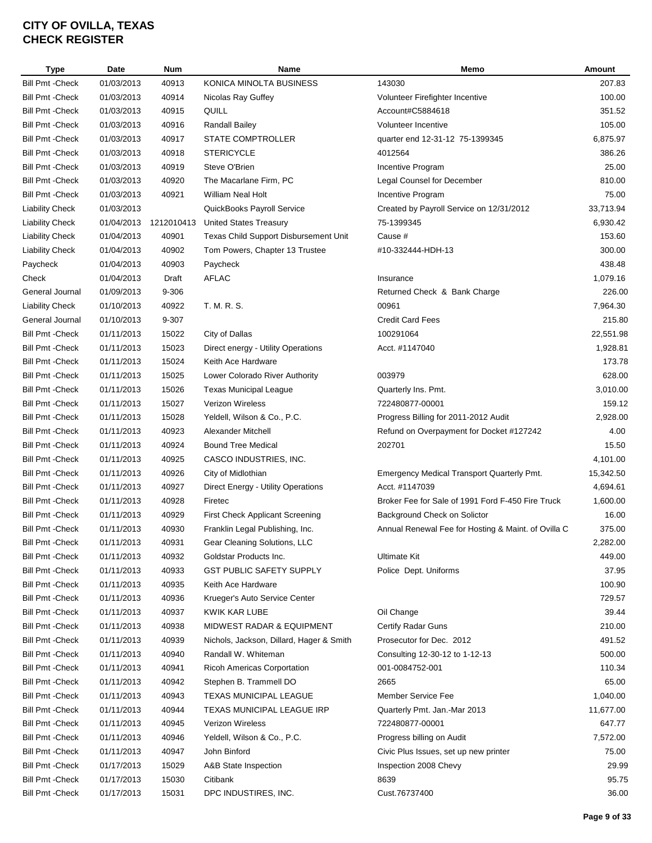| Type                    | Date       | <b>Num</b> | Name                                     | Memo                                                | Amount    |
|-------------------------|------------|------------|------------------------------------------|-----------------------------------------------------|-----------|
| <b>Bill Pmt - Check</b> | 01/03/2013 | 40913      | KONICA MINOLTA BUSINESS                  | 143030                                              | 207.83    |
| <b>Bill Pmt - Check</b> | 01/03/2013 | 40914      | Nicolas Ray Guffey                       | Volunteer Firefighter Incentive                     | 100.00    |
| <b>Bill Pmt - Check</b> | 01/03/2013 | 40915      | QUILL                                    | Account#C5884618                                    | 351.52    |
| <b>Bill Pmt - Check</b> | 01/03/2013 | 40916      | <b>Randall Bailey</b>                    | Volunteer Incentive                                 | 105.00    |
| <b>Bill Pmt - Check</b> | 01/03/2013 | 40917      | <b>STATE COMPTROLLER</b>                 | quarter end 12-31-12 75-1399345                     | 6,875.97  |
| <b>Bill Pmt - Check</b> | 01/03/2013 | 40918      | <b>STERICYCLE</b>                        | 4012564                                             | 386.26    |
| <b>Bill Pmt - Check</b> | 01/03/2013 | 40919      | Steve O'Brien                            | Incentive Program                                   | 25.00     |
| <b>Bill Pmt - Check</b> | 01/03/2013 | 40920      | The Macarlane Firm, PC                   | Legal Counsel for December                          | 810.00    |
| <b>Bill Pmt - Check</b> | 01/03/2013 | 40921      | William Neal Holt                        | Incentive Program                                   | 75.00     |
| <b>Liability Check</b>  | 01/03/2013 |            | QuickBooks Payroll Service               | Created by Payroll Service on 12/31/2012            | 33,713.94 |
| <b>Liability Check</b>  | 01/04/2013 | 1212010413 | <b>United States Treasury</b>            | 75-1399345                                          | 6,930.42  |
| <b>Liability Check</b>  | 01/04/2013 | 40901      | Texas Child Support Disbursement Unit    | Cause #                                             | 153.60    |
| <b>Liability Check</b>  | 01/04/2013 | 40902      | Tom Powers, Chapter 13 Trustee           | #10-332444-HDH-13                                   | 300.00    |
| Paycheck                | 01/04/2013 | 40903      | Paycheck                                 |                                                     | 438.48    |
| Check                   | 01/04/2013 | Draft      | <b>AFLAC</b>                             | Insurance                                           | 1,079.16  |
| General Journal         | 01/09/2013 | 9-306      |                                          | Returned Check & Bank Charge                        | 226.00    |
| <b>Liability Check</b>  | 01/10/2013 | 40922      | T. M. R. S.                              | 00961                                               | 7,964.30  |
| General Journal         | 01/10/2013 | 9-307      |                                          | <b>Credit Card Fees</b>                             | 215.80    |
| <b>Bill Pmt - Check</b> | 01/11/2013 | 15022      | City of Dallas                           | 100291064                                           | 22,551.98 |
| <b>Bill Pmt - Check</b> | 01/11/2013 | 15023      | Direct energy - Utility Operations       | Acct. #1147040                                      | 1,928.81  |
| <b>Bill Pmt - Check</b> | 01/11/2013 | 15024      | Keith Ace Hardware                       |                                                     | 173.78    |
| <b>Bill Pmt - Check</b> | 01/11/2013 | 15025      | Lower Colorado River Authority           | 003979                                              | 628.00    |
| <b>Bill Pmt - Check</b> | 01/11/2013 | 15026      | <b>Texas Municipal League</b>            | Quarterly Ins. Pmt.                                 | 3,010.00  |
| <b>Bill Pmt - Check</b> | 01/11/2013 | 15027      | Verizon Wireless                         | 722480877-00001                                     | 159.12    |
| <b>Bill Pmt - Check</b> | 01/11/2013 | 15028      | Yeldell, Wilson & Co., P.C.              | Progress Billing for 2011-2012 Audit                | 2,928.00  |
| <b>Bill Pmt - Check</b> | 01/11/2013 | 40923      | Alexander Mitchell                       | Refund on Overpayment for Docket #127242            | 4.00      |
| <b>Bill Pmt - Check</b> | 01/11/2013 | 40924      | <b>Bound Tree Medical</b>                | 202701                                              | 15.50     |
| <b>Bill Pmt - Check</b> | 01/11/2013 | 40925      | CASCO INDUSTRIES, INC.                   |                                                     | 4,101.00  |
| <b>Bill Pmt - Check</b> | 01/11/2013 | 40926      | City of Midlothian                       | Emergency Medical Transport Quarterly Pmt.          | 15,342.50 |
| <b>Bill Pmt - Check</b> | 01/11/2013 | 40927      | Direct Energy - Utility Operations       | Acct. #1147039                                      | 4,694.61  |
| <b>Bill Pmt - Check</b> | 01/11/2013 | 40928      | Firetec                                  | Broker Fee for Sale of 1991 Ford F-450 Fire Truck   | 1,600.00  |
| <b>Bill Pmt - Check</b> | 01/11/2013 | 40929      | First Check Applicant Screening          | Background Check on Solictor                        | 16.00     |
| <b>Bill Pmt - Check</b> | 01/11/2013 | 40930      | Franklin Legal Publishing, Inc.          | Annual Renewal Fee for Hosting & Maint. of Ovilla C | 375.00    |
|                         |            |            |                                          |                                                     |           |
| <b>Bill Pmt - Check</b> | 01/11/2013 | 40931      | Gear Cleaning Solutions, LLC             |                                                     | 2,282.00  |
| <b>Bill Pmt - Check</b> | 01/11/2013 | 40932      | Goldstar Products Inc.                   | Ultimate Kit                                        | 449.00    |
| <b>Bill Pmt - Check</b> | 01/11/2013 | 40933      | <b>GST PUBLIC SAFETY SUPPLY</b>          | Police Dept. Uniforms                               | 37.95     |
| <b>Bill Pmt - Check</b> | 01/11/2013 | 40935      | Keith Ace Hardware                       |                                                     | 100.90    |
| <b>Bill Pmt - Check</b> | 01/11/2013 | 40936      | Krueger's Auto Service Center            |                                                     | 729.57    |
| <b>Bill Pmt - Check</b> | 01/11/2013 | 40937      | KWIK KAR LUBE                            | Oil Change                                          | 39.44     |
| Bill Pmt - Check        | 01/11/2013 | 40938      | <b>MIDWEST RADAR &amp; EQUIPMENT</b>     | Certify Radar Guns                                  | 210.00    |
| <b>Bill Pmt - Check</b> | 01/11/2013 | 40939      | Nichols, Jackson, Dillard, Hager & Smith | Prosecutor for Dec. 2012                            | 491.52    |
| <b>Bill Pmt - Check</b> | 01/11/2013 | 40940      | Randall W. Whiteman                      | Consulting 12-30-12 to 1-12-13                      | 500.00    |
| <b>Bill Pmt - Check</b> | 01/11/2013 | 40941      | <b>Ricoh Americas Corportation</b>       | 001-0084752-001                                     | 110.34    |
| <b>Bill Pmt - Check</b> | 01/11/2013 | 40942      | Stephen B. Trammell DO                   | 2665                                                | 65.00     |
| <b>Bill Pmt - Check</b> | 01/11/2013 | 40943      | <b>TEXAS MUNICIPAL LEAGUE</b>            | Member Service Fee                                  | 1,040.00  |
| <b>Bill Pmt - Check</b> | 01/11/2013 | 40944      | TEXAS MUNICIPAL LEAGUE IRP               | Quarterly Pmt. Jan.-Mar 2013                        | 11,677.00 |
| <b>Bill Pmt - Check</b> | 01/11/2013 | 40945      | Verizon Wireless                         | 722480877-00001                                     | 647.77    |
| <b>Bill Pmt - Check</b> | 01/11/2013 | 40946      | Yeldell, Wilson & Co., P.C.              | Progress billing on Audit                           | 7,572.00  |
| <b>Bill Pmt - Check</b> | 01/11/2013 | 40947      | John Binford                             | Civic Plus Issues, set up new printer               | 75.00     |
| <b>Bill Pmt - Check</b> | 01/17/2013 | 15029      | A&B State Inspection                     | Inspection 2008 Chevy                               | 29.99     |
| <b>Bill Pmt - Check</b> | 01/17/2013 | 15030      | Citibank                                 | 8639                                                | 95.75     |
| <b>Bill Pmt - Check</b> | 01/17/2013 | 15031      | DPC INDUSTIRES, INC.                     | Cust.76737400                                       | 36.00     |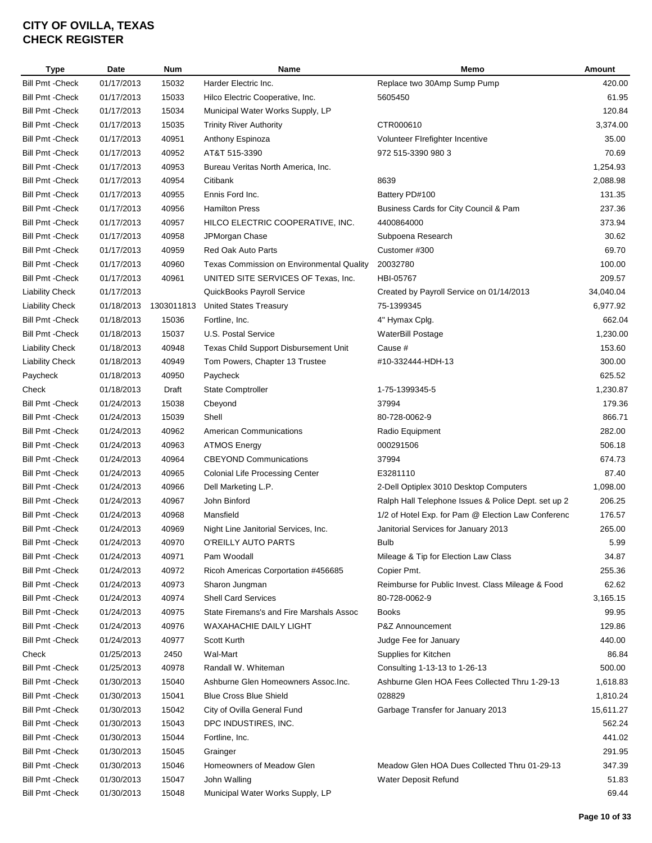| Type                    | Date       | Num        | Name                                      | Memo                                                | Amount    |
|-------------------------|------------|------------|-------------------------------------------|-----------------------------------------------------|-----------|
| <b>Bill Pmt - Check</b> | 01/17/2013 | 15032      | Harder Electric Inc.                      | Replace two 30Amp Sump Pump                         | 420.00    |
| <b>Bill Pmt - Check</b> | 01/17/2013 | 15033      | Hilco Electric Cooperative, Inc.          | 5605450                                             | 61.95     |
| <b>Bill Pmt - Check</b> | 01/17/2013 | 15034      | Municipal Water Works Supply, LP          |                                                     | 120.84    |
| <b>Bill Pmt - Check</b> | 01/17/2013 | 15035      | <b>Trinity River Authority</b>            | CTR000610                                           | 3,374.00  |
| <b>Bill Pmt - Check</b> | 01/17/2013 | 40951      | Anthony Espinoza                          | Volunteer Firefighter Incentive                     | 35.00     |
| <b>Bill Pmt - Check</b> | 01/17/2013 | 40952      | AT&T 515-3390                             | 972 515-3390 980 3                                  | 70.69     |
| <b>Bill Pmt - Check</b> | 01/17/2013 | 40953      | Bureau Veritas North America, Inc.        |                                                     | 1,254.93  |
| <b>Bill Pmt - Check</b> | 01/17/2013 | 40954      | Citibank                                  | 8639                                                | 2,088.98  |
| <b>Bill Pmt - Check</b> | 01/17/2013 | 40955      | Ennis Ford Inc.                           | Battery PD#100                                      | 131.35    |
| <b>Bill Pmt - Check</b> | 01/17/2013 | 40956      | <b>Hamilton Press</b>                     | Business Cards for City Council & Pam               | 237.36    |
| <b>Bill Pmt - Check</b> | 01/17/2013 | 40957      | HILCO ELECTRIC COOPERATIVE, INC.          | 4400864000                                          | 373.94    |
| <b>Bill Pmt - Check</b> | 01/17/2013 | 40958      | JPMorgan Chase                            | Subpoena Research                                   | 30.62     |
| <b>Bill Pmt - Check</b> | 01/17/2013 | 40959      | Red Oak Auto Parts                        | Customer #300                                       | 69.70     |
| <b>Bill Pmt - Check</b> | 01/17/2013 | 40960      | Texas Commission on Environmental Quality | 20032780                                            | 100.00    |
| <b>Bill Pmt - Check</b> | 01/17/2013 | 40961      | UNITED SITE SERVICES OF Texas, Inc.       | HBI-05767                                           | 209.57    |
| <b>Liability Check</b>  | 01/17/2013 |            | QuickBooks Payroll Service                | Created by Payroll Service on 01/14/2013            | 34,040.04 |
| <b>Liability Check</b>  | 01/18/2013 | 1303011813 | <b>United States Treasury</b>             | 75-1399345                                          | 6,977.92  |
| <b>Bill Pmt - Check</b> | 01/18/2013 | 15036      | Fortline, Inc.                            | 4" Hymax Cplg.                                      | 662.04    |
| <b>Bill Pmt - Check</b> | 01/18/2013 | 15037      | U.S. Postal Service                       | WaterBill Postage                                   | 1,230.00  |
| <b>Liability Check</b>  | 01/18/2013 | 40948      | Texas Child Support Disbursement Unit     | Cause #                                             | 153.60    |
| <b>Liability Check</b>  | 01/18/2013 | 40949      | Tom Powers, Chapter 13 Trustee            | #10-332444-HDH-13                                   | 300.00    |
| Paycheck                | 01/18/2013 | 40950      | Paycheck                                  |                                                     | 625.52    |
| Check                   | 01/18/2013 | Draft      | <b>State Comptroller</b>                  | 1-75-1399345-5                                      | 1,230.87  |
| <b>Bill Pmt - Check</b> | 01/24/2013 | 15038      | Cbeyond                                   | 37994                                               | 179.36    |
| <b>Bill Pmt - Check</b> | 01/24/2013 | 15039      | Shell                                     | 80-728-0062-9                                       | 866.71    |
| <b>Bill Pmt - Check</b> | 01/24/2013 | 40962      | <b>American Communications</b>            | Radio Equipment                                     | 282.00    |
| <b>Bill Pmt - Check</b> | 01/24/2013 | 40963      | <b>ATMOS Energy</b>                       | 000291506                                           | 506.18    |
| <b>Bill Pmt - Check</b> | 01/24/2013 | 40964      | <b>CBEYOND Communications</b>             | 37994                                               | 674.73    |
| <b>Bill Pmt - Check</b> | 01/24/2013 | 40965      | <b>Colonial Life Processing Center</b>    | E3281110                                            | 87.40     |
| <b>Bill Pmt - Check</b> | 01/24/2013 | 40966      | Dell Marketing L.P.                       | 2-Dell Optiplex 3010 Desktop Computers              | 1,098.00  |
| <b>Bill Pmt - Check</b> | 01/24/2013 | 40967      | John Binford                              | Ralph Hall Telephone Issues & Police Dept. set up 2 | 206.25    |
| <b>Bill Pmt - Check</b> | 01/24/2013 | 40968      | Mansfield                                 | 1/2 of Hotel Exp. for Pam @ Election Law Conferenc  | 176.57    |
| <b>Bill Pmt - Check</b> | 01/24/2013 | 40969      | Night Line Janitorial Services, Inc.      | Janitorial Services for January 2013                | 265.00    |
| <b>Bill Pmt - Check</b> | 01/24/2013 | 40970      | O'REILLY AUTO PARTS                       | Bulb                                                | 5.99      |
| Bill Pmt - Check        | 01/24/2013 | 40971      | Pam Woodall                               | Mileage & Tip for Election Law Class                | 34.87     |
| <b>Bill Pmt - Check</b> | 01/24/2013 | 40972      | Ricoh Americas Corportation #456685       | Copier Pmt.                                         | 255.36    |
| <b>Bill Pmt - Check</b> | 01/24/2013 | 40973      | Sharon Jungman                            | Reimburse for Public Invest. Class Mileage & Food   | 62.62     |
| <b>Bill Pmt - Check</b> | 01/24/2013 | 40974      | <b>Shell Card Services</b>                | 80-728-0062-9                                       | 3,165.15  |
| <b>Bill Pmt - Check</b> | 01/24/2013 | 40975      | State Firemans's and Fire Marshals Assoc  | <b>Books</b>                                        | 99.95     |
| <b>Bill Pmt - Check</b> | 01/24/2013 | 40976      | WAXAHACHIE DAILY LIGHT                    | P&Z Announcement                                    | 129.86    |
| <b>Bill Pmt - Check</b> | 01/24/2013 | 40977      | Scott Kurth                               | Judge Fee for January                               | 440.00    |
| Check                   | 01/25/2013 | 2450       | Wal-Mart                                  | Supplies for Kitchen                                | 86.84     |
| <b>Bill Pmt - Check</b> | 01/25/2013 | 40978      | Randall W. Whiteman                       | Consulting 1-13-13 to 1-26-13                       | 500.00    |
| <b>Bill Pmt - Check</b> | 01/30/2013 | 15040      | Ashburne Glen Homeowners Assoc.Inc.       | Ashburne Glen HOA Fees Collected Thru 1-29-13       | 1,618.83  |
| <b>Bill Pmt - Check</b> | 01/30/2013 | 15041      | <b>Blue Cross Blue Shield</b>             | 028829                                              | 1,810.24  |
| Bill Pmt - Check        | 01/30/2013 | 15042      | City of Ovilla General Fund               | Garbage Transfer for January 2013                   | 15,611.27 |
| Bill Pmt - Check        | 01/30/2013 | 15043      | DPC INDUSTIRES, INC.                      |                                                     | 562.24    |
| <b>Bill Pmt - Check</b> | 01/30/2013 | 15044      | Fortline, Inc.                            |                                                     | 441.02    |
| <b>Bill Pmt - Check</b> | 01/30/2013 | 15045      | Grainger                                  |                                                     | 291.95    |
| <b>Bill Pmt - Check</b> | 01/30/2013 | 15046      | Homeowners of Meadow Glen                 | Meadow Glen HOA Dues Collected Thru 01-29-13        | 347.39    |
| <b>Bill Pmt - Check</b> | 01/30/2013 | 15047      | John Walling                              | Water Deposit Refund                                | 51.83     |
| <b>Bill Pmt - Check</b> | 01/30/2013 | 15048      | Municipal Water Works Supply, LP          |                                                     | 69.44     |
|                         |            |            |                                           |                                                     |           |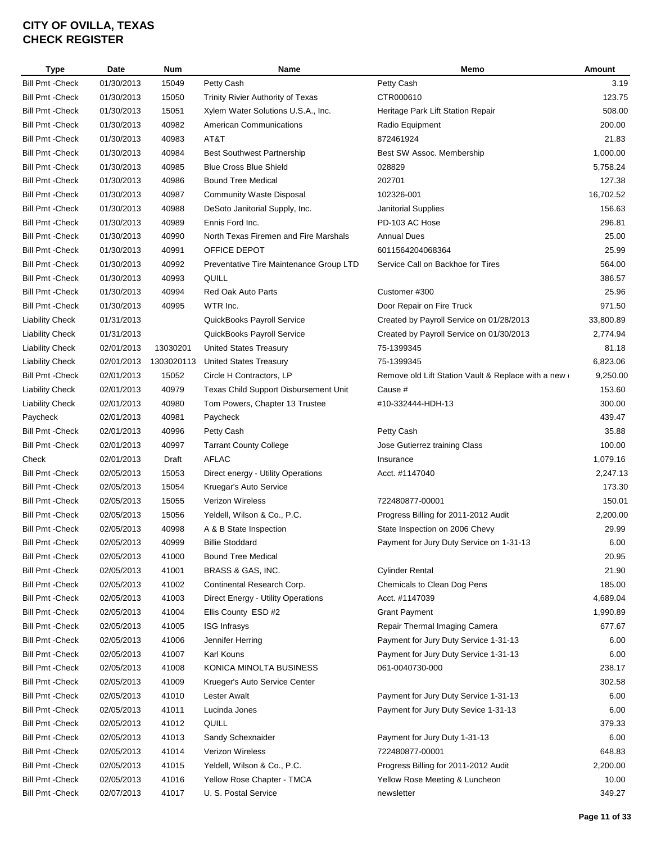| Type                    | Date       | <b>Num</b> | Name                                    | Memo                                                                                 | Amount    |
|-------------------------|------------|------------|-----------------------------------------|--------------------------------------------------------------------------------------|-----------|
| <b>Bill Pmt - Check</b> | 01/30/2013 | 15049      | Petty Cash                              | Petty Cash                                                                           | 3.19      |
| <b>Bill Pmt - Check</b> | 01/30/2013 | 15050      | Trinity Rivier Authority of Texas       | CTR000610                                                                            | 123.75    |
| <b>Bill Pmt - Check</b> | 01/30/2013 | 15051      | Xylem Water Solutions U.S.A., Inc.      | Heritage Park Lift Station Repair                                                    | 508.00    |
| <b>Bill Pmt - Check</b> | 01/30/2013 | 40982      | <b>American Communications</b>          | Radio Equipment                                                                      | 200.00    |
| <b>Bill Pmt - Check</b> | 01/30/2013 | 40983      | AT&T                                    | 872461924                                                                            | 21.83     |
| <b>Bill Pmt - Check</b> | 01/30/2013 | 40984      | <b>Best Southwest Partnership</b>       | Best SW Assoc. Membership                                                            | 1,000.00  |
| <b>Bill Pmt - Check</b> | 01/30/2013 | 40985      | <b>Blue Cross Blue Shield</b>           | 028829                                                                               | 5,758.24  |
| <b>Bill Pmt - Check</b> | 01/30/2013 | 40986      | <b>Bound Tree Medical</b>               | 202701                                                                               | 127.38    |
| <b>Bill Pmt - Check</b> | 01/30/2013 | 40987      | Community Waste Disposal                | 102326-001                                                                           | 16,702.52 |
| <b>Bill Pmt - Check</b> | 01/30/2013 | 40988      | DeSoto Janitorial Supply, Inc.          | Janitorial Supplies                                                                  | 156.63    |
| <b>Bill Pmt - Check</b> | 01/30/2013 | 40989      | Ennis Ford Inc.                         | PD-103 AC Hose                                                                       | 296.81    |
| <b>Bill Pmt - Check</b> | 01/30/2013 | 40990      | North Texas Firemen and Fire Marshals   | <b>Annual Dues</b>                                                                   | 25.00     |
| <b>Bill Pmt - Check</b> | 01/30/2013 | 40991      | OFFICE DEPOT                            | 6011564204068364                                                                     | 25.99     |
| <b>Bill Pmt - Check</b> | 01/30/2013 | 40992      | Preventative Tire Maintenance Group LTD | Service Call on Backhoe for Tires                                                    | 564.00    |
| <b>Bill Pmt - Check</b> | 01/30/2013 | 40993      | QUILL                                   |                                                                                      | 386.57    |
| <b>Bill Pmt - Check</b> | 01/30/2013 | 40994      | Red Oak Auto Parts                      | Customer #300                                                                        | 25.96     |
| <b>Bill Pmt - Check</b> | 01/30/2013 | 40995      | WTR Inc.                                | Door Repair on Fire Truck                                                            | 971.50    |
| <b>Liability Check</b>  | 01/31/2013 |            |                                         |                                                                                      | 33,800.89 |
|                         | 01/31/2013 |            | QuickBooks Payroll Service              | Created by Payroll Service on 01/28/2013<br>Created by Payroll Service on 01/30/2013 |           |
| <b>Liability Check</b>  |            | 13030201   | QuickBooks Payroll Service              |                                                                                      | 2,774.94  |
| <b>Liability Check</b>  | 02/01/2013 |            | <b>United States Treasury</b>           | 75-1399345                                                                           | 81.18     |
| <b>Liability Check</b>  | 02/01/2013 | 1303020113 | <b>United States Treasury</b>           | 75-1399345                                                                           | 6,823.06  |
| <b>Bill Pmt - Check</b> | 02/01/2013 | 15052      | Circle H Contractors, LP                | Remove old Lift Station Vault & Replace with a new                                   | 9,250.00  |
| <b>Liability Check</b>  | 02/01/2013 | 40979      | Texas Child Support Disbursement Unit   | Cause #                                                                              | 153.60    |
| <b>Liability Check</b>  | 02/01/2013 | 40980      | Tom Powers, Chapter 13 Trustee          | #10-332444-HDH-13                                                                    | 300.00    |
| Paycheck                | 02/01/2013 | 40981      | Paycheck                                |                                                                                      | 439.47    |
| <b>Bill Pmt - Check</b> | 02/01/2013 | 40996      | Petty Cash                              | Petty Cash                                                                           | 35.88     |
| <b>Bill Pmt - Check</b> | 02/01/2013 | 40997      | <b>Tarrant County College</b>           | Jose Gutierrez training Class                                                        | 100.00    |
| Check                   | 02/01/2013 | Draft      | <b>AFLAC</b>                            | Insurance                                                                            | 1,079.16  |
| <b>Bill Pmt - Check</b> | 02/05/2013 | 15053      | Direct energy - Utility Operations      | Acct. #1147040                                                                       | 2,247.13  |
| <b>Bill Pmt - Check</b> | 02/05/2013 | 15054      | Kruegar's Auto Service                  |                                                                                      | 173.30    |
| <b>Bill Pmt - Check</b> | 02/05/2013 | 15055      | Verizon Wireless                        | 722480877-00001                                                                      | 150.01    |
| <b>Bill Pmt - Check</b> | 02/05/2013 | 15056      | Yeldell, Wilson & Co., P.C.             | Progress Billing for 2011-2012 Audit                                                 | 2,200.00  |
| Bill Pmt - Check        | 02/05/2013 | 40998      | A & B State Inspection                  | State Inspection on 2006 Chevy                                                       | 29.99     |
| <b>Bill Pmt - Check</b> | 02/05/2013 | 40999      | <b>Billie Stoddard</b>                  | Payment for Jury Duty Service on 1-31-13                                             | 6.00      |
| Bill Pmt -Check         | 02/05/2013 | 41000      | Bound Tree Medical                      |                                                                                      | 20.95     |
| <b>Bill Pmt - Check</b> | 02/05/2013 | 41001      | BRASS & GAS, INC.                       | <b>Cylinder Rental</b>                                                               | 21.90     |
| <b>Bill Pmt - Check</b> | 02/05/2013 | 41002      | Continental Research Corp.              | Chemicals to Clean Dog Pens                                                          | 185.00    |
| <b>Bill Pmt - Check</b> | 02/05/2013 | 41003      | Direct Energy - Utility Operations      | Acct. #1147039                                                                       | 4,689.04  |
| <b>Bill Pmt - Check</b> | 02/05/2013 | 41004      | Ellis County ESD #2                     | <b>Grant Payment</b>                                                                 | 1,990.89  |
| Bill Pmt - Check        | 02/05/2013 | 41005      | <b>ISG Infrasys</b>                     | Repair Thermal Imaging Camera                                                        | 677.67    |
| <b>Bill Pmt - Check</b> | 02/05/2013 | 41006      | Jennifer Herring                        | Payment for Jury Duty Service 1-31-13                                                | 6.00      |
| <b>Bill Pmt - Check</b> | 02/05/2013 | 41007      | Karl Kouns                              | Payment for Jury Duty Service 1-31-13                                                | 6.00      |
| <b>Bill Pmt - Check</b> | 02/05/2013 | 41008      | KONICA MINOLTA BUSINESS                 | 061-0040730-000                                                                      | 238.17    |
| <b>Bill Pmt - Check</b> | 02/05/2013 | 41009      | Krueger's Auto Service Center           |                                                                                      | 302.58    |
| <b>Bill Pmt - Check</b> | 02/05/2013 | 41010      | Lester Awalt                            | Payment for Jury Duty Service 1-31-13                                                | 6.00      |
| <b>Bill Pmt - Check</b> | 02/05/2013 | 41011      | Lucinda Jones                           | Payment for Jury Duty Sevice 1-31-13                                                 | 6.00      |
| <b>Bill Pmt - Check</b> | 02/05/2013 | 41012      | QUILL                                   |                                                                                      | 379.33    |
| <b>Bill Pmt - Check</b> | 02/05/2013 | 41013      | Sandy Schexnaider                       | Payment for Jury Duty 1-31-13                                                        | 6.00      |
| <b>Bill Pmt - Check</b> | 02/05/2013 | 41014      | Verizon Wireless                        | 722480877-00001                                                                      | 648.83    |
| <b>Bill Pmt - Check</b> | 02/05/2013 | 41015      | Yeldell, Wilson & Co., P.C.             | Progress Billing for 2011-2012 Audit                                                 | 2,200.00  |
| <b>Bill Pmt - Check</b> | 02/05/2013 | 41016      | Yellow Rose Chapter - TMCA              | Yellow Rose Meeting & Luncheon                                                       | 10.00     |
| <b>Bill Pmt - Check</b> | 02/07/2013 | 41017      | U. S. Postal Service                    | newsletter                                                                           | 349.27    |
|                         |            |            |                                         |                                                                                      |           |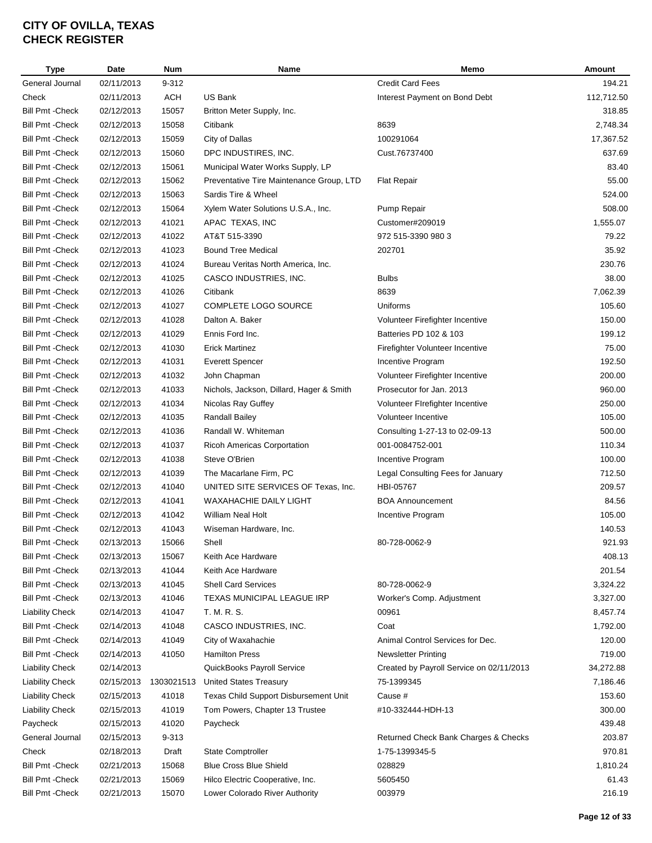| <b>Type</b>             | Date       | <b>Num</b> | Name                                     | Memo                                     | Amount     |
|-------------------------|------------|------------|------------------------------------------|------------------------------------------|------------|
| General Journal         | 02/11/2013 | 9-312      |                                          | <b>Credit Card Fees</b>                  | 194.21     |
| Check                   | 02/11/2013 | <b>ACH</b> | <b>US Bank</b>                           | Interest Payment on Bond Debt            | 112,712.50 |
| <b>Bill Pmt - Check</b> | 02/12/2013 | 15057      | Britton Meter Supply, Inc.               |                                          | 318.85     |
| <b>Bill Pmt - Check</b> | 02/12/2013 | 15058      | Citibank                                 | 8639                                     | 2,748.34   |
| <b>Bill Pmt - Check</b> | 02/12/2013 | 15059      | City of Dallas                           | 100291064                                | 17,367.52  |
| <b>Bill Pmt - Check</b> | 02/12/2013 | 15060      | DPC INDUSTIRES, INC.                     | Cust.76737400                            | 637.69     |
| <b>Bill Pmt - Check</b> | 02/12/2013 | 15061      | Municipal Water Works Supply, LP         |                                          | 83.40      |
| <b>Bill Pmt - Check</b> | 02/12/2013 | 15062      | Preventative Tire Maintenance Group, LTD | <b>Flat Repair</b>                       | 55.00      |
| <b>Bill Pmt - Check</b> | 02/12/2013 | 15063      | Sardis Tire & Wheel                      |                                          | 524.00     |
| <b>Bill Pmt - Check</b> | 02/12/2013 | 15064      | Xylem Water Solutions U.S.A., Inc.       | Pump Repair                              | 508.00     |
| <b>Bill Pmt - Check</b> | 02/12/2013 | 41021      | APAC TEXAS, INC                          | Customer#209019                          | 1,555.07   |
| <b>Bill Pmt - Check</b> | 02/12/2013 | 41022      | AT&T 515-3390                            | 972 515-3390 980 3                       | 79.22      |
| <b>Bill Pmt - Check</b> | 02/12/2013 | 41023      | <b>Bound Tree Medical</b>                | 202701                                   | 35.92      |
| <b>Bill Pmt - Check</b> | 02/12/2013 | 41024      | Bureau Veritas North America, Inc.       |                                          | 230.76     |
| <b>Bill Pmt - Check</b> | 02/12/2013 | 41025      | CASCO INDUSTRIES, INC.                   | <b>Bulbs</b>                             | 38.00      |
| <b>Bill Pmt - Check</b> | 02/12/2013 | 41026      | Citibank                                 | 8639                                     | 7,062.39   |
|                         |            |            | COMPLETE LOGO SOURCE                     |                                          | 105.60     |
| <b>Bill Pmt - Check</b> | 02/12/2013 | 41027      |                                          | Uniforms                                 |            |
| <b>Bill Pmt - Check</b> | 02/12/2013 | 41028      | Dalton A. Baker                          | Volunteer Firefighter Incentive          | 150.00     |
| <b>Bill Pmt - Check</b> | 02/12/2013 | 41029      | Ennis Ford Inc.                          | Batteries PD 102 & 103                   | 199.12     |
| <b>Bill Pmt - Check</b> | 02/12/2013 | 41030      | <b>Erick Martinez</b>                    | Firefighter Volunteer Incentive          | 75.00      |
| <b>Bill Pmt - Check</b> | 02/12/2013 | 41031      | <b>Everett Spencer</b>                   | Incentive Program                        | 192.50     |
| <b>Bill Pmt - Check</b> | 02/12/2013 | 41032      | John Chapman                             | Volunteer Firefighter Incentive          | 200.00     |
| <b>Bill Pmt - Check</b> | 02/12/2013 | 41033      | Nichols, Jackson, Dillard, Hager & Smith | Prosecutor for Jan. 2013                 | 960.00     |
| <b>Bill Pmt - Check</b> | 02/12/2013 | 41034      | Nicolas Ray Guffey                       | Volunteer FIrefighter Incentive          | 250.00     |
| <b>Bill Pmt - Check</b> | 02/12/2013 | 41035      | <b>Randall Bailey</b>                    | Volunteer Incentive                      | 105.00     |
| <b>Bill Pmt - Check</b> | 02/12/2013 | 41036      | Randall W. Whiteman                      | Consulting 1-27-13 to 02-09-13           | 500.00     |
| <b>Bill Pmt - Check</b> | 02/12/2013 | 41037      | Ricoh Americas Corportation              | 001-0084752-001                          | 110.34     |
| <b>Bill Pmt - Check</b> | 02/12/2013 | 41038      | Steve O'Brien                            | Incentive Program                        | 100.00     |
| <b>Bill Pmt - Check</b> | 02/12/2013 | 41039      | The Macarlane Firm, PC                   | Legal Consulting Fees for January        | 712.50     |
| <b>Bill Pmt - Check</b> | 02/12/2013 | 41040      | UNITED SITE SERVICES OF Texas, Inc.      | HBI-05767                                | 209.57     |
| <b>Bill Pmt - Check</b> | 02/12/2013 | 41041      | WAXAHACHIE DAILY LIGHT                   | <b>BOA Announcement</b>                  | 84.56      |
| <b>Bill Pmt - Check</b> | 02/12/2013 | 41042      | William Neal Holt                        | Incentive Program                        | 105.00     |
| <b>Bill Pmt - Check</b> | 02/12/2013 | 41043      | Wiseman Hardware, Inc.                   |                                          | 140.53     |
| <b>Bill Pmt - Check</b> | 02/13/2013 | 15066      | Shell                                    | 80-728-0062-9                            | 921.93     |
| <b>Bill Pmt - Check</b> | 02/13/2013 | 15067      | Keith Ace Hardware                       |                                          | 408.13     |
| <b>Bill Pmt - Check</b> | 02/13/2013 | 41044      | Keith Ace Hardware                       |                                          | 201.54     |
| <b>Bill Pmt - Check</b> | 02/13/2013 | 41045      | <b>Shell Card Services</b>               | 80-728-0062-9                            | 3,324.22   |
| <b>Bill Pmt - Check</b> | 02/13/2013 | 41046      | TEXAS MUNICIPAL LEAGUE IRP               | Worker's Comp. Adjustment                | 3,327.00   |
| <b>Liability Check</b>  | 02/14/2013 | 41047      | T. M. R. S.                              | 00961                                    | 8,457.74   |
| <b>Bill Pmt - Check</b> | 02/14/2013 | 41048      | CASCO INDUSTRIES, INC.                   | Coat                                     | 1,792.00   |
| <b>Bill Pmt - Check</b> | 02/14/2013 | 41049      | City of Waxahachie                       | Animal Control Services for Dec.         | 120.00     |
| <b>Bill Pmt - Check</b> | 02/14/2013 | 41050      | <b>Hamilton Press</b>                    | <b>Newsletter Printing</b>               | 719.00     |
| <b>Liability Check</b>  | 02/14/2013 |            | QuickBooks Payroll Service               | Created by Payroll Service on 02/11/2013 | 34,272.88  |
| <b>Liability Check</b>  | 02/15/2013 | 1303021513 | <b>United States Treasury</b>            | 75-1399345                               | 7,186.46   |
| <b>Liability Check</b>  | 02/15/2013 | 41018      | Texas Child Support Disbursement Unit    | Cause #                                  | 153.60     |
| <b>Liability Check</b>  | 02/15/2013 | 41019      | Tom Powers, Chapter 13 Trustee           | #10-332444-HDH-13                        | 300.00     |
| Paycheck                | 02/15/2013 | 41020      | Paycheck                                 |                                          | 439.48     |
| General Journal         | 02/15/2013 | 9-313      |                                          | Returned Check Bank Charges & Checks     | 203.87     |
| Check                   | 02/18/2013 | Draft      | <b>State Comptroller</b>                 | 1-75-1399345-5                           | 970.81     |
| <b>Bill Pmt - Check</b> | 02/21/2013 | 15068      | <b>Blue Cross Blue Shield</b>            | 028829                                   | 1,810.24   |
|                         |            |            |                                          |                                          |            |
| <b>Bill Pmt - Check</b> | 02/21/2013 | 15069      | Hilco Electric Cooperative, Inc.         | 5605450                                  | 61.43      |
| <b>Bill Pmt - Check</b> | 02/21/2013 | 15070      | Lower Colorado River Authority           | 003979                                   | 216.19     |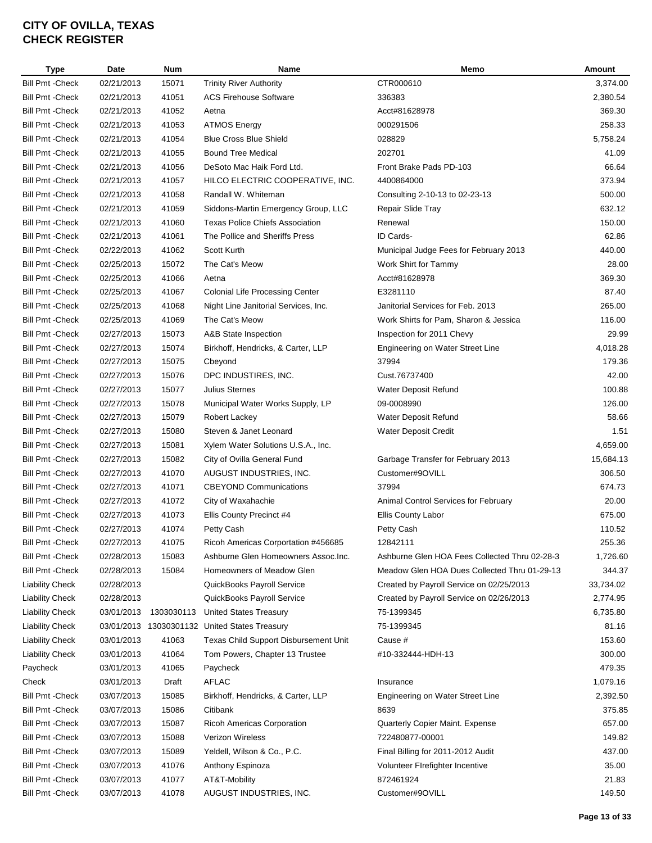| Type                    | Date       | <b>Num</b> | Name                                          | Memo                                          | Amount    |
|-------------------------|------------|------------|-----------------------------------------------|-----------------------------------------------|-----------|
| <b>Bill Pmt - Check</b> | 02/21/2013 | 15071      | <b>Trinity River Authority</b>                | CTR000610                                     | 3,374.00  |
| <b>Bill Pmt - Check</b> | 02/21/2013 | 41051      | <b>ACS Firehouse Software</b>                 | 336383                                        | 2,380.54  |
| <b>Bill Pmt - Check</b> | 02/21/2013 | 41052      | Aetna                                         | Acct#81628978                                 | 369.30    |
| <b>Bill Pmt - Check</b> | 02/21/2013 | 41053      | <b>ATMOS Energy</b>                           | 000291506                                     | 258.33    |
| <b>Bill Pmt - Check</b> | 02/21/2013 | 41054      | <b>Blue Cross Blue Shield</b>                 | 028829                                        | 5,758.24  |
| <b>Bill Pmt - Check</b> | 02/21/2013 | 41055      | <b>Bound Tree Medical</b>                     | 202701                                        | 41.09     |
| <b>Bill Pmt - Check</b> | 02/21/2013 | 41056      | DeSoto Mac Haik Ford Ltd.                     | Front Brake Pads PD-103                       | 66.64     |
| <b>Bill Pmt - Check</b> | 02/21/2013 | 41057      | HILCO ELECTRIC COOPERATIVE, INC.              | 4400864000                                    | 373.94    |
| <b>Bill Pmt - Check</b> | 02/21/2013 | 41058      | Randall W. Whiteman                           | Consulting 2-10-13 to 02-23-13                | 500.00    |
| Bill Pmt - Check        | 02/21/2013 | 41059      | Siddons-Martin Emergency Group, LLC           | Repair Slide Tray                             | 632.12    |
| <b>Bill Pmt - Check</b> | 02/21/2013 | 41060      | <b>Texas Police Chiefs Association</b>        | Renewal                                       | 150.00    |
| <b>Bill Pmt - Check</b> | 02/21/2013 | 41061      | The Pollice and Sheriffs Press                | ID Cards-                                     | 62.86     |
| <b>Bill Pmt - Check</b> | 02/22/2013 | 41062      | Scott Kurth                                   | Municipal Judge Fees for February 2013        | 440.00    |
| <b>Bill Pmt - Check</b> | 02/25/2013 | 15072      | The Cat's Meow                                | Work Shirt for Tammy                          | 28.00     |
| <b>Bill Pmt - Check</b> | 02/25/2013 | 41066      | Aetna                                         | Acct#81628978                                 | 369.30    |
| <b>Bill Pmt - Check</b> | 02/25/2013 | 41067      | <b>Colonial Life Processing Center</b>        | E3281110                                      | 87.40     |
| <b>Bill Pmt - Check</b> | 02/25/2013 | 41068      | Night Line Janitorial Services, Inc.          | Janitorial Services for Feb. 2013             | 265.00    |
| <b>Bill Pmt - Check</b> | 02/25/2013 | 41069      | The Cat's Meow                                | Work Shirts for Pam, Sharon & Jessica         | 116.00    |
| <b>Bill Pmt - Check</b> | 02/27/2013 | 15073      | A&B State Inspection                          | Inspection for 2011 Chevy                     | 29.99     |
| <b>Bill Pmt - Check</b> | 02/27/2013 | 15074      | Birkhoff, Hendricks, & Carter, LLP            | Engineering on Water Street Line              | 4,018.28  |
| <b>Bill Pmt - Check</b> | 02/27/2013 | 15075      | Cbeyond                                       | 37994                                         | 179.36    |
| <b>Bill Pmt - Check</b> | 02/27/2013 | 15076      | DPC INDUSTIRES, INC.                          | Cust.76737400                                 | 42.00     |
| <b>Bill Pmt - Check</b> | 02/27/2013 | 15077      | Julius Sternes                                | Water Deposit Refund                          | 100.88    |
| <b>Bill Pmt - Check</b> | 02/27/2013 | 15078      | Municipal Water Works Supply, LP              | 09-0008990                                    | 126.00    |
| <b>Bill Pmt - Check</b> | 02/27/2013 | 15079      | Robert Lackey                                 | Water Deposit Refund                          | 58.66     |
| <b>Bill Pmt - Check</b> | 02/27/2013 | 15080      | Steven & Janet Leonard                        | Water Deposit Credit                          | 1.51      |
| <b>Bill Pmt - Check</b> | 02/27/2013 | 15081      | Xylem Water Solutions U.S.A., Inc.            |                                               | 4,659.00  |
| <b>Bill Pmt - Check</b> | 02/27/2013 | 15082      | City of Ovilla General Fund                   | Garbage Transfer for February 2013            | 15,684.13 |
| Bill Pmt - Check        | 02/27/2013 | 41070      | AUGUST INDUSTRIES, INC.                       | Customer#9OVILL                               | 306.50    |
| <b>Bill Pmt - Check</b> | 02/27/2013 | 41071      | <b>CBEYOND Communications</b>                 | 37994                                         | 674.73    |
| <b>Bill Pmt - Check</b> | 02/27/2013 | 41072      | City of Waxahachie                            | Animal Control Services for February          | 20.00     |
| Bill Pmt - Check        | 02/27/2013 | 41073      | Ellis County Precinct #4                      | Ellis County Labor                            | 675.00    |
| <b>Bill Pmt - Check</b> | 02/27/2013 | 41074      | Petty Cash                                    | Petty Cash                                    | 110.52    |
| <b>Bill Pmt - Check</b> | 02/27/2013 | 41075      | Ricoh Americas Corportation #456685           | 12842111                                      | 255.36    |
| <b>Bill Pmt - Check</b> | 02/28/2013 | 15083      | Ashburne Glen Homeowners Assoc.Inc.           | Ashburne Glen HOA Fees Collected Thru 02-28-3 | 1,726.60  |
| <b>Bill Pmt - Check</b> | 02/28/2013 | 15084      | Homeowners of Meadow Glen                     | Meadow Glen HOA Dues Collected Thru 01-29-13  | 344.37    |
| <b>Liability Check</b>  | 02/28/2013 |            | QuickBooks Payroll Service                    | Created by Payroll Service on 02/25/2013      | 33,734.02 |
| <b>Liability Check</b>  | 02/28/2013 |            | QuickBooks Payroll Service                    | Created by Payroll Service on 02/26/2013      | 2,774.95  |
| <b>Liability Check</b>  | 03/01/2013 | 1303030113 | United States Treasury                        | 75-1399345                                    | 6,735.80  |
| <b>Liability Check</b>  |            |            | 03/01/2013 13030301132 United States Treasury | 75-1399345                                    | 81.16     |
| <b>Liability Check</b>  | 03/01/2013 | 41063      | Texas Child Support Disbursement Unit         | Cause #                                       | 153.60    |
| <b>Liability Check</b>  | 03/01/2013 | 41064      | Tom Powers, Chapter 13 Trustee                | #10-332444-HDH-13                             | 300.00    |
|                         |            |            |                                               |                                               | 479.35    |
| Paycheck                | 03/01/2013 | 41065      | Paycheck                                      |                                               |           |
| Check                   | 03/01/2013 | Draft      | AFLAC                                         | Insurance                                     | 1,079.16  |
| <b>Bill Pmt - Check</b> | 03/07/2013 | 15085      | Birkhoff, Hendricks, & Carter, LLP            | Engineering on Water Street Line              | 2,392.50  |
| Bill Pmt -Check         | 03/07/2013 | 15086      | Citibank                                      | 8639                                          | 375.85    |
| Bill Pmt -Check         | 03/07/2013 | 15087      | Ricoh Americas Corporation                    | Quarterly Copier Maint. Expense               | 657.00    |
| <b>Bill Pmt - Check</b> | 03/07/2013 | 15088      | Verizon Wireless                              | 722480877-00001                               | 149.82    |
| Bill Pmt - Check        | 03/07/2013 | 15089      | Yeldell, Wilson & Co., P.C.                   | Final Billing for 2011-2012 Audit             | 437.00    |
| Bill Pmt - Check        | 03/07/2013 | 41076      | Anthony Espinoza                              | Volunteer Firefighter Incentive               | 35.00     |
| Bill Pmt - Check        | 03/07/2013 | 41077      | AT&T-Mobility                                 | 872461924                                     | 21.83     |
| <b>Bill Pmt - Check</b> | 03/07/2013 | 41078      | AUGUST INDUSTRIES, INC.                       | Customer#9OVILL                               | 149.50    |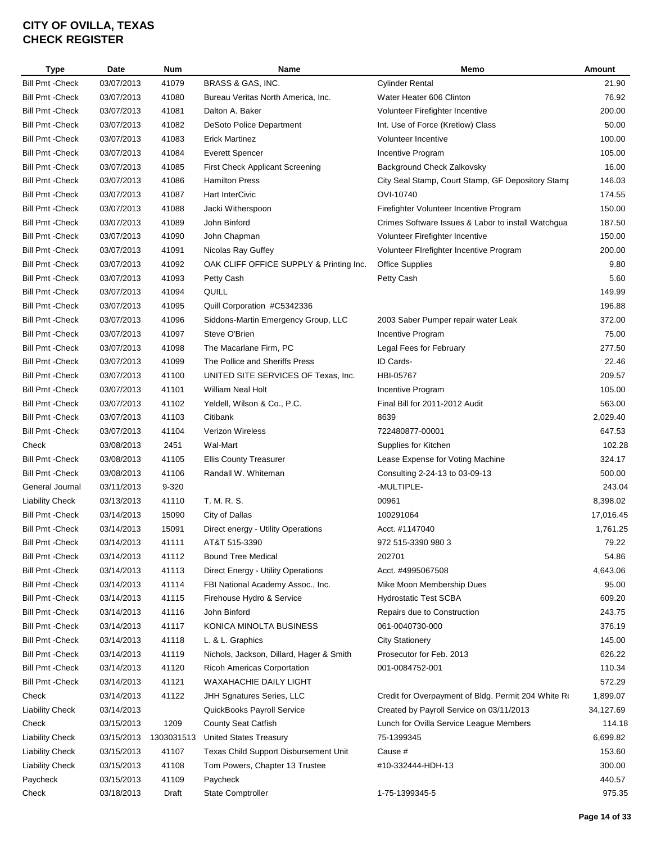| <b>Type</b>                                        | Date       | <b>Num</b> | Name                                     | Memo                                                | Amount    |
|----------------------------------------------------|------------|------------|------------------------------------------|-----------------------------------------------------|-----------|
| <b>Bill Pmt - Check</b>                            | 03/07/2013 | 41079      | BRASS & GAS, INC.                        | <b>Cylinder Rental</b>                              | 21.90     |
| <b>Bill Pmt - Check</b>                            | 03/07/2013 | 41080      | Bureau Veritas North America, Inc.       | Water Heater 606 Clinton                            | 76.92     |
| <b>Bill Pmt - Check</b>                            | 03/07/2013 | 41081      | Dalton A. Baker                          | Volunteer Firefighter Incentive                     | 200.00    |
| <b>Bill Pmt - Check</b>                            | 03/07/2013 | 41082      | <b>DeSoto Police Department</b>          | Int. Use of Force (Kretlow) Class                   | 50.00     |
| <b>Bill Pmt - Check</b>                            | 03/07/2013 | 41083      | <b>Erick Martinez</b>                    | Volunteer Incentive                                 | 100.00    |
| <b>Bill Pmt - Check</b>                            | 03/07/2013 | 41084      | <b>Everett Spencer</b>                   | Incentive Program                                   | 105.00    |
| <b>Bill Pmt - Check</b>                            | 03/07/2013 | 41085      | First Check Applicant Screening          | Background Check Zalkovsky                          | 16.00     |
| Bill Pmt - Check                                   | 03/07/2013 | 41086      | <b>Hamilton Press</b>                    | City Seal Stamp, Court Stamp, GF Depository Stamp   | 146.03    |
| <b>Bill Pmt - Check</b>                            | 03/07/2013 | 41087      | <b>Hart InterCivic</b>                   | OVI-10740                                           | 174.55    |
| <b>Bill Pmt - Check</b>                            | 03/07/2013 | 41088      | Jacki Witherspoon                        | Firefighter Volunteer Incentive Program             | 150.00    |
| <b>Bill Pmt - Check</b>                            | 03/07/2013 | 41089      | John Binford                             | Crimes Software Issues & Labor to install Watchgua  | 187.50    |
| <b>Bill Pmt - Check</b>                            | 03/07/2013 | 41090      | John Chapman                             | Volunteer Firefighter Incentive                     | 150.00    |
| <b>Bill Pmt - Check</b>                            | 03/07/2013 | 41091      | Nicolas Ray Guffey                       | Volunteer FIrefighter Incentive Program             | 200.00    |
| <b>Bill Pmt - Check</b>                            | 03/07/2013 | 41092      | OAK CLIFF OFFICE SUPPLY & Printing Inc.  | <b>Office Supplies</b>                              | 9.80      |
| <b>Bill Pmt - Check</b>                            | 03/07/2013 | 41093      | Petty Cash                               | Petty Cash                                          | 5.60      |
| <b>Bill Pmt - Check</b>                            | 03/07/2013 | 41094      | QUILL                                    |                                                     | 149.99    |
| <b>Bill Pmt - Check</b>                            | 03/07/2013 | 41095      | Quill Corporation #C5342336              |                                                     | 196.88    |
| <b>Bill Pmt - Check</b>                            | 03/07/2013 | 41096      | Siddons-Martin Emergency Group, LLC      | 2003 Saber Pumper repair water Leak                 | 372.00    |
| <b>Bill Pmt - Check</b>                            | 03/07/2013 | 41097      | Steve O'Brien                            | Incentive Program                                   | 75.00     |
|                                                    | 03/07/2013 |            |                                          |                                                     | 277.50    |
| <b>Bill Pmt - Check</b><br><b>Bill Pmt - Check</b> |            | 41098      | The Macarlane Firm, PC                   | Legal Fees for February                             |           |
|                                                    | 03/07/2013 | 41099      | The Pollice and Sheriffs Press           | ID Cards-                                           | 22.46     |
| <b>Bill Pmt - Check</b>                            | 03/07/2013 | 41100      | UNITED SITE SERVICES OF Texas, Inc.      | HBI-05767                                           | 209.57    |
| <b>Bill Pmt - Check</b>                            | 03/07/2013 | 41101      | William Neal Holt                        | Incentive Program                                   | 105.00    |
| <b>Bill Pmt - Check</b>                            | 03/07/2013 | 41102      | Yeldell, Wilson & Co., P.C.              | Final Bill for 2011-2012 Audit                      | 563.00    |
| <b>Bill Pmt - Check</b>                            | 03/07/2013 | 41103      | Citibank                                 | 8639                                                | 2,029.40  |
| <b>Bill Pmt - Check</b>                            | 03/07/2013 | 41104      | Verizon Wireless                         | 722480877-00001                                     | 647.53    |
| Check                                              | 03/08/2013 | 2451       | Wal-Mart                                 | Supplies for Kitchen                                | 102.28    |
| <b>Bill Pmt - Check</b>                            | 03/08/2013 | 41105      | <b>Ellis County Treasurer</b>            | Lease Expense for Voting Machine                    | 324.17    |
| <b>Bill Pmt - Check</b>                            | 03/08/2013 | 41106      | Randall W. Whiteman                      | Consulting 2-24-13 to 03-09-13                      | 500.00    |
| General Journal                                    | 03/11/2013 | 9-320      |                                          | -MULTIPLE-                                          | 243.04    |
| <b>Liability Check</b>                             | 03/13/2013 | 41110      | T. M. R. S.                              | 00961                                               | 8,398.02  |
| <b>Bill Pmt - Check</b>                            | 03/14/2013 | 15090      | City of Dallas                           | 100291064                                           | 17,016.45 |
| <b>Bill Pmt - Check</b>                            | 03/14/2013 | 15091      | Direct energy - Utility Operations       | Acct. #1147040                                      | 1,761.25  |
| Bill Pmt - Check                                   | 03/14/2013 | 41111      | AT&T 515-3390                            | 972 515-3390 980 3                                  | 79.22     |
| Bill Pmt -Check                                    | 03/14/2013 | 41112      | <b>Bound Tree Medical</b>                | 202701                                              | 54.86     |
| <b>Bill Pmt - Check</b>                            | 03/14/2013 | 41113      | Direct Energy - Utility Operations       | Acct. #4995067508                                   | 4,643.06  |
| <b>Bill Pmt - Check</b>                            | 03/14/2013 | 41114      | FBI National Academy Assoc., Inc.        | Mike Moon Membership Dues                           | 95.00     |
| <b>Bill Pmt - Check</b>                            | 03/14/2013 | 41115      | Firehouse Hydro & Service                | <b>Hydrostatic Test SCBA</b>                        | 609.20    |
| <b>Bill Pmt - Check</b>                            | 03/14/2013 | 41116      | John Binford                             | Repairs due to Construction                         | 243.75    |
| Bill Pmt -Check                                    | 03/14/2013 | 41117      | KONICA MINOLTA BUSINESS                  | 061-0040730-000                                     | 376.19    |
| <b>Bill Pmt - Check</b>                            | 03/14/2013 | 41118      | L. & L. Graphics                         | <b>City Stationery</b>                              | 145.00    |
| <b>Bill Pmt - Check</b>                            | 03/14/2013 | 41119      | Nichols, Jackson, Dillard, Hager & Smith | Prosecutor for Feb. 2013                            | 626.22    |
| <b>Bill Pmt - Check</b>                            | 03/14/2013 | 41120      | <b>Ricoh Americas Corportation</b>       | 001-0084752-001                                     | 110.34    |
| <b>Bill Pmt - Check</b>                            | 03/14/2013 | 41121      | WAXAHACHIE DAILY LIGHT                   |                                                     | 572.29    |
| Check                                              | 03/14/2013 | 41122      | JHH Sgnatures Series, LLC                | Credit for Overpayment of Bldg. Permit 204 White Ro | 1,899.07  |
| <b>Liability Check</b>                             | 03/14/2013 |            | QuickBooks Payroll Service               | Created by Payroll Service on 03/11/2013            | 34,127.69 |
| Check                                              | 03/15/2013 | 1209       | <b>County Seat Catfish</b>               | Lunch for Ovilla Service League Members             | 114.18    |
| <b>Liability Check</b>                             | 03/15/2013 | 1303031513 | <b>United States Treasury</b>            | 75-1399345                                          | 6,699.82  |
| <b>Liability Check</b>                             | 03/15/2013 | 41107      | Texas Child Support Disbursement Unit    | Cause #                                             | 153.60    |
| <b>Liability Check</b>                             | 03/15/2013 | 41108      | Tom Powers, Chapter 13 Trustee           | #10-332444-HDH-13                                   | 300.00    |
| Paycheck                                           | 03/15/2013 | 41109      | Paycheck                                 |                                                     | 440.57    |
| Check                                              | 03/18/2013 | Draft      | <b>State Comptroller</b>                 | 1-75-1399345-5                                      | 975.35    |
|                                                    |            |            |                                          |                                                     |           |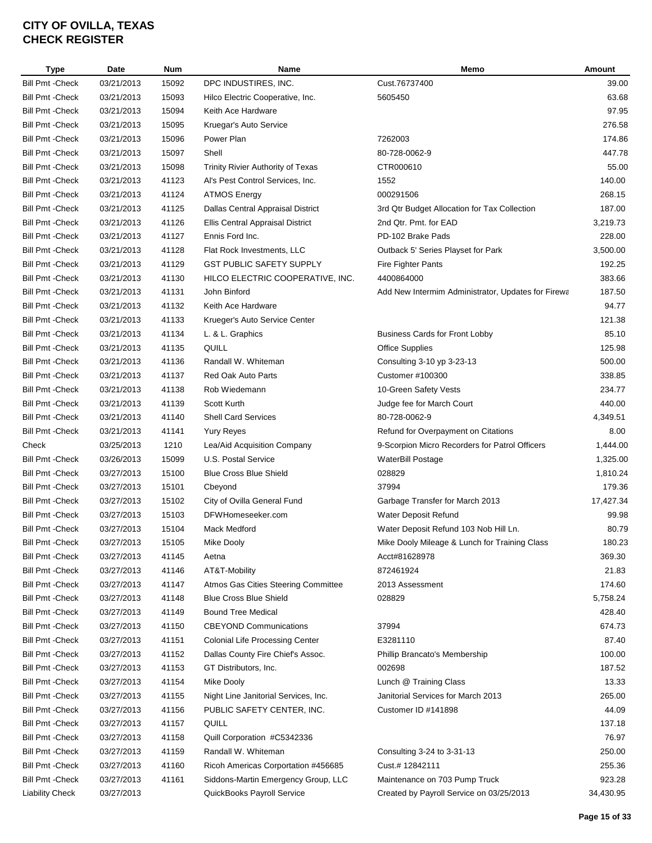| Type                    | Date       | <b>Num</b> | Name                                   | Memo                                               | Amount    |
|-------------------------|------------|------------|----------------------------------------|----------------------------------------------------|-----------|
| <b>Bill Pmt - Check</b> | 03/21/2013 | 15092      | DPC INDUSTIRES, INC.                   | Cust.76737400                                      | 39.00     |
| <b>Bill Pmt - Check</b> | 03/21/2013 | 15093      | Hilco Electric Cooperative, Inc.       | 5605450                                            | 63.68     |
| <b>Bill Pmt - Check</b> | 03/21/2013 | 15094      | Keith Ace Hardware                     |                                                    | 97.95     |
| <b>Bill Pmt - Check</b> | 03/21/2013 | 15095      | Kruegar's Auto Service                 |                                                    | 276.58    |
| <b>Bill Pmt - Check</b> | 03/21/2013 | 15096      | Power Plan                             | 7262003                                            | 174.86    |
| <b>Bill Pmt - Check</b> | 03/21/2013 | 15097      | Shell                                  | 80-728-0062-9                                      | 447.78    |
| <b>Bill Pmt - Check</b> | 03/21/2013 | 15098      | Trinity Rivier Authority of Texas      | CTR000610                                          | 55.00     |
| <b>Bill Pmt - Check</b> | 03/21/2013 | 41123      | Al's Pest Control Services, Inc.       | 1552                                               | 140.00    |
| <b>Bill Pmt - Check</b> | 03/21/2013 | 41124      | <b>ATMOS Energy</b>                    | 000291506                                          | 268.15    |
| <b>Bill Pmt - Check</b> | 03/21/2013 | 41125      | Dallas Central Appraisal District      | 3rd Qtr Budget Allocation for Tax Collection       | 187.00    |
| <b>Bill Pmt - Check</b> | 03/21/2013 | 41126      | Ellis Central Appraisal District       | 2nd Qtr. Pmt. for EAD                              | 3,219.73  |
| <b>Bill Pmt - Check</b> | 03/21/2013 | 41127      | Ennis Ford Inc.                        | PD-102 Brake Pads                                  | 228.00    |
| <b>Bill Pmt - Check</b> | 03/21/2013 | 41128      | Flat Rock Investments, LLC             | Outback 5' Series Playset for Park                 | 3,500.00  |
| <b>Bill Pmt - Check</b> | 03/21/2013 | 41129      | <b>GST PUBLIC SAFETY SUPPLY</b>        | Fire Fighter Pants                                 | 192.25    |
| <b>Bill Pmt - Check</b> | 03/21/2013 | 41130      | HILCO ELECTRIC COOPERATIVE, INC.       | 4400864000                                         | 383.66    |
| <b>Bill Pmt - Check</b> | 03/21/2013 | 41131      | John Binford                           | Add New Intermim Administrator, Updates for Firewa | 187.50    |
| <b>Bill Pmt - Check</b> | 03/21/2013 | 41132      | Keith Ace Hardware                     |                                                    | 94.77     |
| <b>Bill Pmt - Check</b> | 03/21/2013 | 41133      | Krueger's Auto Service Center          |                                                    | 121.38    |
|                         | 03/21/2013 |            |                                        | <b>Business Cards for Front Lobby</b>              | 85.10     |
| <b>Bill Pmt - Check</b> |            | 41134      | L. & L. Graphics                       |                                                    |           |
| <b>Bill Pmt - Check</b> | 03/21/2013 | 41135      | QUILL                                  | <b>Office Supplies</b>                             | 125.98    |
| <b>Bill Pmt - Check</b> | 03/21/2013 | 41136      | Randall W. Whiteman                    | Consulting 3-10 yp 3-23-13                         | 500.00    |
| <b>Bill Pmt - Check</b> | 03/21/2013 | 41137      | <b>Red Oak Auto Parts</b>              | Customer #100300                                   | 338.85    |
| <b>Bill Pmt - Check</b> | 03/21/2013 | 41138      | Rob Wiedemann                          | 10-Green Safety Vests                              | 234.77    |
| <b>Bill Pmt - Check</b> | 03/21/2013 | 41139      | Scott Kurth                            | Judge fee for March Court                          | 440.00    |
| <b>Bill Pmt - Check</b> | 03/21/2013 | 41140      | Shell Card Services                    | 80-728-0062-9                                      | 4,349.51  |
| <b>Bill Pmt - Check</b> | 03/21/2013 | 41141      | <b>Yury Reyes</b>                      | Refund for Overpayment on Citations                | 8.00      |
| Check                   | 03/25/2013 | 1210       | Lea/Aid Acquisition Company            | 9-Scorpion Micro Recorders for Patrol Officers     | 1,444.00  |
| <b>Bill Pmt - Check</b> | 03/26/2013 | 15099      | U.S. Postal Service                    | <b>WaterBill Postage</b>                           | 1,325.00  |
| <b>Bill Pmt - Check</b> | 03/27/2013 | 15100      | <b>Blue Cross Blue Shield</b>          | 028829                                             | 1,810.24  |
| <b>Bill Pmt - Check</b> | 03/27/2013 | 15101      | Cbeyond                                | 37994                                              | 179.36    |
| <b>Bill Pmt - Check</b> | 03/27/2013 | 15102      | City of Ovilla General Fund            | Garbage Transfer for March 2013                    | 17,427.34 |
| <b>Bill Pmt - Check</b> | 03/27/2013 | 15103      | DFWHomeseeker.com                      | Water Deposit Refund                               | 99.98     |
| <b>Bill Pmt - Check</b> | 03/27/2013 | 15104      | Mack Medford                           | Water Deposit Refund 103 Nob Hill Ln.              | 80.79     |
| <b>Bill Pmt - Check</b> | 03/27/2013 | 15105      | Mike Dooly                             | Mike Dooly Mileage & Lunch for Training Class      | 180.23    |
| <b>Bill Pmt - Check</b> | 03/27/2013 | 41145      | Aetna                                  | Acct#81628978                                      | 369.30    |
| <b>Bill Pmt - Check</b> | 03/27/2013 | 41146      | AT&T-Mobility                          | 872461924                                          | 21.83     |
| <b>Bill Pmt - Check</b> | 03/27/2013 | 41147      | Atmos Gas Cities Steering Committee    | 2013 Assessment                                    | 174.60    |
| <b>Bill Pmt - Check</b> | 03/27/2013 | 41148      | <b>Blue Cross Blue Shield</b>          | 028829                                             | 5,758.24  |
| <b>Bill Pmt - Check</b> | 03/27/2013 | 41149      | <b>Bound Tree Medical</b>              |                                                    | 428.40    |
| <b>Bill Pmt - Check</b> | 03/27/2013 | 41150      | <b>CBEYOND Communications</b>          | 37994                                              | 674.73    |
| <b>Bill Pmt - Check</b> | 03/27/2013 | 41151      | <b>Colonial Life Processing Center</b> | E3281110                                           | 87.40     |
| <b>Bill Pmt - Check</b> | 03/27/2013 | 41152      | Dallas County Fire Chief's Assoc.      | Phillip Brancato's Membership                      | 100.00    |
| <b>Bill Pmt - Check</b> | 03/27/2013 | 41153      | GT Distributors, Inc.                  | 002698                                             | 187.52    |
| <b>Bill Pmt - Check</b> | 03/27/2013 | 41154      | Mike Dooly                             | Lunch @ Training Class                             | 13.33     |
| <b>Bill Pmt - Check</b> | 03/27/2013 | 41155      | Night Line Janitorial Services, Inc.   | Janitorial Services for March 2013                 | 265.00    |
| <b>Bill Pmt - Check</b> | 03/27/2013 | 41156      | PUBLIC SAFETY CENTER, INC.             | Customer ID #141898                                | 44.09     |
| <b>Bill Pmt - Check</b> | 03/27/2013 | 41157      | QUILL                                  |                                                    | 137.18    |
| <b>Bill Pmt - Check</b> | 03/27/2013 | 41158      | Quill Corporation #C5342336            |                                                    | 76.97     |
| <b>Bill Pmt - Check</b> | 03/27/2013 | 41159      | Randall W. Whiteman                    | Consulting 3-24 to 3-31-13                         | 250.00    |
| <b>Bill Pmt - Check</b> | 03/27/2013 | 41160      | Ricoh Americas Corportation #456685    | Cust.# 12842111                                    | 255.36    |
| <b>Bill Pmt - Check</b> | 03/27/2013 | 41161      | Siddons-Martin Emergency Group, LLC    | Maintenance on 703 Pump Truck                      | 923.28    |
| <b>Liability Check</b>  | 03/27/2013 |            | QuickBooks Payroll Service             | Created by Payroll Service on 03/25/2013           | 34,430.95 |
|                         |            |            |                                        |                                                    |           |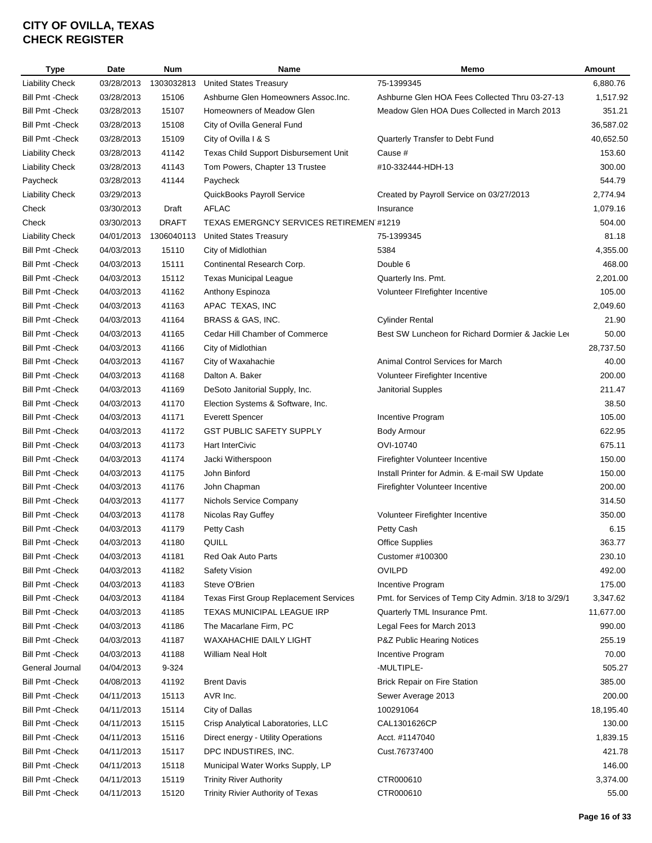| <b>Type</b>             | Date       | <b>Num</b>   | Name                                           | Memo                                                 | Amount    |
|-------------------------|------------|--------------|------------------------------------------------|------------------------------------------------------|-----------|
| <b>Liability Check</b>  | 03/28/2013 | 1303032813   | <b>United States Treasury</b>                  | 75-1399345                                           | 6,880.76  |
| <b>Bill Pmt - Check</b> | 03/28/2013 | 15106        | Ashburne Glen Homeowners Assoc.Inc.            | Ashburne Glen HOA Fees Collected Thru 03-27-13       | 1,517.92  |
| <b>Bill Pmt - Check</b> | 03/28/2013 | 15107        | Homeowners of Meadow Glen                      | Meadow Glen HOA Dues Collected in March 2013         | 351.21    |
| <b>Bill Pmt - Check</b> | 03/28/2013 | 15108        | City of Ovilla General Fund                    |                                                      | 36,587.02 |
| <b>Bill Pmt - Check</b> | 03/28/2013 | 15109        | City of Ovilla I & S                           | Quarterly Transfer to Debt Fund                      | 40,652.50 |
| <b>Liability Check</b>  | 03/28/2013 | 41142        | Texas Child Support Disbursement Unit          | Cause #                                              | 153.60    |
| <b>Liability Check</b>  | 03/28/2013 | 41143        | Tom Powers, Chapter 13 Trustee                 | #10-332444-HDH-13                                    | 300.00    |
| Paycheck                | 03/28/2013 | 41144        | Paycheck                                       |                                                      | 544.79    |
| <b>Liability Check</b>  | 03/29/2013 |              | QuickBooks Payroll Service                     | Created by Payroll Service on 03/27/2013             | 2,774.94  |
| Check                   | 03/30/2013 | Draft        | <b>AFLAC</b>                                   | Insurance                                            | 1,079.16  |
| Check                   | 03/30/2013 | <b>DRAFT</b> | <b>TEXAS EMERGNCY SERVICES RETIREMEN #1219</b> |                                                      | 504.00    |
| <b>Liability Check</b>  | 04/01/2013 | 1306040113   | <b>United States Treasury</b>                  | 75-1399345                                           | 81.18     |
| <b>Bill Pmt - Check</b> | 04/03/2013 | 15110        | City of Midlothian                             | 5384                                                 | 4,355.00  |
| <b>Bill Pmt - Check</b> | 04/03/2013 | 15111        | Continental Research Corp.                     | Double 6                                             | 468.00    |
| <b>Bill Pmt - Check</b> | 04/03/2013 | 15112        | <b>Texas Municipal League</b>                  | Quarterly Ins. Pmt.                                  | 2,201.00  |
|                         |            |              |                                                |                                                      | 105.00    |
| <b>Bill Pmt - Check</b> | 04/03/2013 | 41162        | Anthony Espinoza                               | Volunteer Firefighter Incentive                      | 2,049.60  |
| <b>Bill Pmt - Check</b> | 04/03/2013 | 41163        | APAC TEXAS, INC                                |                                                      |           |
| <b>Bill Pmt - Check</b> | 04/03/2013 | 41164        | BRASS & GAS, INC.                              | <b>Cylinder Rental</b>                               | 21.90     |
| <b>Bill Pmt - Check</b> | 04/03/2013 | 41165        | Cedar Hill Chamber of Commerce                 | Best SW Luncheon for Richard Dormier & Jackie Lee    | 50.00     |
| <b>Bill Pmt - Check</b> | 04/03/2013 | 41166        | City of Midlothian                             |                                                      | 28,737.50 |
| <b>Bill Pmt - Check</b> | 04/03/2013 | 41167        | City of Waxahachie                             | Animal Control Services for March                    | 40.00     |
| <b>Bill Pmt - Check</b> | 04/03/2013 | 41168        | Dalton A. Baker                                | Volunteer Firefighter Incentive                      | 200.00    |
| <b>Bill Pmt - Check</b> | 04/03/2013 | 41169        | DeSoto Janitorial Supply, Inc.                 | Janitorial Supples                                   | 211.47    |
| <b>Bill Pmt - Check</b> | 04/03/2013 | 41170        | Election Systems & Software, Inc.              |                                                      | 38.50     |
| <b>Bill Pmt - Check</b> | 04/03/2013 | 41171        | <b>Everett Spencer</b>                         | Incentive Program                                    | 105.00    |
| <b>Bill Pmt - Check</b> | 04/03/2013 | 41172        | <b>GST PUBLIC SAFETY SUPPLY</b>                | Body Armour                                          | 622.95    |
| <b>Bill Pmt - Check</b> | 04/03/2013 | 41173        | Hart InterCivic                                | OVI-10740                                            | 675.11    |
| <b>Bill Pmt - Check</b> | 04/03/2013 | 41174        | Jacki Witherspoon                              | Firefighter Volunteer Incentive                      | 150.00    |
| Bill Pmt - Check        | 04/03/2013 | 41175        | John Binford                                   | Install Printer for Admin. & E-mail SW Update        | 150.00    |
| Bill Pmt - Check        | 04/03/2013 | 41176        | John Chapman                                   | Firefighter Volunteer Incentive                      | 200.00    |
| <b>Bill Pmt - Check</b> | 04/03/2013 | 41177        | Nichols Service Company                        |                                                      | 314.50    |
| <b>Bill Pmt - Check</b> | 04/03/2013 | 41178        | Nicolas Ray Guffey                             | Volunteer Firefighter Incentive                      | 350.00    |
| <b>Bill Pmt - Check</b> | 04/03/2013 | 41179        | Petty Cash                                     | Petty Cash                                           | 6.15      |
| <b>Bill Pmt - Check</b> | 04/03/2013 | 41180        | QUILL                                          | Office Supplies                                      | 363.77    |
| Bill Pmt -Check         | 04/03/2013 | 41181        | Red Oak Auto Parts                             | Customer #100300                                     | 230.10    |
| <b>Bill Pmt - Check</b> | 04/03/2013 | 41182        | <b>Safety Vision</b>                           | <b>OVILPD</b>                                        | 492.00    |
| <b>Bill Pmt - Check</b> | 04/03/2013 | 41183        | Steve O'Brien                                  | Incentive Program                                    | 175.00    |
| <b>Bill Pmt - Check</b> | 04/03/2013 | 41184        | <b>Texas First Group Replacement Services</b>  | Pmt. for Services of Temp City Admin. 3/18 to 3/29/1 | 3,347.62  |
| <b>Bill Pmt - Check</b> | 04/03/2013 | 41185        | TEXAS MUNICIPAL LEAGUE IRP                     | Quarterly TML Insurance Pmt.                         | 11,677.00 |
| <b>Bill Pmt - Check</b> | 04/03/2013 | 41186        | The Macarlane Firm, PC                         | Legal Fees for March 2013                            | 990.00    |
| <b>Bill Pmt - Check</b> | 04/03/2013 | 41187        | <b>WAXAHACHIE DAILY LIGHT</b>                  | P&Z Public Hearing Notices                           | 255.19    |
| <b>Bill Pmt - Check</b> | 04/03/2013 | 41188        | William Neal Holt                              | Incentive Program                                    | 70.00     |
| General Journal         | 04/04/2013 | 9-324        |                                                | -MULTIPLE-                                           | 505.27    |
| <b>Bill Pmt - Check</b> | 04/08/2013 | 41192        | <b>Brent Davis</b>                             | <b>Brick Repair on Fire Station</b>                  | 385.00    |
| <b>Bill Pmt - Check</b> | 04/11/2013 | 15113        | AVR Inc.                                       | Sewer Average 2013                                   | 200.00    |
| <b>Bill Pmt - Check</b> | 04/11/2013 | 15114        | City of Dallas                                 | 100291064                                            | 18,195.40 |
| <b>Bill Pmt - Check</b> | 04/11/2013 | 15115        | Crisp Analytical Laboratories, LLC             | CAL1301626CP                                         | 130.00    |
| <b>Bill Pmt - Check</b> | 04/11/2013 | 15116        | Direct energy - Utility Operations             | Acct. #1147040                                       | 1,839.15  |
| <b>Bill Pmt - Check</b> | 04/11/2013 | 15117        | DPC INDUSTIRES, INC.                           | Cust.76737400                                        | 421.78    |
|                         |            |              |                                                |                                                      |           |
| Bill Pmt -Check         | 04/11/2013 | 15118        | Municipal Water Works Supply, LP               |                                                      | 146.00    |
| <b>Bill Pmt - Check</b> | 04/11/2013 | 15119        | <b>Trinity River Authority</b>                 | CTR000610                                            | 3,374.00  |
| <b>Bill Pmt - Check</b> | 04/11/2013 | 15120        | Trinity Rivier Authority of Texas              | CTR000610                                            | 55.00     |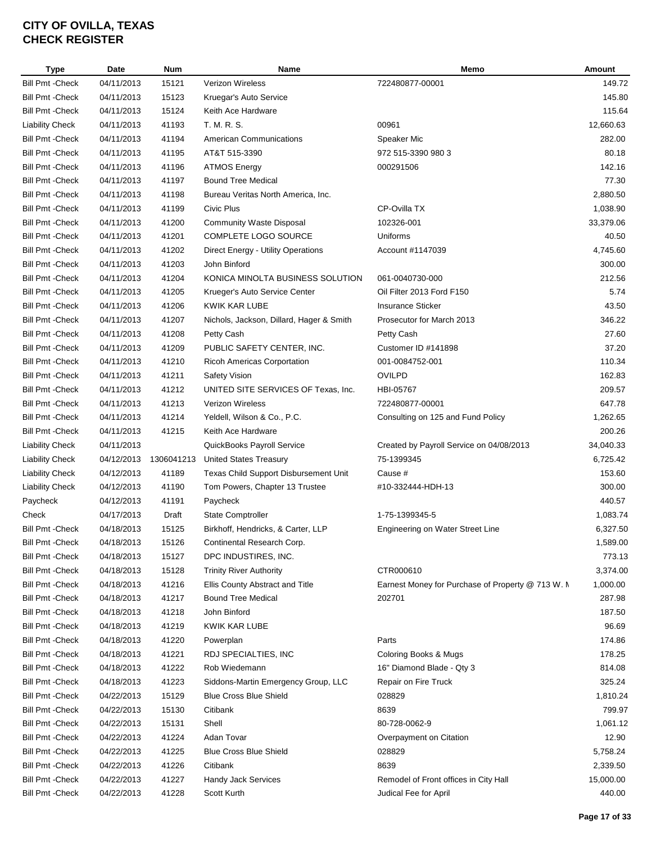| <b>Type</b>             | Date       | <b>Num</b> | Name                                     | Memo                                              | Amount    |
|-------------------------|------------|------------|------------------------------------------|---------------------------------------------------|-----------|
| <b>Bill Pmt - Check</b> | 04/11/2013 | 15121      | Verizon Wireless                         | 722480877-00001                                   | 149.72    |
| <b>Bill Pmt - Check</b> | 04/11/2013 | 15123      | Kruegar's Auto Service                   |                                                   | 145.80    |
| <b>Bill Pmt - Check</b> | 04/11/2013 | 15124      | Keith Ace Hardware                       |                                                   | 115.64    |
| <b>Liability Check</b>  | 04/11/2013 | 41193      | T. M. R. S.                              | 00961                                             | 12,660.63 |
| <b>Bill Pmt - Check</b> | 04/11/2013 | 41194      | <b>American Communications</b>           | Speaker Mic                                       | 282.00    |
| <b>Bill Pmt - Check</b> | 04/11/2013 | 41195      | AT&T 515-3390                            | 972 515-3390 980 3                                | 80.18     |
| <b>Bill Pmt - Check</b> | 04/11/2013 | 41196      | <b>ATMOS Energy</b>                      | 000291506                                         | 142.16    |
| <b>Bill Pmt - Check</b> | 04/11/2013 | 41197      | <b>Bound Tree Medical</b>                |                                                   | 77.30     |
| <b>Bill Pmt - Check</b> | 04/11/2013 | 41198      | Bureau Veritas North America, Inc.       |                                                   | 2,880.50  |
| <b>Bill Pmt - Check</b> | 04/11/2013 | 41199      | Civic Plus                               | CP-Ovilla TX                                      | 1,038.90  |
| <b>Bill Pmt - Check</b> | 04/11/2013 | 41200      | <b>Community Waste Disposal</b>          | 102326-001                                        | 33,379.06 |
| <b>Bill Pmt - Check</b> | 04/11/2013 | 41201      | COMPLETE LOGO SOURCE                     | Uniforms                                          | 40.50     |
| <b>Bill Pmt - Check</b> | 04/11/2013 | 41202      | Direct Energy - Utility Operations       | Account #1147039                                  | 4,745.60  |
| <b>Bill Pmt - Check</b> | 04/11/2013 | 41203      | John Binford                             |                                                   | 300.00    |
| <b>Bill Pmt - Check</b> |            |            | KONICA MINOLTA BUSINESS SOLUTION         | 061-0040730-000                                   | 212.56    |
|                         | 04/11/2013 | 41204      |                                          |                                                   |           |
| <b>Bill Pmt - Check</b> | 04/11/2013 | 41205      | Krueger's Auto Service Center            | Oil Filter 2013 Ford F150                         | 5.74      |
| <b>Bill Pmt - Check</b> | 04/11/2013 | 41206      | KWIK KAR LUBE                            | <b>Insurance Sticker</b>                          | 43.50     |
| <b>Bill Pmt - Check</b> | 04/11/2013 | 41207      | Nichols, Jackson, Dillard, Hager & Smith | Prosecutor for March 2013                         | 346.22    |
| <b>Bill Pmt - Check</b> | 04/11/2013 | 41208      | Petty Cash                               | Petty Cash                                        | 27.60     |
| <b>Bill Pmt - Check</b> | 04/11/2013 | 41209      | PUBLIC SAFETY CENTER, INC.               | Customer ID #141898                               | 37.20     |
| <b>Bill Pmt - Check</b> | 04/11/2013 | 41210      | Ricoh Americas Corportation              | 001-0084752-001                                   | 110.34    |
| <b>Bill Pmt - Check</b> | 04/11/2013 | 41211      | Safety Vision                            | <b>OVILPD</b>                                     | 162.83    |
| <b>Bill Pmt - Check</b> | 04/11/2013 | 41212      | UNITED SITE SERVICES OF Texas, Inc.      | HBI-05767                                         | 209.57    |
| <b>Bill Pmt - Check</b> | 04/11/2013 | 41213      | Verizon Wireless                         | 722480877-00001                                   | 647.78    |
| <b>Bill Pmt - Check</b> | 04/11/2013 | 41214      | Yeldell, Wilson & Co., P.C.              | Consulting on 125 and Fund Policy                 | 1,262.65  |
| <b>Bill Pmt - Check</b> | 04/11/2013 | 41215      | Keith Ace Hardware                       |                                                   | 200.26    |
| <b>Liability Check</b>  | 04/11/2013 |            | QuickBooks Payroll Service               | Created by Payroll Service on 04/08/2013          | 34,040.33 |
| <b>Liability Check</b>  | 04/12/2013 | 1306041213 | <b>United States Treasury</b>            | 75-1399345                                        | 6,725.42  |
| <b>Liability Check</b>  | 04/12/2013 | 41189      | Texas Child Support Disbursement Unit    | Cause #                                           | 153.60    |
| <b>Liability Check</b>  | 04/12/2013 | 41190      | Tom Powers, Chapter 13 Trustee           | #10-332444-HDH-13                                 | 300.00    |
| Paycheck                | 04/12/2013 | 41191      | Paycheck                                 |                                                   | 440.57    |
| Check                   | 04/17/2013 | Draft      | <b>State Comptroller</b>                 | 1-75-1399345-5                                    | 1,083.74  |
| <b>Bill Pmt - Check</b> | 04/18/2013 | 15125      | Birkhoff, Hendricks, & Carter, LLP       | Engineering on Water Street Line                  | 6,327.50  |
| <b>Bill Pmt - Check</b> | 04/18/2013 | 15126      | Continental Research Corp.               |                                                   | 1,589.00  |
| Bill Pmt -Check         | 04/18/2013 | 15127      | DPC INDUSTIRES, INC.                     |                                                   | 773.13    |
| <b>Bill Pmt - Check</b> | 04/18/2013 | 15128      | <b>Trinity River Authority</b>           | CTR000610                                         | 3,374.00  |
| <b>Bill Pmt - Check</b> | 04/18/2013 | 41216      | Ellis County Abstract and Title          | Earnest Money for Purchase of Property @ 713 W. N | 1,000.00  |
| <b>Bill Pmt - Check</b> | 04/18/2013 | 41217      | <b>Bound Tree Medical</b>                | 202701                                            | 287.98    |
| <b>Bill Pmt - Check</b> | 04/18/2013 | 41218      | John Binford                             |                                                   | 187.50    |
| <b>Bill Pmt - Check</b> | 04/18/2013 | 41219      | KWIK KAR LUBE                            |                                                   | 96.69     |
| <b>Bill Pmt - Check</b> | 04/18/2013 | 41220      | Powerplan                                | Parts                                             | 174.86    |
| <b>Bill Pmt - Check</b> | 04/18/2013 | 41221      | RDJ SPECIALTIES, INC                     | Coloring Books & Mugs                             | 178.25    |
| <b>Bill Pmt - Check</b> | 04/18/2013 | 41222      | Rob Wiedemann                            | 16" Diamond Blade - Qty 3                         | 814.08    |
| <b>Bill Pmt - Check</b> | 04/18/2013 | 41223      | Siddons-Martin Emergency Group, LLC      | Repair on Fire Truck                              | 325.24    |
| <b>Bill Pmt - Check</b> | 04/22/2013 | 15129      | <b>Blue Cross Blue Shield</b>            | 028829                                            | 1,810.24  |
|                         |            |            |                                          |                                                   |           |
| <b>Bill Pmt - Check</b> | 04/22/2013 | 15130      | Citibank                                 | 8639                                              | 799.97    |
| <b>Bill Pmt - Check</b> | 04/22/2013 | 15131      | Shell                                    | 80-728-0062-9                                     | 1,061.12  |
| <b>Bill Pmt - Check</b> | 04/22/2013 | 41224      | Adan Tovar                               | Overpayment on Citation                           | 12.90     |
| <b>Bill Pmt - Check</b> | 04/22/2013 | 41225      | <b>Blue Cross Blue Shield</b>            | 028829                                            | 5,758.24  |
| Bill Pmt -Check         | 04/22/2013 | 41226      | Citibank                                 | 8639                                              | 2,339.50  |
| <b>Bill Pmt - Check</b> | 04/22/2013 | 41227      | Handy Jack Services                      | Remodel of Front offices in City Hall             | 15,000.00 |
| <b>Bill Pmt - Check</b> | 04/22/2013 | 41228      | Scott Kurth                              | Judical Fee for April                             | 440.00    |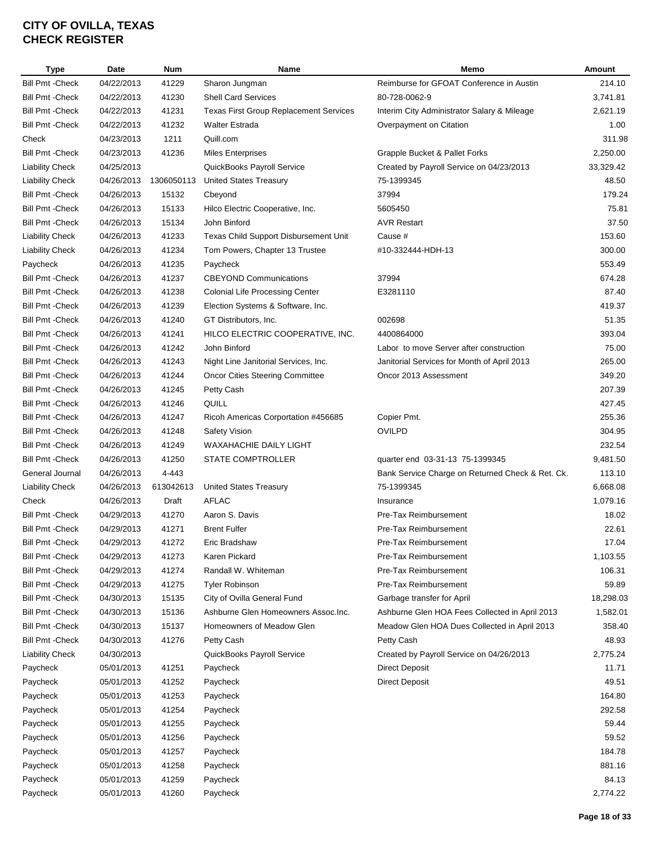| <b>Type</b>             | Date       | <b>Num</b>     | <b>Name</b>                                   | Memo                                             | Amount                |
|-------------------------|------------|----------------|-----------------------------------------------|--------------------------------------------------|-----------------------|
| <b>Bill Pmt - Check</b> | 04/22/2013 | 41229          | Sharon Jungman                                | Reimburse for GFOAT Conference in Austin         | 214.10                |
| <b>Bill Pmt - Check</b> | 04/22/2013 | 41230          | <b>Shell Card Services</b>                    | 80-728-0062-9                                    | 3,741.81              |
| <b>Bill Pmt - Check</b> | 04/22/2013 | 41231          | <b>Texas First Group Replacement Services</b> | Interim City Administrator Salary & Mileage      | 2,621.19              |
| <b>Bill Pmt - Check</b> | 04/22/2013 | 41232          | <b>Walter Estrada</b>                         | Overpayment on Citation                          | 1.00                  |
| Check                   | 04/23/2013 | 1211           | Quill.com                                     |                                                  | 311.98                |
| <b>Bill Pmt - Check</b> | 04/23/2013 | 41236          | <b>Miles Enterprises</b>                      | Grapple Bucket & Pallet Forks                    | 2,250.00              |
| <b>Liability Check</b>  | 04/25/2013 |                | QuickBooks Payroll Service                    | Created by Payroll Service on 04/23/2013         | 33,329.42             |
| <b>Liability Check</b>  | 04/26/2013 | 1306050113     | <b>United States Treasury</b>                 | 75-1399345                                       | 48.50                 |
| <b>Bill Pmt - Check</b> | 04/26/2013 | 15132          | Cbeyond                                       | 37994                                            | 179.24                |
| <b>Bill Pmt - Check</b> | 04/26/2013 | 15133          | Hilco Electric Cooperative, Inc.              | 5605450                                          | 75.81                 |
| Bill Pmt -Check         | 04/26/2013 | 15134          | John Binford                                  | <b>AVR Restart</b>                               | 37.50                 |
| <b>Liability Check</b>  | 04/26/2013 | 41233          | Texas Child Support Disbursement Unit         | Cause #                                          | 153.60                |
| <b>Liability Check</b>  | 04/26/2013 | 41234          | Tom Powers, Chapter 13 Trustee                | #10-332444-HDH-13                                | 300.00                |
| Paycheck                | 04/26/2013 | 41235          | Paycheck                                      |                                                  | 553.49                |
| <b>Bill Pmt - Check</b> | 04/26/2013 | 41237          | <b>CBEYOND Communications</b>                 | 37994                                            | 674.28                |
| <b>Bill Pmt - Check</b> | 04/26/2013 | 41238          | <b>Colonial Life Processing Center</b>        | E3281110                                         | 87.40                 |
| <b>Bill Pmt - Check</b> | 04/26/2013 | 41239          | Election Systems & Software, Inc.             |                                                  | 419.37                |
| <b>Bill Pmt - Check</b> | 04/26/2013 | 41240          | GT Distributors, Inc.                         | 002698                                           | 51.35                 |
| <b>Bill Pmt - Check</b> | 04/26/2013 | 41241          | HILCO ELECTRIC COOPERATIVE, INC.              | 4400864000                                       | 393.04                |
| <b>Bill Pmt - Check</b> | 04/26/2013 | 41242          | John Binford                                  | Labor to move Server after construction          | 75.00                 |
| <b>Bill Pmt - Check</b> | 04/26/2013 | 41243          | Night Line Janitorial Services, Inc.          | Janitorial Services for Month of April 2013      | 265.00                |
| <b>Bill Pmt - Check</b> | 04/26/2013 | 41244          | <b>Oncor Cities Steering Committee</b>        | Oncor 2013 Assessment                            | 349.20                |
| Bill Pmt -Check         | 04/26/2013 | 41245          | Petty Cash                                    |                                                  | 207.39                |
| <b>Bill Pmt - Check</b> | 04/26/2013 | 41246          | QUILL                                         |                                                  | 427.45                |
| <b>Bill Pmt - Check</b> | 04/26/2013 | 41247          | Ricoh Americas Corportation #456685           | Copier Pmt.                                      | 255.36                |
| <b>Bill Pmt - Check</b> | 04/26/2013 | 41248          | Safety Vision                                 | <b>OVILPD</b>                                    | 304.95                |
| <b>Bill Pmt - Check</b> | 04/26/2013 | 41249          | <b>WAXAHACHIE DAILY LIGHT</b>                 |                                                  | 232.54                |
| <b>Bill Pmt - Check</b> | 04/26/2013 | 41250          | STATE COMPTROLLER                             | quarter end 03-31-13 75-1399345                  | 9,481.50              |
| General Journal         | 04/26/2013 | 4-443          |                                               | Bank Service Charge on Returned Check & Ret. Ck. | 113.10                |
| <b>Liability Check</b>  | 04/26/2013 | 613042613      | <b>United States Treasury</b>                 | 75-1399345                                       | 6,668.08              |
| Check                   | 04/26/2013 | Draft          | AFLAC                                         | Insurance                                        | 1,079.16              |
| <b>Bill Pmt - Check</b> | 04/29/2013 | 41270          | Aaron S. Davis                                | Pre-Tax Reimbursement                            | 18.02                 |
| Bill Pmt -Check         | 04/29/2013 | 41271          | <b>Brent Fulfer</b>                           | Pre-Tax Reimbursement                            | 22.61                 |
| <b>Bill Pmt - Check</b> | 04/29/2013 | 41272          | Eric Bradshaw                                 | Pre-Tax Reimbursement                            | 17.04                 |
| Bill Pmt -Check         | 04/29/2013 | 41273          | Karen Pickard                                 | Pre-Tax Reimbursement                            | 1,103.55              |
| <b>Bill Pmt - Check</b> | 04/29/2013 | 41274          | Randall W. Whiteman                           | Pre-Tax Reimbursement                            | 106.31                |
| <b>Bill Pmt - Check</b> | 04/29/2013 | 41275          | <b>Tyler Robinson</b>                         | Pre-Tax Reimbursement                            | 59.89                 |
| <b>Bill Pmt - Check</b> |            |                | City of Ovilla General Fund                   |                                                  |                       |
|                         | 04/30/2013 | 15135<br>15136 | Ashburne Glen Homeowners Assoc.Inc.           | Garbage transfer for April                       | 18,298.03<br>1,582.01 |
| Bill Pmt -Check         | 04/30/2013 |                | Homeowners of Meadow Glen                     | Ashburne Glen HOA Fees Collected in April 2013   |                       |
| <b>Bill Pmt - Check</b> | 04/30/2013 | 15137          |                                               | Meadow Glen HOA Dues Collected in April 2013     | 358.40                |
| Bill Pmt -Check         | 04/30/2013 | 41276          | Petty Cash                                    | Petty Cash                                       | 48.93                 |
| <b>Liability Check</b>  | 04/30/2013 |                | QuickBooks Payroll Service                    | Created by Payroll Service on 04/26/2013         | 2,775.24              |
| Paycheck                | 05/01/2013 | 41251          | Paycheck                                      | <b>Direct Deposit</b>                            | 11.71                 |
| Paycheck                | 05/01/2013 | 41252          | Paycheck                                      | <b>Direct Deposit</b>                            | 49.51                 |
| Paycheck                | 05/01/2013 | 41253          | Paycheck                                      |                                                  | 164.80                |
| Paycheck                | 05/01/2013 | 41254          | Paycheck                                      |                                                  | 292.58                |
| Paycheck                | 05/01/2013 | 41255          | Paycheck                                      |                                                  | 59.44                 |
| Paycheck                | 05/01/2013 | 41256          | Paycheck                                      |                                                  | 59.52                 |
| Paycheck                | 05/01/2013 | 41257          | Paycheck                                      |                                                  | 184.78                |
| Paycheck                | 05/01/2013 | 41258          | Paycheck                                      |                                                  | 881.16                |
| Paycheck                | 05/01/2013 | 41259          | Paycheck                                      |                                                  | 84.13                 |
| Paycheck                | 05/01/2013 | 41260          | Paycheck                                      |                                                  | 2,774.22              |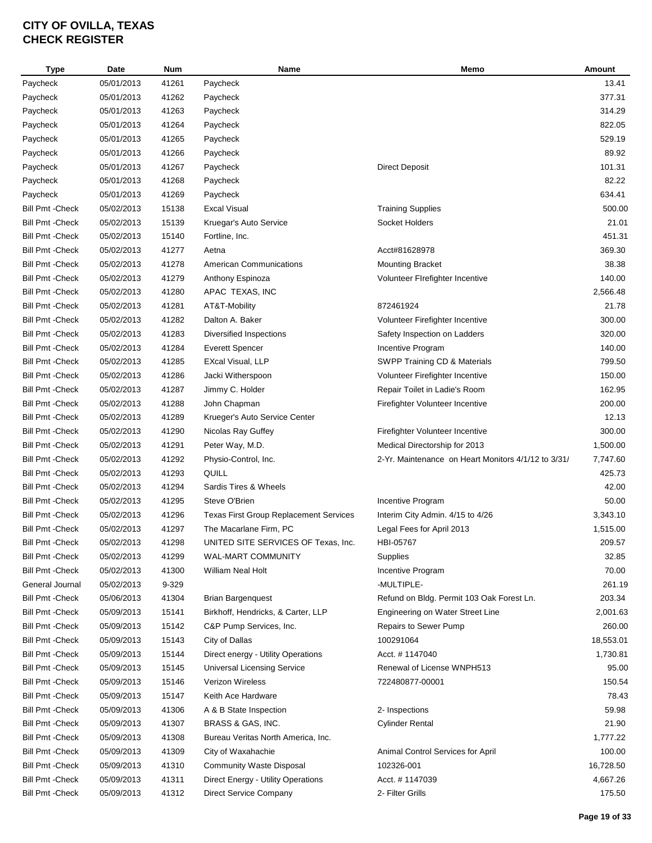| <b>Type</b>             | Date       | Num   | <b>Name</b>                                   | Memo                                                | Amount    |
|-------------------------|------------|-------|-----------------------------------------------|-----------------------------------------------------|-----------|
| Paycheck                | 05/01/2013 | 41261 | Paycheck                                      |                                                     | 13.41     |
| Paycheck                | 05/01/2013 | 41262 | Paycheck                                      |                                                     | 377.31    |
| Paycheck                | 05/01/2013 | 41263 | Paycheck                                      |                                                     | 314.29    |
| Paycheck                | 05/01/2013 | 41264 | Paycheck                                      |                                                     | 822.05    |
| Paycheck                | 05/01/2013 | 41265 | Paycheck                                      |                                                     | 529.19    |
| Paycheck                | 05/01/2013 | 41266 | Paycheck                                      |                                                     | 89.92     |
| Paycheck                | 05/01/2013 | 41267 | Paycheck                                      | <b>Direct Deposit</b>                               | 101.31    |
| Paycheck                | 05/01/2013 | 41268 | Paycheck                                      |                                                     | 82.22     |
| Paycheck                | 05/01/2013 | 41269 | Paycheck                                      |                                                     | 634.41    |
| <b>Bill Pmt - Check</b> | 05/02/2013 | 15138 | <b>Excal Visual</b>                           | <b>Training Supplies</b>                            | 500.00    |
| <b>Bill Pmt - Check</b> | 05/02/2013 | 15139 | Kruegar's Auto Service                        | Socket Holders                                      | 21.01     |
| <b>Bill Pmt - Check</b> | 05/02/2013 | 15140 | Fortline, Inc.                                |                                                     | 451.31    |
| <b>Bill Pmt - Check</b> | 05/02/2013 | 41277 | Aetna                                         | Acct#81628978                                       | 369.30    |
| <b>Bill Pmt - Check</b> | 05/02/2013 | 41278 | <b>American Communications</b>                | <b>Mounting Bracket</b>                             | 38.38     |
| <b>Bill Pmt - Check</b> | 05/02/2013 | 41279 | Anthony Espinoza                              | Volunteer FIrefighter Incentive                     | 140.00    |
| <b>Bill Pmt - Check</b> | 05/02/2013 | 41280 | APAC TEXAS, INC                               |                                                     | 2,566.48  |
| <b>Bill Pmt - Check</b> | 05/02/2013 | 41281 | AT&T-Mobility                                 | 872461924                                           | 21.78     |
| <b>Bill Pmt - Check</b> | 05/02/2013 | 41282 | Dalton A. Baker                               | Volunteer Firefighter Incentive                     | 300.00    |
| <b>Bill Pmt - Check</b> | 05/02/2013 | 41283 | Diversified Inspections                       | Safety Inspection on Ladders                        | 320.00    |
|                         |            |       |                                               | Incentive Program                                   | 140.00    |
| <b>Bill Pmt - Check</b> | 05/02/2013 | 41284 | <b>Everett Spencer</b>                        |                                                     |           |
| <b>Bill Pmt - Check</b> | 05/02/2013 | 41285 | <b>EXcal Visual, LLP</b>                      | SWPP Training CD & Materials                        | 799.50    |
| <b>Bill Pmt - Check</b> | 05/02/2013 | 41286 | Jacki Witherspoon                             | Volunteer Firefighter Incentive                     | 150.00    |
| <b>Bill Pmt - Check</b> | 05/02/2013 | 41287 | Jimmy C. Holder                               | Repair Toilet in Ladie's Room                       | 162.95    |
| <b>Bill Pmt - Check</b> | 05/02/2013 | 41288 | John Chapman                                  | Firefighter Volunteer Incentive                     | 200.00    |
| <b>Bill Pmt - Check</b> | 05/02/2013 | 41289 | Krueger's Auto Service Center                 |                                                     | 12.13     |
| <b>Bill Pmt - Check</b> | 05/02/2013 | 41290 | Nicolas Ray Guffey                            | Firefighter Volunteer Incentive                     | 300.00    |
| <b>Bill Pmt - Check</b> | 05/02/2013 | 41291 | Peter Way, M.D.                               | Medical Directorship for 2013                       | 1,500.00  |
| <b>Bill Pmt - Check</b> | 05/02/2013 | 41292 | Physio-Control, Inc.                          | 2-Yr. Maintenance on Heart Monitors 4/1/12 to 3/31/ | 7,747.60  |
| <b>Bill Pmt - Check</b> | 05/02/2013 | 41293 | QUILL                                         |                                                     | 425.73    |
| <b>Bill Pmt - Check</b> | 05/02/2013 | 41294 | Sardis Tires & Wheels                         |                                                     | 42.00     |
| <b>Bill Pmt - Check</b> | 05/02/2013 | 41295 | Steve O'Brien                                 | Incentive Program                                   | 50.00     |
| <b>Bill Pmt - Check</b> | 05/02/2013 | 41296 | <b>Texas First Group Replacement Services</b> | Interim City Admin. 4/15 to 4/26                    | 3,343.10  |
| <b>Bill Pmt - Check</b> | 05/02/2013 | 41297 | The Macarlane Firm, PC                        | Legal Fees for April 2013                           | 1,515.00  |
| <b>Bill Pmt - Check</b> | 05/02/2013 | 41298 | UNITED SITE SERVICES OF Texas, Inc.           | HBI-05767                                           | 209.57    |
| <b>Bill Pmt - Check</b> | 05/02/2013 | 41299 | WAL-MART COMMUNITY                            | Supplies                                            | 32.85     |
| <b>Bill Pmt - Check</b> | 05/02/2013 | 41300 | William Neal Holt                             | Incentive Program                                   | 70.00     |
| General Journal         | 05/02/2013 | 9-329 |                                               | -MULTIPLE-                                          | 261.19    |
| <b>Bill Pmt - Check</b> | 05/06/2013 | 41304 | <b>Brian Bargenquest</b>                      | Refund on Bldg. Permit 103 Oak Forest Ln.           | 203.34    |
| <b>Bill Pmt - Check</b> | 05/09/2013 | 15141 | Birkhoff, Hendricks, & Carter, LLP            | Engineering on Water Street Line                    | 2,001.63  |
| <b>Bill Pmt - Check</b> | 05/09/2013 | 15142 | C&P Pump Services, Inc.                       | Repairs to Sewer Pump                               | 260.00    |
| <b>Bill Pmt - Check</b> | 05/09/2013 | 15143 | City of Dallas                                | 100291064                                           | 18,553.01 |
| <b>Bill Pmt - Check</b> | 05/09/2013 | 15144 | Direct energy - Utility Operations            | Acct. # 1147040                                     | 1,730.81  |
| <b>Bill Pmt - Check</b> | 05/09/2013 | 15145 | <b>Universal Licensing Service</b>            | Renewal of License WNPH513                          | 95.00     |
| <b>Bill Pmt - Check</b> | 05/09/2013 | 15146 | <b>Verizon Wireless</b>                       | 722480877-00001                                     | 150.54    |
| <b>Bill Pmt - Check</b> | 05/09/2013 | 15147 | Keith Ace Hardware                            |                                                     | 78.43     |
| <b>Bill Pmt - Check</b> | 05/09/2013 | 41306 | A & B State Inspection                        | 2- Inspections                                      | 59.98     |
| <b>Bill Pmt - Check</b> | 05/09/2013 | 41307 | BRASS & GAS, INC.                             | Cylinder Rental                                     | 21.90     |
| <b>Bill Pmt - Check</b> | 05/09/2013 | 41308 | Bureau Veritas North America, Inc.            |                                                     | 1,777.22  |
| <b>Bill Pmt - Check</b> | 05/09/2013 | 41309 | City of Waxahachie                            | Animal Control Services for April                   | 100.00    |
| <b>Bill Pmt - Check</b> | 05/09/2013 | 41310 | <b>Community Waste Disposal</b>               | 102326-001                                          | 16,728.50 |
| <b>Bill Pmt - Check</b> | 05/09/2013 | 41311 | Direct Energy - Utility Operations            | Acct. # 1147039                                     | 4,667.26  |
| <b>Bill Pmt - Check</b> | 05/09/2013 | 41312 | <b>Direct Service Company</b>                 | 2- Filter Grills                                    | 175.50    |
|                         |            |       |                                               |                                                     |           |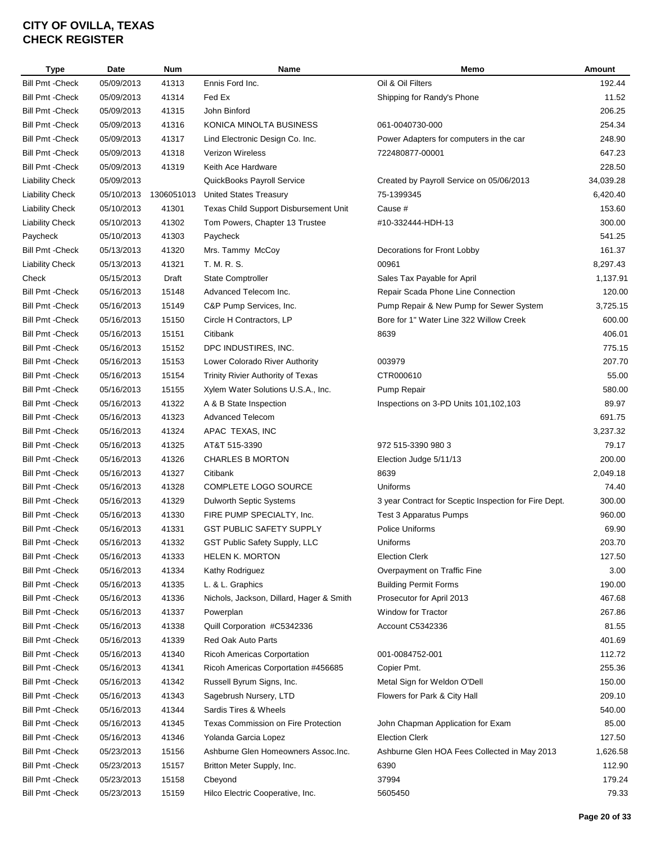| Type                    | Date       | <b>Num</b> | Name                                     | Memo                                                  | Amount    |
|-------------------------|------------|------------|------------------------------------------|-------------------------------------------------------|-----------|
| <b>Bill Pmt - Check</b> | 05/09/2013 | 41313      | Ennis Ford Inc.                          | Oil & Oil Filters                                     | 192.44    |
| <b>Bill Pmt - Check</b> | 05/09/2013 | 41314      | Fed Ex                                   | Shipping for Randy's Phone                            | 11.52     |
| <b>Bill Pmt - Check</b> | 05/09/2013 | 41315      | John Binford                             |                                                       | 206.25    |
| <b>Bill Pmt - Check</b> | 05/09/2013 | 41316      | KONICA MINOLTA BUSINESS                  | 061-0040730-000                                       | 254.34    |
| <b>Bill Pmt - Check</b> | 05/09/2013 | 41317      | Lind Electronic Design Co. Inc.          | Power Adapters for computers in the car               | 248.90    |
| <b>Bill Pmt - Check</b> | 05/09/2013 | 41318      | Verizon Wireless                         | 722480877-00001                                       | 647.23    |
| <b>Bill Pmt - Check</b> | 05/09/2013 | 41319      | Keith Ace Hardware                       |                                                       | 228.50    |
| <b>Liability Check</b>  | 05/09/2013 |            | QuickBooks Payroll Service               | Created by Payroll Service on 05/06/2013              | 34,039.28 |
| <b>Liability Check</b>  | 05/10/2013 | 1306051013 | <b>United States Treasury</b>            | 75-1399345                                            | 6,420.40  |
| <b>Liability Check</b>  | 05/10/2013 | 41301      | Texas Child Support Disbursement Unit    | Cause #                                               | 153.60    |
| <b>Liability Check</b>  | 05/10/2013 | 41302      | Tom Powers, Chapter 13 Trustee           | #10-332444-HDH-13                                     | 300.00    |
| Paycheck                | 05/10/2013 | 41303      | Paycheck                                 |                                                       | 541.25    |
| <b>Bill Pmt - Check</b> | 05/13/2013 | 41320      | Mrs. Tammy McCoy                         | Decorations for Front Lobby                           | 161.37    |
| <b>Liability Check</b>  | 05/13/2013 | 41321      | T. M. R. S.                              | 00961                                                 | 8,297.43  |
| Check                   | 05/15/2013 | Draft      | <b>State Comptroller</b>                 | Sales Tax Payable for April                           | 1,137.91  |
| <b>Bill Pmt - Check</b> | 05/16/2013 | 15148      | Advanced Telecom Inc.                    | Repair Scada Phone Line Connection                    | 120.00    |
| <b>Bill Pmt - Check</b> | 05/16/2013 | 15149      | C&P Pump Services, Inc.                  | Pump Repair & New Pump for Sewer System               | 3,725.15  |
| <b>Bill Pmt - Check</b> | 05/16/2013 | 15150      | Circle H Contractors, LP                 | Bore for 1" Water Line 322 Willow Creek               | 600.00    |
| <b>Bill Pmt - Check</b> | 05/16/2013 | 15151      | Citibank                                 | 8639                                                  | 406.01    |
| <b>Bill Pmt - Check</b> | 05/16/2013 | 15152      | DPC INDUSTIRES, INC.                     |                                                       | 775.15    |
| <b>Bill Pmt - Check</b> | 05/16/2013 | 15153      | Lower Colorado River Authority           | 003979                                                | 207.70    |
| <b>Bill Pmt - Check</b> | 05/16/2013 | 15154      | Trinity Rivier Authority of Texas        | CTR000610                                             | 55.00     |
| <b>Bill Pmt - Check</b> | 05/16/2013 | 15155      | Xylem Water Solutions U.S.A., Inc.       | Pump Repair                                           | 580.00    |
| <b>Bill Pmt - Check</b> | 05/16/2013 | 41322      | A & B State Inspection                   | Inspections on 3-PD Units 101,102,103                 | 89.97     |
| <b>Bill Pmt - Check</b> | 05/16/2013 | 41323      | <b>Advanced Telecom</b>                  |                                                       | 691.75    |
| <b>Bill Pmt - Check</b> | 05/16/2013 | 41324      | APAC TEXAS, INC                          |                                                       | 3,237.32  |
| <b>Bill Pmt - Check</b> | 05/16/2013 | 41325      | AT&T 515-3390                            | 972 515-3390 980 3                                    | 79.17     |
| <b>Bill Pmt - Check</b> | 05/16/2013 | 41326      | <b>CHARLES B MORTON</b>                  | Election Judge 5/11/13                                | 200.00    |
| <b>Bill Pmt - Check</b> | 05/16/2013 | 41327      | Citibank                                 | 8639                                                  | 2,049.18  |
| <b>Bill Pmt - Check</b> | 05/16/2013 | 41328      | COMPLETE LOGO SOURCE                     | Uniforms                                              | 74.40     |
| <b>Bill Pmt - Check</b> | 05/16/2013 | 41329      | Dulworth Septic Systems                  | 3 year Contract for Sceptic Inspection for Fire Dept. | 300.00    |
| <b>Bill Pmt - Check</b> | 05/16/2013 | 41330      | FIRE PUMP SPECIALTY, Inc.                | <b>Test 3 Apparatus Pumps</b>                         | 960.00    |
| <b>Bill Pmt - Check</b> | 05/16/2013 | 41331      | <b>GST PUBLIC SAFETY SUPPLY</b>          | Police Uniforms                                       | 69.90     |
| <b>Bill Pmt - Check</b> | 05/16/2013 | 41332      |                                          | Uniforms                                              | 203.70    |
|                         |            |            | GST Public Safety Supply, LLC            |                                                       |           |
| Bill Pmt -Check         | 05/16/2013 | 41333      | HELEN K. MORTON                          | <b>Election Clerk</b>                                 | 127.50    |
| <b>Bill Pmt - Check</b> | 05/16/2013 | 41334      | Kathy Rodriguez                          | Overpayment on Traffic Fine                           | 3.00      |
| <b>Bill Pmt - Check</b> | 05/16/2013 | 41335      | L. & L. Graphics                         | <b>Building Permit Forms</b>                          | 190.00    |
| <b>Bill Pmt - Check</b> | 05/16/2013 | 41336      | Nichols, Jackson, Dillard, Hager & Smith | Prosecutor for April 2013                             | 467.68    |
| <b>Bill Pmt - Check</b> | 05/16/2013 | 41337      | Powerplan                                | Window for Tractor                                    | 267.86    |
| <b>Bill Pmt - Check</b> | 05/16/2013 | 41338      | Quill Corporation #C5342336              | Account C5342336                                      | 81.55     |
| <b>Bill Pmt - Check</b> | 05/16/2013 | 41339      | Red Oak Auto Parts                       |                                                       | 401.69    |
| <b>Bill Pmt - Check</b> | 05/16/2013 | 41340      | Ricoh Americas Corportation              | 001-0084752-001                                       | 112.72    |
| <b>Bill Pmt - Check</b> | 05/16/2013 | 41341      | Ricoh Americas Corportation #456685      | Copier Pmt.                                           | 255.36    |
| <b>Bill Pmt - Check</b> | 05/16/2013 | 41342      | Russell Byrum Signs, Inc.                | Metal Sign for Weldon O'Dell                          | 150.00    |
| <b>Bill Pmt - Check</b> | 05/16/2013 | 41343      | Sagebrush Nursery, LTD                   | Flowers for Park & City Hall                          | 209.10    |
| Bill Pmt - Check        | 05/16/2013 | 41344      | Sardis Tires & Wheels                    |                                                       | 540.00    |
| <b>Bill Pmt - Check</b> | 05/16/2013 | 41345      | Texas Commission on Fire Protection      | John Chapman Application for Exam                     | 85.00     |
| <b>Bill Pmt - Check</b> | 05/16/2013 | 41346      | Yolanda Garcia Lopez                     | <b>Election Clerk</b>                                 | 127.50    |
| Bill Pmt - Check        | 05/23/2013 | 15156      | Ashburne Glen Homeowners Assoc.Inc.      | Ashburne Glen HOA Fees Collected in May 2013          | 1,626.58  |
| <b>Bill Pmt - Check</b> | 05/23/2013 | 15157      | Britton Meter Supply, Inc.               | 6390                                                  | 112.90    |
| Bill Pmt - Check        | 05/23/2013 | 15158      | Cbeyond                                  | 37994                                                 | 179.24    |
| Bill Pmt - Check        | 05/23/2013 | 15159      | Hilco Electric Cooperative, Inc.         | 5605450                                               | 79.33     |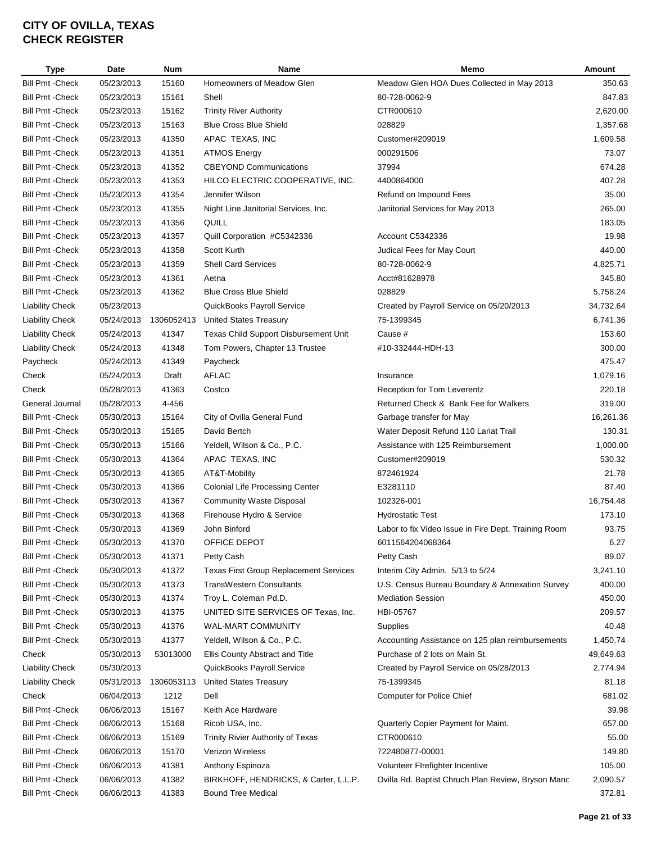| <b>Type</b>             | Date       | Num        | <b>Name</b>                                   | Memo                                                 | Amount    |
|-------------------------|------------|------------|-----------------------------------------------|------------------------------------------------------|-----------|
| <b>Bill Pmt - Check</b> | 05/23/2013 | 15160      | Homeowners of Meadow Glen                     | Meadow Glen HOA Dues Collected in May 2013           | 350.63    |
| <b>Bill Pmt - Check</b> | 05/23/2013 | 15161      | Shell                                         | 80-728-0062-9                                        | 847.83    |
| <b>Bill Pmt - Check</b> | 05/23/2013 | 15162      | <b>Trinity River Authority</b>                | CTR000610                                            | 2,620.00  |
| <b>Bill Pmt - Check</b> | 05/23/2013 | 15163      | <b>Blue Cross Blue Shield</b>                 | 028829                                               | 1,357.68  |
| <b>Bill Pmt - Check</b> | 05/23/2013 | 41350      | APAC TEXAS, INC                               | Customer#209019                                      | 1,609.58  |
| <b>Bill Pmt - Check</b> | 05/23/2013 | 41351      | <b>ATMOS Energy</b>                           | 000291506                                            | 73.07     |
| <b>Bill Pmt - Check</b> | 05/23/2013 | 41352      | <b>CBEYOND Communications</b>                 | 37994                                                | 674.28    |
| <b>Bill Pmt - Check</b> | 05/23/2013 | 41353      | HILCO ELECTRIC COOPERATIVE, INC.              | 4400864000                                           | 407.28    |
| <b>Bill Pmt - Check</b> | 05/23/2013 | 41354      | Jennifer Wilson                               | Refund on Impound Fees                               | 35.00     |
| <b>Bill Pmt - Check</b> | 05/23/2013 | 41355      | Night Line Janitorial Services, Inc.          | Janitorial Services for May 2013                     | 265.00    |
| <b>Bill Pmt - Check</b> | 05/23/2013 | 41356      | QUILL                                         |                                                      | 183.05    |
| <b>Bill Pmt - Check</b> | 05/23/2013 | 41357      | Quill Corporation #C5342336                   | Account C5342336                                     | 19.98     |
| <b>Bill Pmt - Check</b> | 05/23/2013 | 41358      | Scott Kurth                                   | Judical Fees for May Court                           | 440.00    |
| <b>Bill Pmt - Check</b> | 05/23/2013 | 41359      | <b>Shell Card Services</b>                    | 80-728-0062-9                                        | 4,825.71  |
| <b>Bill Pmt - Check</b> | 05/23/2013 | 41361      | Aetna                                         | Acct#81628978                                        | 345.80    |
| <b>Bill Pmt - Check</b> | 05/23/2013 | 41362      | <b>Blue Cross Blue Shield</b>                 | 028829                                               | 5,758.24  |
| <b>Liability Check</b>  | 05/23/2013 |            | QuickBooks Payroll Service                    | Created by Payroll Service on 05/20/2013             | 34,732.64 |
| <b>Liability Check</b>  | 05/24/2013 | 1306052413 | <b>United States Treasury</b>                 | 75-1399345                                           | 6,741.36  |
| <b>Liability Check</b>  | 05/24/2013 | 41347      | Texas Child Support Disbursement Unit         | Cause #                                              | 153.60    |
| <b>Liability Check</b>  | 05/24/2013 | 41348      | Tom Powers, Chapter 13 Trustee                | #10-332444-HDH-13                                    | 300.00    |
| Paycheck                | 05/24/2013 | 41349      | Paycheck                                      |                                                      | 475.47    |
| Check                   | 05/24/2013 | Draft      | <b>AFLAC</b>                                  | Insurance                                            | 1,079.16  |
| Check                   | 05/28/2013 | 41363      | Costco                                        | Reception for Tom Leverentz                          | 220.18    |
| General Journal         | 05/28/2013 | 4-456      |                                               | Returned Check & Bank Fee for Walkers                | 319.00    |
| <b>Bill Pmt - Check</b> | 05/30/2013 | 15164      | City of Ovilla General Fund                   | Garbage transfer for May                             | 16,261.36 |
| <b>Bill Pmt - Check</b> | 05/30/2013 | 15165      | David Bertch                                  | Water Deposit Refund 110 Lariat Trail                | 130.31    |
| <b>Bill Pmt - Check</b> | 05/30/2013 | 15166      | Yeldell, Wilson & Co., P.C.                   | Assistance with 125 Reimbursement                    | 1,000.00  |
| <b>Bill Pmt - Check</b> | 05/30/2013 | 41364      | APAC TEXAS, INC                               | Customer#209019                                      | 530.32    |
| <b>Bill Pmt - Check</b> | 05/30/2013 | 41365      | AT&T-Mobility                                 | 872461924                                            | 21.78     |
| <b>Bill Pmt - Check</b> | 05/30/2013 | 41366      | <b>Colonial Life Processing Center</b>        | E3281110                                             | 87.40     |
| <b>Bill Pmt - Check</b> |            |            |                                               |                                                      | 16,754.48 |
| <b>Bill Pmt - Check</b> | 05/30/2013 | 41367      | <b>Community Waste Disposal</b>               | 102326-001                                           | 173.10    |
|                         | 05/30/2013 | 41368      | Firehouse Hydro & Service                     | <b>Hydrostatic Test</b>                              |           |
| <b>Bill Pmt - Check</b> | 05/30/2013 | 41369      | John Binford                                  | Labor to fix Video Issue in Fire Dept. Training Room | 93.75     |
| <b>Bill Pmt - Check</b> | 05/30/2013 | 41370      | OFFICE DEPOT                                  | 6011564204068364                                     | 6.27      |
| Bill Pmt - Check        | 05/30/2013 | 41371      | Petty Cash                                    | Petty Cash                                           | 89.07     |
| <b>Bill Pmt - Check</b> | 05/30/2013 | 41372      | <b>Texas First Group Replacement Services</b> | Interim City Admin. 5/13 to 5/24                     | 3,241.10  |
| <b>Bill Pmt - Check</b> | 05/30/2013 | 41373      | <b>TransWestern Consultants</b>               | U.S. Census Bureau Boundary & Annexation Survey      | 400.00    |
| <b>Bill Pmt - Check</b> | 05/30/2013 | 41374      | Troy L. Coleman Pd.D.                         | <b>Mediation Session</b>                             | 450.00    |
| <b>Bill Pmt - Check</b> | 05/30/2013 | 41375      | UNITED SITE SERVICES OF Texas, Inc.           | HBI-05767                                            | 209.57    |
| <b>Bill Pmt - Check</b> | 05/30/2013 | 41376      | <b>WAL-MART COMMUNITY</b>                     | Supplies                                             | 40.48     |
| <b>Bill Pmt - Check</b> | 05/30/2013 | 41377      | Yeldell, Wilson & Co., P.C.                   | Accounting Assistance on 125 plan reimbursements     | 1,450.74  |
| Check                   | 05/30/2013 | 53013000   | Ellis County Abstract and Title               | Purchase of 2 lots on Main St.                       | 49,649.63 |
| <b>Liability Check</b>  | 05/30/2013 |            | QuickBooks Payroll Service                    | Created by Payroll Service on 05/28/2013             | 2,774.94  |
| <b>Liability Check</b>  | 05/31/2013 | 1306053113 | <b>United States Treasury</b>                 | 75-1399345                                           | 81.18     |
| Check                   | 06/04/2013 | 1212       | Dell                                          | <b>Computer for Police Chief</b>                     | 681.02    |
| <b>Bill Pmt - Check</b> | 06/06/2013 | 15167      | Keith Ace Hardware                            |                                                      | 39.98     |
| <b>Bill Pmt - Check</b> | 06/06/2013 | 15168      | Ricoh USA, Inc.                               | Quarterly Copier Payment for Maint.                  | 657.00    |
| <b>Bill Pmt - Check</b> | 06/06/2013 | 15169      | Trinity Rivier Authority of Texas             | CTR000610                                            | 55.00     |
| <b>Bill Pmt - Check</b> | 06/06/2013 | 15170      | Verizon Wireless                              | 722480877-00001                                      | 149.80    |
| Bill Pmt - Check        | 06/06/2013 | 41381      | Anthony Espinoza                              | Volunteer FIrefighter Incentive                      | 105.00    |
| <b>Bill Pmt - Check</b> | 06/06/2013 | 41382      | BIRKHOFF, HENDRICKS, & Carter, L.L.P.         | Ovilla Rd. Baptist Chruch Plan Review, Bryson Manc   | 2,090.57  |
| <b>Bill Pmt - Check</b> | 06/06/2013 | 41383      | <b>Bound Tree Medical</b>                     |                                                      | 372.81    |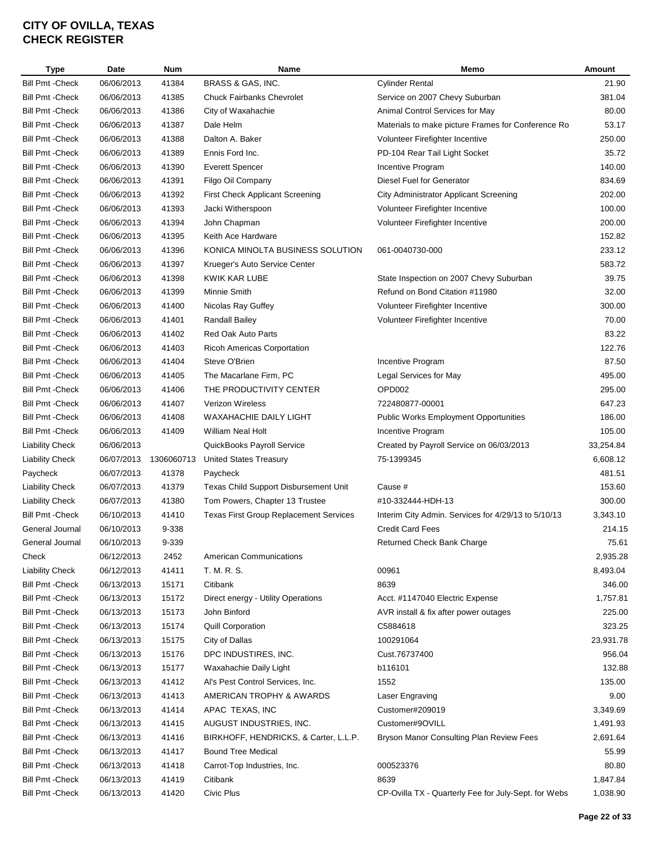| Type                    | Date       | Num        | Name                                          | Memo                                                 | Amount    |
|-------------------------|------------|------------|-----------------------------------------------|------------------------------------------------------|-----------|
| <b>Bill Pmt - Check</b> | 06/06/2013 | 41384      | BRASS & GAS, INC.                             | <b>Cylinder Rental</b>                               | 21.90     |
| <b>Bill Pmt - Check</b> | 06/06/2013 | 41385      | <b>Chuck Fairbanks Chevrolet</b>              | Service on 2007 Chevy Suburban                       | 381.04    |
| <b>Bill Pmt - Check</b> | 06/06/2013 | 41386      | City of Waxahachie                            | Animal Control Services for May                      | 80.00     |
| <b>Bill Pmt - Check</b> | 06/06/2013 | 41387      | Dale Helm                                     | Materials to make picture Frames for Conference Ro   | 53.17     |
| <b>Bill Pmt - Check</b> | 06/06/2013 | 41388      | Dalton A. Baker                               | Volunteer Firefighter Incentive                      | 250.00    |
| <b>Bill Pmt - Check</b> | 06/06/2013 | 41389      | Ennis Ford Inc.                               | PD-104 Rear Tail Light Socket                        | 35.72     |
| <b>Bill Pmt - Check</b> | 06/06/2013 | 41390      | <b>Everett Spencer</b>                        | Incentive Program                                    | 140.00    |
| <b>Bill Pmt - Check</b> | 06/06/2013 | 41391      | Filgo Oil Company                             | Diesel Fuel for Generator                            | 834.69    |
| <b>Bill Pmt - Check</b> | 06/06/2013 | 41392      | First Check Applicant Screening               | <b>City Administrator Applicant Screening</b>        | 202.00    |
| <b>Bill Pmt - Check</b> | 06/06/2013 | 41393      | Jacki Witherspoon                             | Volunteer Firefighter Incentive                      | 100.00    |
| <b>Bill Pmt - Check</b> | 06/06/2013 | 41394      | John Chapman                                  | Volunteer Firefighter Incentive                      | 200.00    |
| <b>Bill Pmt - Check</b> | 06/06/2013 | 41395      | Keith Ace Hardware                            |                                                      | 152.82    |
| <b>Bill Pmt - Check</b> | 06/06/2013 | 41396      | KONICA MINOLTA BUSINESS SOLUTION              | 061-0040730-000                                      | 233.12    |
| <b>Bill Pmt - Check</b> | 06/06/2013 | 41397      | Krueger's Auto Service Center                 |                                                      | 583.72    |
| <b>Bill Pmt - Check</b> | 06/06/2013 | 41398      | KWIK KAR LUBE                                 | State Inspection on 2007 Chevy Suburban              | 39.75     |
| <b>Bill Pmt - Check</b> | 06/06/2013 | 41399      | Minnie Smith                                  | Refund on Bond Citation #11980                       | 32.00     |
| <b>Bill Pmt - Check</b> | 06/06/2013 | 41400      | Nicolas Ray Guffey                            | Volunteer Firefighter Incentive                      | 300.00    |
| <b>Bill Pmt - Check</b> | 06/06/2013 | 41401      | <b>Randall Bailey</b>                         | Volunteer Firefighter Incentive                      | 70.00     |
| <b>Bill Pmt - Check</b> | 06/06/2013 | 41402      | Red Oak Auto Parts                            |                                                      | 83.22     |
| <b>Bill Pmt - Check</b> | 06/06/2013 | 41403      | Ricoh Americas Corportation                   |                                                      | 122.76    |
| <b>Bill Pmt - Check</b> | 06/06/2013 | 41404      | Steve O'Brien                                 | Incentive Program                                    | 87.50     |
| <b>Bill Pmt - Check</b> | 06/06/2013 | 41405      | The Macarlane Firm, PC                        | Legal Services for May                               | 495.00    |
| <b>Bill Pmt - Check</b> | 06/06/2013 | 41406      | THE PRODUCTIVITY CENTER                       | OPD002                                               | 295.00    |
| <b>Bill Pmt - Check</b> | 06/06/2013 | 41407      | <b>Verizon Wireless</b>                       | 722480877-00001                                      | 647.23    |
| <b>Bill Pmt - Check</b> | 06/06/2013 | 41408      | <b>WAXAHACHIE DAILY LIGHT</b>                 | <b>Public Works Employment Opportunities</b>         | 186.00    |
|                         |            |            | <b>William Neal Holt</b>                      |                                                      | 105.00    |
| <b>Bill Pmt - Check</b> | 06/06/2013 | 41409      |                                               | Incentive Program                                    |           |
| <b>Liability Check</b>  | 06/06/2013 |            | QuickBooks Payroll Service                    | Created by Payroll Service on 06/03/2013             | 33,254.84 |
| <b>Liability Check</b>  | 06/07/2013 | 1306060713 | <b>United States Treasury</b>                 | 75-1399345                                           | 6,608.12  |
| Paycheck                | 06/07/2013 | 41378      | Paycheck                                      |                                                      | 481.51    |
| <b>Liability Check</b>  | 06/07/2013 | 41379      | Texas Child Support Disbursement Unit         | Cause #                                              | 153.60    |
| <b>Liability Check</b>  | 06/07/2013 | 41380      | Tom Powers, Chapter 13 Trustee                | #10-332444-HDH-13                                    | 300.00    |
| <b>Bill Pmt - Check</b> | 06/10/2013 | 41410      | <b>Texas First Group Replacement Services</b> | Interim City Admin. Services for 4/29/13 to 5/10/13  | 3,343.10  |
| General Journal         | 06/10/2013 | 9-338      |                                               | <b>Credit Card Fees</b>                              | 214.15    |
| General Journal         | 06/10/2013 | 9-339      |                                               | Returned Check Bank Charge                           | 75.61     |
| Check                   | 06/12/2013 | 2452       | <b>American Communications</b>                |                                                      | 2,935.28  |
| <b>Liability Check</b>  | 06/12/2013 | 41411      | T. M. R. S.                                   | 00961                                                | 8,493.04  |
| <b>Bill Pmt - Check</b> | 06/13/2013 | 15171      | Citibank                                      | 8639                                                 | 346.00    |
| <b>Bill Pmt - Check</b> | 06/13/2013 | 15172      | Direct energy - Utility Operations            | Acct. #1147040 Electric Expense                      | 1,757.81  |
| <b>Bill Pmt - Check</b> | 06/13/2013 | 15173      | John Binford                                  | AVR install & fix after power outages                | 225.00    |
| <b>Bill Pmt - Check</b> | 06/13/2013 | 15174      | <b>Quill Corporation</b>                      | C5884618                                             | 323.25    |
| <b>Bill Pmt - Check</b> | 06/13/2013 | 15175      | City of Dallas                                | 100291064                                            | 23,931.78 |
| <b>Bill Pmt - Check</b> | 06/13/2013 | 15176      | DPC INDUSTIRES, INC.                          | Cust.76737400                                        | 956.04    |
| <b>Bill Pmt - Check</b> | 06/13/2013 | 15177      | Waxahachie Daily Light                        | b116101                                              | 132.88    |
| <b>Bill Pmt - Check</b> | 06/13/2013 | 41412      | Al's Pest Control Services, Inc.              | 1552                                                 | 135.00    |
| <b>Bill Pmt - Check</b> | 06/13/2013 | 41413      | AMERICAN TROPHY & AWARDS                      | Laser Engraving                                      | 9.00      |
| <b>Bill Pmt - Check</b> | 06/13/2013 | 41414      | APAC TEXAS, INC                               | Customer#209019                                      | 3,349.69  |
| <b>Bill Pmt - Check</b> | 06/13/2013 | 41415      | AUGUST INDUSTRIES, INC.                       | Customer#9OVILL                                      | 1,491.93  |
| <b>Bill Pmt - Check</b> | 06/13/2013 | 41416      | BIRKHOFF, HENDRICKS, & Carter, L.L.P.         | Bryson Manor Consulting Plan Review Fees             | 2,691.64  |
| <b>Bill Pmt - Check</b> | 06/13/2013 | 41417      | <b>Bound Tree Medical</b>                     |                                                      | 55.99     |
| <b>Bill Pmt - Check</b> | 06/13/2013 | 41418      | Carrot-Top Industries, Inc.                   | 000523376                                            | 80.80     |
| <b>Bill Pmt - Check</b> | 06/13/2013 | 41419      | Citibank                                      | 8639                                                 | 1,847.84  |
| <b>Bill Pmt -Check</b>  | 06/13/2013 | 41420      | Civic Plus                                    | CP-Ovilla TX - Quarterly Fee for July-Sept. for Webs | 1,038.90  |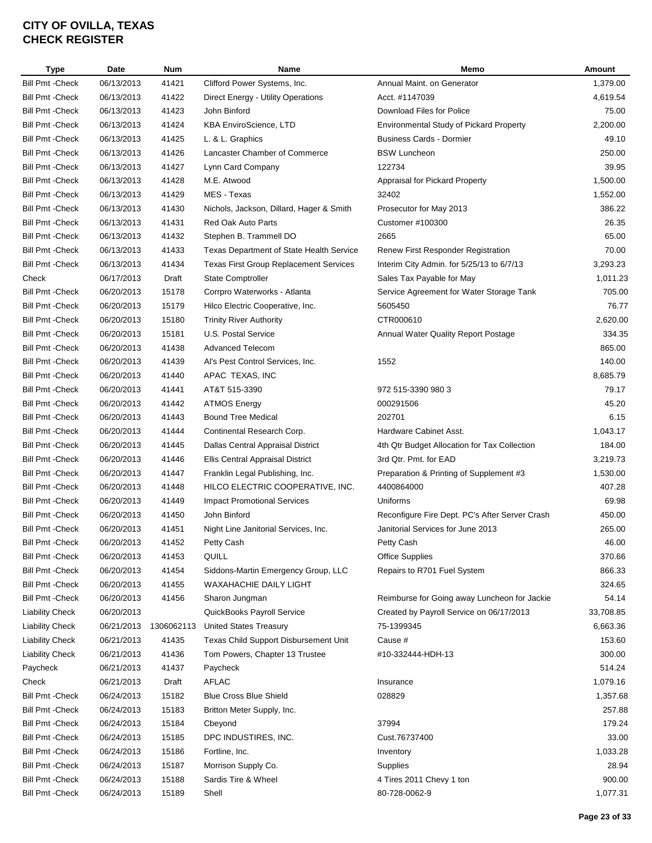| Type                    | Date       | <b>Num</b> | Name                                          | Memo                                           | Amount    |
|-------------------------|------------|------------|-----------------------------------------------|------------------------------------------------|-----------|
| <b>Bill Pmt - Check</b> | 06/13/2013 | 41421      | Clifford Power Systems, Inc.                  | Annual Maint. on Generator                     | 1,379.00  |
| <b>Bill Pmt - Check</b> | 06/13/2013 | 41422      | Direct Energy - Utility Operations            | Acct. #1147039                                 | 4,619.54  |
| <b>Bill Pmt - Check</b> | 06/13/2013 | 41423      | John Binford                                  | Download Files for Police                      | 75.00     |
| <b>Bill Pmt - Check</b> | 06/13/2013 | 41424      | <b>KBA EnviroScience, LTD</b>                 | <b>Environmental Study of Pickard Property</b> | 2,200.00  |
| <b>Bill Pmt - Check</b> | 06/13/2013 | 41425      | L. & L. Graphics                              | <b>Business Cards - Dormier</b>                | 49.10     |
| <b>Bill Pmt - Check</b> | 06/13/2013 | 41426      | Lancaster Chamber of Commerce                 | <b>BSW Luncheon</b>                            | 250.00    |
| <b>Bill Pmt - Check</b> | 06/13/2013 | 41427      | Lynn Card Company                             | 122734                                         | 39.95     |
| <b>Bill Pmt - Check</b> | 06/13/2013 | 41428      | M.E. Atwood                                   | Appraisal for Pickard Property                 | 1,500.00  |
| <b>Bill Pmt - Check</b> | 06/13/2013 | 41429      | MES - Texas                                   | 32402                                          | 1,552.00  |
| <b>Bill Pmt - Check</b> | 06/13/2013 | 41430      | Nichols, Jackson, Dillard, Hager & Smith      | Prosecutor for May 2013                        | 386.22    |
| <b>Bill Pmt - Check</b> | 06/13/2013 | 41431      | Red Oak Auto Parts                            | Customer #100300                               | 26.35     |
| <b>Bill Pmt - Check</b> | 06/13/2013 | 41432      | Stephen B. Trammell DO                        | 2665                                           | 65.00     |
| <b>Bill Pmt - Check</b> | 06/13/2013 | 41433      | Texas Department of State Health Service      | Renew First Responder Registration             | 70.00     |
| <b>Bill Pmt - Check</b> | 06/13/2013 | 41434      | <b>Texas First Group Replacement Services</b> | Interim City Admin. for 5/25/13 to 6/7/13      | 3,293.23  |
| Check                   | 06/17/2013 | Draft      | State Comptroller                             | Sales Tax Payable for May                      | 1,011.23  |
| <b>Bill Pmt - Check</b> | 06/20/2013 | 15178      | Corrpro Waterworks - Atlanta                  | Service Agreement for Water Storage Tank       | 705.00    |
| <b>Bill Pmt - Check</b> | 06/20/2013 | 15179      | Hilco Electric Cooperative, Inc.              | 5605450                                        | 76.77     |
| <b>Bill Pmt - Check</b> | 06/20/2013 | 15180      | <b>Trinity River Authority</b>                | CTR000610                                      | 2,620.00  |
| <b>Bill Pmt - Check</b> | 06/20/2013 | 15181      | U.S. Postal Service                           | Annual Water Quality Report Postage            | 334.35    |
| <b>Bill Pmt - Check</b> | 06/20/2013 | 41438      | <b>Advanced Telecom</b>                       |                                                | 865.00    |
| <b>Bill Pmt - Check</b> | 06/20/2013 | 41439      | Al's Pest Control Services, Inc.              | 1552                                           | 140.00    |
| <b>Bill Pmt - Check</b> | 06/20/2013 | 41440      | APAC TEXAS, INC                               |                                                | 8,685.79  |
| <b>Bill Pmt - Check</b> | 06/20/2013 | 41441      | AT&T 515-3390                                 | 972 515-3390 980 3                             | 79.17     |
| <b>Bill Pmt - Check</b> | 06/20/2013 | 41442      | <b>ATMOS Energy</b>                           | 000291506                                      | 45.20     |
| <b>Bill Pmt - Check</b> | 06/20/2013 | 41443      | <b>Bound Tree Medical</b>                     | 202701                                         | 6.15      |
| <b>Bill Pmt - Check</b> | 06/20/2013 | 41444      | Continental Research Corp.                    | Hardware Cabinet Asst.                         | 1,043.17  |
| <b>Bill Pmt - Check</b> | 06/20/2013 | 41445      | Dallas Central Appraisal District             | 4th Qtr Budget Allocation for Tax Collection   | 184.00    |
|                         |            |            |                                               |                                                |           |
| <b>Bill Pmt - Check</b> | 06/20/2013 | 41446      | Ellis Central Appraisal District              | 3rd Qtr. Pmt. for EAD                          | 3,219.73  |
| <b>Bill Pmt - Check</b> | 06/20/2013 | 41447      | Franklin Legal Publishing, Inc.               | Preparation & Printing of Supplement #3        | 1,530.00  |
| <b>Bill Pmt - Check</b> | 06/20/2013 | 41448      | HILCO ELECTRIC COOPERATIVE, INC.              | 4400864000                                     | 407.28    |
| <b>Bill Pmt - Check</b> | 06/20/2013 | 41449      | <b>Impact Promotional Services</b>            | Uniforms                                       | 69.98     |
| <b>Bill Pmt - Check</b> | 06/20/2013 | 41450      | John Binford                                  | Reconfigure Fire Dept. PC's After Server Crash | 450.00    |
| <b>Bill Pmt - Check</b> | 06/20/2013 | 41451      | Night Line Janitorial Services, Inc.          | Janitorial Services for June 2013              | 265.00    |
| <b>Bill Pmt - Check</b> | 06/20/2013 | 41452      | Petty Cash                                    | Petty Cash                                     | 46.00     |
| <b>Bill Pmt - Check</b> | 06/20/2013 | 41453      | QUILL                                         | <b>Office Supplies</b>                         | 370.66    |
| <b>Bill Pmt - Check</b> | 06/20/2013 | 41454      | Siddons-Martin Emergency Group, LLC           | Repairs to R701 Fuel System                    | 866.33    |
| <b>Bill Pmt - Check</b> | 06/20/2013 | 41455      | WAXAHACHIE DAILY LIGHT                        |                                                | 324.65    |
| <b>Bill Pmt - Check</b> | 06/20/2013 | 41456      | Sharon Jungman                                | Reimburse for Going away Luncheon for Jackie   | 54.14     |
| <b>Liability Check</b>  | 06/20/2013 |            | QuickBooks Payroll Service                    | Created by Payroll Service on 06/17/2013       | 33,708.85 |
| <b>Liability Check</b>  | 06/21/2013 | 1306062113 | <b>United States Treasury</b>                 | 75-1399345                                     | 6,663.36  |
| <b>Liability Check</b>  | 06/21/2013 | 41435      | Texas Child Support Disbursement Unit         | Cause #                                        | 153.60    |
| <b>Liability Check</b>  | 06/21/2013 | 41436      | Tom Powers, Chapter 13 Trustee                | #10-332444-HDH-13                              | 300.00    |
| Paycheck                | 06/21/2013 | 41437      | Paycheck                                      |                                                | 514.24    |
| Check                   | 06/21/2013 | Draft      | AFLAC                                         | Insurance                                      | 1,079.16  |
| <b>Bill Pmt - Check</b> | 06/24/2013 | 15182      | <b>Blue Cross Blue Shield</b>                 | 028829                                         | 1,357.68  |
| <b>Bill Pmt - Check</b> | 06/24/2013 | 15183      | Britton Meter Supply, Inc.                    |                                                | 257.88    |
| <b>Bill Pmt - Check</b> | 06/24/2013 | 15184      | Cbeyond                                       | 37994                                          | 179.24    |
| <b>Bill Pmt - Check</b> | 06/24/2013 | 15185      | DPC INDUSTIRES, INC.                          | Cust.76737400                                  | 33.00     |
| <b>Bill Pmt - Check</b> | 06/24/2013 | 15186      | Fortline, Inc.                                | Inventory                                      | 1,033.28  |
| <b>Bill Pmt - Check</b> | 06/24/2013 | 15187      | Morrison Supply Co.                           | Supplies                                       | 28.94     |
| <b>Bill Pmt - Check</b> | 06/24/2013 | 15188      | Sardis Tire & Wheel                           | 4 Tires 2011 Chevy 1 ton                       | 900.00    |
| <b>Bill Pmt - Check</b> | 06/24/2013 | 15189      | Shell                                         | 80-728-0062-9                                  | 1,077.31  |
|                         |            |            |                                               |                                                |           |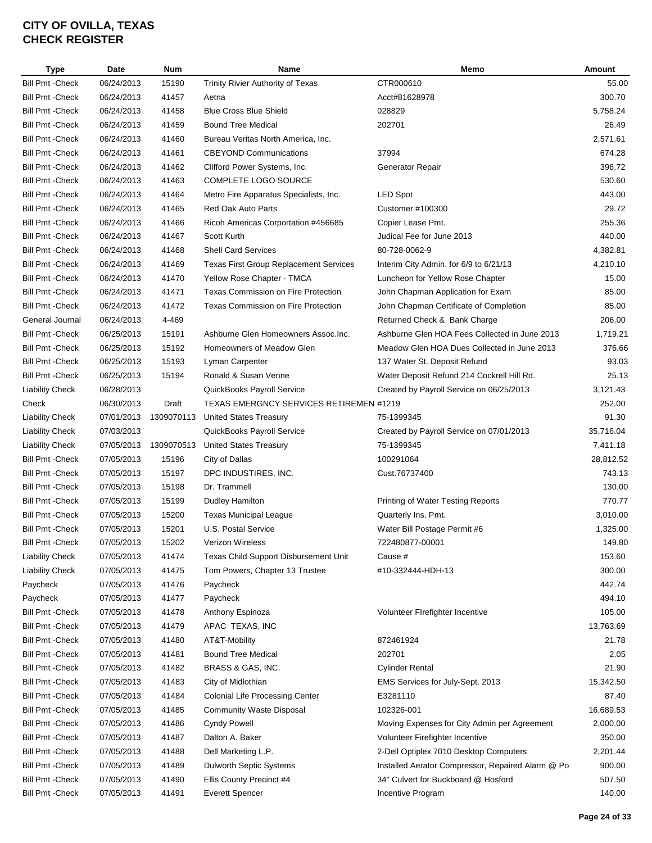| <b>Type</b>             | Date       | <b>Num</b> | <b>Name</b>                                   | Memo                                              | Amount    |
|-------------------------|------------|------------|-----------------------------------------------|---------------------------------------------------|-----------|
| <b>Bill Pmt - Check</b> | 06/24/2013 | 15190      | Trinity Rivier Authority of Texas             | CTR000610                                         | 55.00     |
| <b>Bill Pmt - Check</b> | 06/24/2013 | 41457      | Aetna                                         | Acct#81628978                                     | 300.70    |
| <b>Bill Pmt - Check</b> | 06/24/2013 | 41458      | <b>Blue Cross Blue Shield</b>                 | 028829                                            | 5,758.24  |
| <b>Bill Pmt - Check</b> | 06/24/2013 | 41459      | <b>Bound Tree Medical</b>                     | 202701                                            | 26.49     |
| <b>Bill Pmt - Check</b> | 06/24/2013 | 41460      | Bureau Veritas North America, Inc.            |                                                   | 2,571.61  |
| <b>Bill Pmt - Check</b> | 06/24/2013 | 41461      | <b>CBEYOND Communications</b>                 | 37994                                             | 674.28    |
| <b>Bill Pmt - Check</b> | 06/24/2013 | 41462      | Clifford Power Systems, Inc.                  | Generator Repair                                  | 396.72    |
| <b>Bill Pmt - Check</b> | 06/24/2013 | 41463      | <b>COMPLETE LOGO SOURCE</b>                   |                                                   | 530.60    |
| <b>Bill Pmt - Check</b> | 06/24/2013 | 41464      | Metro Fire Apparatus Specialists, Inc.        | <b>LED Spot</b>                                   | 443.00    |
| <b>Bill Pmt - Check</b> | 06/24/2013 | 41465      | Red Oak Auto Parts                            | Customer #100300                                  | 29.72     |
| <b>Bill Pmt - Check</b> | 06/24/2013 | 41466      | Ricoh Americas Corportation #456685           | Copier Lease Pmt.                                 | 255.36    |
| <b>Bill Pmt - Check</b> | 06/24/2013 | 41467      | Scott Kurth                                   | Judical Fee for June 2013                         | 440.00    |
| <b>Bill Pmt - Check</b> | 06/24/2013 | 41468      | <b>Shell Card Services</b>                    | 80-728-0062-9                                     | 4,382.81  |
| <b>Bill Pmt - Check</b> | 06/24/2013 | 41469      | <b>Texas First Group Replacement Services</b> | Interim City Admin. for 6/9 to 6/21/13            | 4,210.10  |
| <b>Bill Pmt - Check</b> | 06/24/2013 | 41470      | Yellow Rose Chapter - TMCA                    | Luncheon for Yellow Rose Chapter                  | 15.00     |
| <b>Bill Pmt - Check</b> | 06/24/2013 | 41471      | <b>Texas Commission on Fire Protection</b>    | John Chapman Application for Exam                 | 85.00     |
| <b>Bill Pmt - Check</b> | 06/24/2013 | 41472      | <b>Texas Commission on Fire Protection</b>    | John Chapman Certificate of Completion            | 85.00     |
| General Journal         | 06/24/2013 | 4-469      |                                               | Returned Check & Bank Charge                      | 206.00    |
|                         |            |            | Ashburne Glen Homeowners Assoc.Inc.           | Ashburne Glen HOA Fees Collected in June 2013     |           |
| <b>Bill Pmt - Check</b> | 06/25/2013 | 15191      |                                               |                                                   | 1,719.21  |
| <b>Bill Pmt - Check</b> | 06/25/2013 | 15192      | Homeowners of Meadow Glen                     | Meadow Glen HOA Dues Collected in June 2013       | 376.66    |
| <b>Bill Pmt - Check</b> | 06/25/2013 | 15193      | Lyman Carpenter                               | 137 Water St. Deposit Refund                      | 93.03     |
| <b>Bill Pmt - Check</b> | 06/25/2013 | 15194      | Ronald & Susan Venne                          | Water Deposit Refund 214 Cockrell Hill Rd.        | 25.13     |
| Liability Check         | 06/28/2013 |            | QuickBooks Payroll Service                    | Created by Payroll Service on 06/25/2013          | 3,121.43  |
| Check                   | 06/30/2013 | Draft      | TEXAS EMERGNCY SERVICES RETIREMEN #1219       |                                                   | 252.00    |
| <b>Liability Check</b>  | 07/01/2013 | 1309070113 | <b>United States Treasury</b>                 | 75-1399345                                        | 91.30     |
| <b>Liability Check</b>  | 07/03/2013 |            | QuickBooks Payroll Service                    | Created by Payroll Service on 07/01/2013          | 35,716.04 |
| <b>Liability Check</b>  | 07/05/2013 | 1309070513 | United States Treasury                        | 75-1399345                                        | 7,411.18  |
| <b>Bill Pmt - Check</b> | 07/05/2013 | 15196      | City of Dallas                                | 100291064                                         | 28,812.52 |
| <b>Bill Pmt - Check</b> | 07/05/2013 | 15197      | DPC INDUSTIRES, INC.                          | Cust.76737400                                     | 743.13    |
| <b>Bill Pmt - Check</b> | 07/05/2013 | 15198      | Dr. Trammell                                  |                                                   | 130.00    |
| <b>Bill Pmt - Check</b> | 07/05/2013 | 15199      | Dudley Hamilton                               | Printing of Water Testing Reports                 | 770.77    |
| <b>Bill Pmt - Check</b> | 07/05/2013 | 15200      | <b>Texas Municipal League</b>                 | Quarterly Ins. Pmt.                               | 3,010.00  |
| <b>Bill Pmt - Check</b> | 07/05/2013 | 15201      | U.S. Postal Service                           | Water Bill Postage Permit #6                      | 1,325.00  |
| <b>Bill Pmt - Check</b> | 07/05/2013 | 15202      | Verizon Wireless                              | 722480877-00001                                   | 149.80    |
| <b>Liability Check</b>  | 07/05/2013 | 41474      | Texas Child Support Disbursement Unit         | Cause #                                           | 153.60    |
| <b>Liability Check</b>  | 07/05/2013 | 41475      | Tom Powers, Chapter 13 Trustee                | #10-332444-HDH-13                                 | 300.00    |
| Paycheck                | 07/05/2013 | 41476      | Paycheck                                      |                                                   | 442.74    |
| Paycheck                | 07/05/2013 | 41477      | Paycheck                                      |                                                   | 494.10    |
| Bill Pmt - Check        | 07/05/2013 | 41478      | Anthony Espinoza                              | Volunteer Firefighter Incentive                   | 105.00    |
| Bill Pmt -Check         | 07/05/2013 | 41479      | APAC TEXAS, INC                               |                                                   | 13,763.69 |
| <b>Bill Pmt - Check</b> | 07/05/2013 | 41480      | AT&T-Mobility                                 | 872461924                                         | 21.78     |
| <b>Bill Pmt - Check</b> | 07/05/2013 | 41481      | <b>Bound Tree Medical</b>                     | 202701                                            | 2.05      |
| <b>Bill Pmt - Check</b> | 07/05/2013 | 41482      | BRASS & GAS, INC.                             | <b>Cylinder Rental</b>                            | 21.90     |
| <b>Bill Pmt - Check</b> | 07/05/2013 | 41483      | City of Midlothian                            | EMS Services for July-Sept. 2013                  | 15,342.50 |
| <b>Bill Pmt - Check</b> | 07/05/2013 | 41484      | <b>Colonial Life Processing Center</b>        | E3281110                                          | 87.40     |
| <b>Bill Pmt - Check</b> | 07/05/2013 | 41485      | <b>Community Waste Disposal</b>               | 102326-001                                        | 16,689.53 |
| Bill Pmt -Check         | 07/05/2013 | 41486      | <b>Cyndy Powell</b>                           | Moving Expenses for City Admin per Agreement      | 2,000.00  |
| <b>Bill Pmt - Check</b> | 07/05/2013 | 41487      | Dalton A. Baker                               | Volunteer Firefighter Incentive                   | 350.00    |
| Bill Pmt - Check        | 07/05/2013 | 41488      | Dell Marketing L.P.                           | 2-Dell Optiplex 7010 Desktop Computers            | 2,201.44  |
| Bill Pmt -Check         | 07/05/2013 | 41489      | Dulworth Septic Systems                       | Installed Aerator Compressor, Repaired Alarm @ Po | 900.00    |
| <b>Bill Pmt - Check</b> | 07/05/2013 | 41490      | Ellis County Precinct #4                      | 34" Culvert for Buckboard @ Hosford               | 507.50    |
| <b>Bill Pmt - Check</b> | 07/05/2013 | 41491      | <b>Everett Spencer</b>                        | Incentive Program                                 | 140.00    |
|                         |            |            |                                               |                                                   |           |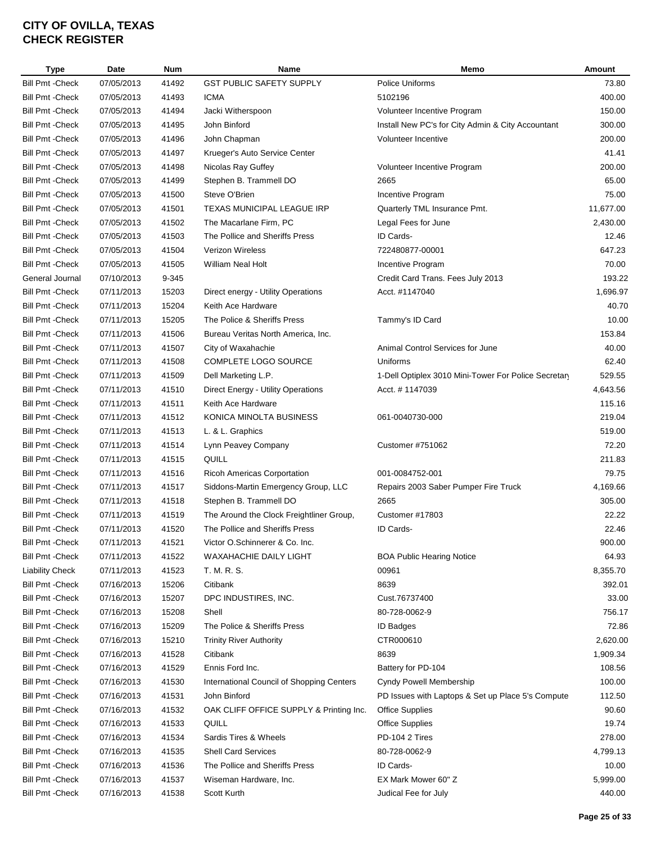| Type                    | Date       | <b>Num</b> | Name                                      | Memo                                                 | Amount    |
|-------------------------|------------|------------|-------------------------------------------|------------------------------------------------------|-----------|
| <b>Bill Pmt - Check</b> | 07/05/2013 | 41492      | <b>GST PUBLIC SAFETY SUPPLY</b>           | Police Uniforms                                      | 73.80     |
| <b>Bill Pmt - Check</b> | 07/05/2013 | 41493      | <b>ICMA</b>                               | 5102196                                              | 400.00    |
| <b>Bill Pmt - Check</b> | 07/05/2013 | 41494      | Jacki Witherspoon                         | Volunteer Incentive Program                          | 150.00    |
| <b>Bill Pmt - Check</b> | 07/05/2013 | 41495      | John Binford                              | Install New PC's for City Admin & City Accountant    | 300.00    |
| <b>Bill Pmt - Check</b> | 07/05/2013 | 41496      | John Chapman                              | Volunteer Incentive                                  | 200.00    |
| <b>Bill Pmt - Check</b> | 07/05/2013 | 41497      | Krueger's Auto Service Center             |                                                      | 41.41     |
| <b>Bill Pmt - Check</b> | 07/05/2013 | 41498      | Nicolas Ray Guffey                        | Volunteer Incentive Program                          | 200.00    |
| <b>Bill Pmt - Check</b> | 07/05/2013 | 41499      | Stephen B. Trammell DO                    | 2665                                                 | 65.00     |
| <b>Bill Pmt - Check</b> | 07/05/2013 | 41500      | Steve O'Brien                             | Incentive Program                                    | 75.00     |
| <b>Bill Pmt - Check</b> | 07/05/2013 | 41501      | TEXAS MUNICIPAL LEAGUE IRP                | Quarterly TML Insurance Pmt.                         | 11,677.00 |
| <b>Bill Pmt - Check</b> | 07/05/2013 | 41502      | The Macarlane Firm, PC                    | Legal Fees for June                                  | 2,430.00  |
| <b>Bill Pmt - Check</b> | 07/05/2013 | 41503      | The Pollice and Sheriffs Press            | ID Cards-                                            | 12.46     |
| <b>Bill Pmt - Check</b> | 07/05/2013 | 41504      | <b>Verizon Wireless</b>                   | 722480877-00001                                      | 647.23    |
| <b>Bill Pmt - Check</b> | 07/05/2013 | 41505      | William Neal Holt                         | Incentive Program                                    | 70.00     |
| General Journal         | 07/10/2013 | 9-345      |                                           | Credit Card Trans. Fees July 2013                    | 193.22    |
| <b>Bill Pmt - Check</b> | 07/11/2013 | 15203      | Direct energy - Utility Operations        | Acct. #1147040                                       | 1,696.97  |
|                         |            |            | Keith Ace Hardware                        |                                                      |           |
| <b>Bill Pmt - Check</b> | 07/11/2013 | 15204      |                                           |                                                      | 40.70     |
| <b>Bill Pmt - Check</b> | 07/11/2013 | 15205      | The Police & Sheriffs Press               | Tammy's ID Card                                      | 10.00     |
| <b>Bill Pmt - Check</b> | 07/11/2013 | 41506      | Bureau Veritas North America, Inc.        |                                                      | 153.84    |
| <b>Bill Pmt - Check</b> | 07/11/2013 | 41507      | City of Waxahachie                        | Animal Control Services for June                     | 40.00     |
| <b>Bill Pmt - Check</b> | 07/11/2013 | 41508      | <b>COMPLETE LOGO SOURCE</b>               | Uniforms                                             | 62.40     |
| <b>Bill Pmt - Check</b> | 07/11/2013 | 41509      | Dell Marketing L.P.                       | 1-Dell Optiplex 3010 Mini-Tower For Police Secretary | 529.55    |
| <b>Bill Pmt - Check</b> | 07/11/2013 | 41510      | Direct Energy - Utility Operations        | Acct. # 1147039                                      | 4,643.56  |
| <b>Bill Pmt - Check</b> | 07/11/2013 | 41511      | Keith Ace Hardware                        |                                                      | 115.16    |
| <b>Bill Pmt - Check</b> | 07/11/2013 | 41512      | KONICA MINOLTA BUSINESS                   | 061-0040730-000                                      | 219.04    |
| <b>Bill Pmt - Check</b> | 07/11/2013 | 41513      | L. & L. Graphics                          |                                                      | 519.00    |
| <b>Bill Pmt - Check</b> | 07/11/2013 | 41514      | Lynn Peavey Company                       | Customer #751062                                     | 72.20     |
| <b>Bill Pmt - Check</b> | 07/11/2013 | 41515      | QUILL                                     |                                                      | 211.83    |
| <b>Bill Pmt - Check</b> | 07/11/2013 | 41516      | Ricoh Americas Corportation               | 001-0084752-001                                      | 79.75     |
| <b>Bill Pmt - Check</b> | 07/11/2013 | 41517      | Siddons-Martin Emergency Group, LLC       | Repairs 2003 Saber Pumper Fire Truck                 | 4,169.66  |
| <b>Bill Pmt - Check</b> | 07/11/2013 | 41518      | Stephen B. Trammell DO                    | 2665                                                 | 305.00    |
| <b>Bill Pmt - Check</b> | 07/11/2013 | 41519      | The Around the Clock Freightliner Group,  | Customer #17803                                      | 22.22     |
| <b>Bill Pmt - Check</b> | 07/11/2013 | 41520      | The Pollice and Sheriffs Press            | ID Cards-                                            | 22.46     |
| <b>Bill Pmt - Check</b> | 07/11/2013 | 41521      | Victor O.Schinnerer & Co. Inc.            |                                                      | 900.00    |
| <b>Bill Pmt - Check</b> | 07/11/2013 | 41522      | WAXAHACHIE DAILY LIGHT                    | <b>BOA Public Hearing Notice</b>                     | 64.93     |
| <b>Liability Check</b>  | 07/11/2013 | 41523      | T. M. R. S.                               | 00961                                                | 8,355.70  |
| <b>Bill Pmt - Check</b> | 07/16/2013 | 15206      | Citibank                                  | 8639                                                 | 392.01    |
| <b>Bill Pmt - Check</b> | 07/16/2013 | 15207      | DPC INDUSTIRES, INC.                      | Cust.76737400                                        | 33.00     |
| <b>Bill Pmt - Check</b> | 07/16/2013 | 15208      | Shell                                     | 80-728-0062-9                                        | 756.17    |
| <b>Bill Pmt - Check</b> | 07/16/2013 | 15209      | The Police & Sheriffs Press               | ID Badges                                            | 72.86     |
| <b>Bill Pmt - Check</b> | 07/16/2013 | 15210      | <b>Trinity River Authority</b>            | CTR000610                                            | 2,620.00  |
| <b>Bill Pmt - Check</b> | 07/16/2013 | 41528      | Citibank                                  | 8639                                                 | 1,909.34  |
| <b>Bill Pmt - Check</b> | 07/16/2013 | 41529      | Ennis Ford Inc.                           | Battery for PD-104                                   | 108.56    |
| <b>Bill Pmt - Check</b> | 07/16/2013 | 41530      | International Council of Shopping Centers | Cyndy Powell Membership                              | 100.00    |
| <b>Bill Pmt - Check</b> | 07/16/2013 | 41531      | John Binford                              | PD Issues with Laptops & Set up Place 5's Compute    | 112.50    |
| <b>Bill Pmt - Check</b> | 07/16/2013 | 41532      | OAK CLIFF OFFICE SUPPLY & Printing Inc.   | <b>Office Supplies</b>                               | 90.60     |
| <b>Bill Pmt - Check</b> | 07/16/2013 | 41533      | QUILL                                     | <b>Office Supplies</b>                               | 19.74     |
| <b>Bill Pmt - Check</b> | 07/16/2013 | 41534      | Sardis Tires & Wheels                     | PD-104 2 Tires                                       | 278.00    |
| <b>Bill Pmt - Check</b> | 07/16/2013 | 41535      | <b>Shell Card Services</b>                | 80-728-0062-9                                        | 4,799.13  |
| <b>Bill Pmt - Check</b> | 07/16/2013 | 41536      | The Pollice and Sheriffs Press            | ID Cards-                                            | 10.00     |
| <b>Bill Pmt - Check</b> | 07/16/2013 | 41537      | Wiseman Hardware, Inc.                    | EX Mark Mower 60" Z                                  | 5,999.00  |
| <b>Bill Pmt - Check</b> | 07/16/2013 | 41538      | Scott Kurth                               | Judical Fee for July                                 | 440.00    |
|                         |            |            |                                           |                                                      |           |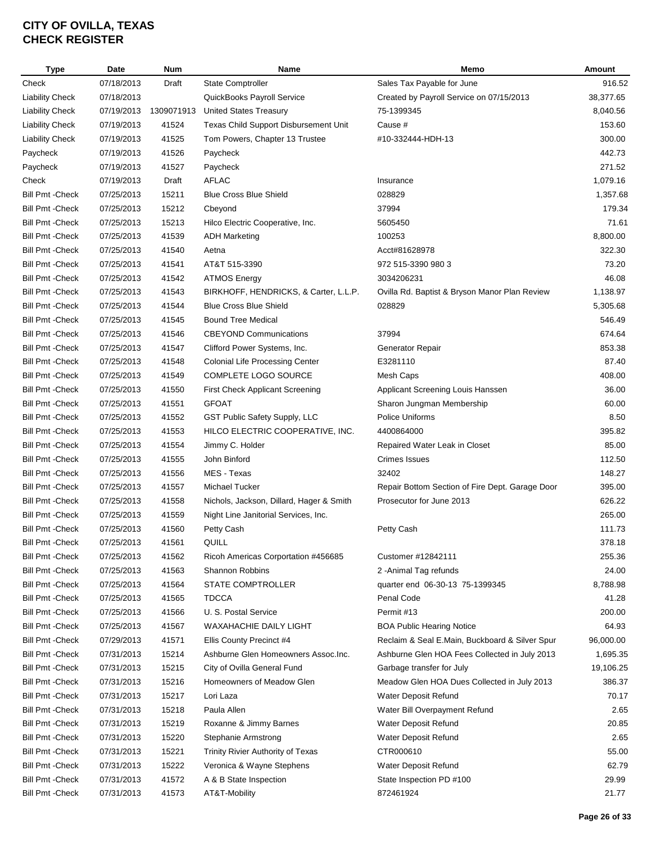| <b>Type</b>             | <b>Date</b> | <b>Num</b> | Name                                     | Memo                                            | <b>Amount</b> |
|-------------------------|-------------|------------|------------------------------------------|-------------------------------------------------|---------------|
| Check                   | 07/18/2013  | Draft      | <b>State Comptroller</b>                 | Sales Tax Payable for June                      | 916.52        |
| <b>Liability Check</b>  | 07/18/2013  |            | QuickBooks Payroll Service               | Created by Payroll Service on 07/15/2013        | 38,377.65     |
| <b>Liability Check</b>  | 07/19/2013  | 1309071913 | <b>United States Treasury</b>            | 75-1399345                                      | 8,040.56      |
| <b>Liability Check</b>  | 07/19/2013  | 41524      | Texas Child Support Disbursement Unit    | Cause #                                         | 153.60        |
| <b>Liability Check</b>  | 07/19/2013  | 41525      | Tom Powers, Chapter 13 Trustee           | #10-332444-HDH-13                               | 300.00        |
| Paycheck                | 07/19/2013  | 41526      | Paycheck                                 |                                                 | 442.73        |
| Paycheck                | 07/19/2013  | 41527      | Paycheck                                 |                                                 | 271.52        |
| Check                   | 07/19/2013  | Draft      | <b>AFLAC</b>                             | Insurance                                       | 1,079.16      |
| <b>Bill Pmt - Check</b> | 07/25/2013  | 15211      | <b>Blue Cross Blue Shield</b>            | 028829                                          | 1,357.68      |
| <b>Bill Pmt - Check</b> | 07/25/2013  | 15212      | Cbeyond                                  | 37994                                           | 179.34        |
| <b>Bill Pmt - Check</b> | 07/25/2013  | 15213      | Hilco Electric Cooperative, Inc.         | 5605450                                         | 71.61         |
| <b>Bill Pmt - Check</b> | 07/25/2013  | 41539      | <b>ADH Marketing</b>                     | 100253                                          | 8,800.00      |
| <b>Bill Pmt - Check</b> | 07/25/2013  | 41540      | Aetna                                    | Acct#81628978                                   | 322.30        |
| <b>Bill Pmt - Check</b> | 07/25/2013  | 41541      | AT&T 515-3390                            | 972 515-3390 980 3                              | 73.20         |
|                         |             |            |                                          |                                                 |               |
| <b>Bill Pmt - Check</b> | 07/25/2013  | 41542      | <b>ATMOS Energy</b>                      | 3034206231                                      | 46.08         |
| <b>Bill Pmt - Check</b> | 07/25/2013  | 41543      | BIRKHOFF, HENDRICKS, & Carter, L.L.P.    | Ovilla Rd. Baptist & Bryson Manor Plan Review   | 1,138.97      |
| <b>Bill Pmt - Check</b> | 07/25/2013  | 41544      | <b>Blue Cross Blue Shield</b>            | 028829                                          | 5,305.68      |
| <b>Bill Pmt - Check</b> | 07/25/2013  | 41545      | <b>Bound Tree Medical</b>                |                                                 | 546.49        |
| <b>Bill Pmt - Check</b> | 07/25/2013  | 41546      | <b>CBEYOND Communications</b>            | 37994                                           | 674.64        |
| <b>Bill Pmt - Check</b> | 07/25/2013  | 41547      | Clifford Power Systems, Inc.             | Generator Repair                                | 853.38        |
| <b>Bill Pmt - Check</b> | 07/25/2013  | 41548      | <b>Colonial Life Processing Center</b>   | E3281110                                        | 87.40         |
| <b>Bill Pmt - Check</b> | 07/25/2013  | 41549      | <b>COMPLETE LOGO SOURCE</b>              | Mesh Caps                                       | 408.00        |
| <b>Bill Pmt - Check</b> | 07/25/2013  | 41550      | First Check Applicant Screening          | Applicant Screening Louis Hanssen               | 36.00         |
| <b>Bill Pmt - Check</b> | 07/25/2013  | 41551      | <b>GFOAT</b>                             | Sharon Jungman Membership                       | 60.00         |
| <b>Bill Pmt - Check</b> | 07/25/2013  | 41552      | GST Public Safety Supply, LLC            | Police Uniforms                                 | 8.50          |
| <b>Bill Pmt - Check</b> | 07/25/2013  | 41553      | HILCO ELECTRIC COOPERATIVE, INC.         | 4400864000                                      | 395.82        |
| <b>Bill Pmt - Check</b> | 07/25/2013  | 41554      | Jimmy C. Holder                          | Repaired Water Leak in Closet                   | 85.00         |
| <b>Bill Pmt - Check</b> | 07/25/2013  | 41555      | John Binford                             | <b>Crimes Issues</b>                            | 112.50        |
| <b>Bill Pmt - Check</b> | 07/25/2013  | 41556      | MES - Texas                              | 32402                                           | 148.27        |
| <b>Bill Pmt - Check</b> | 07/25/2013  | 41557      | Michael Tucker                           | Repair Bottom Section of Fire Dept. Garage Door | 395.00        |
| <b>Bill Pmt - Check</b> | 07/25/2013  | 41558      | Nichols, Jackson, Dillard, Hager & Smith | Prosecutor for June 2013                        | 626.22        |
| <b>Bill Pmt - Check</b> | 07/25/2013  | 41559      | Night Line Janitorial Services, Inc.     |                                                 | 265.00        |
| <b>Bill Pmt - Check</b> | 07/25/2013  | 41560      | Petty Cash                               | Petty Cash                                      | 111.73        |
| <b>Bill Pmt - Check</b> | 07/25/2013  | 41561      | QUILL                                    |                                                 | 378.18        |
| Bill Pmt -Check         | 07/25/2013  | 41562      | Ricoh Americas Corportation #456685      | Customer #12842111                              | 255.36        |
| <b>Bill Pmt - Check</b> | 07/25/2013  | 41563      | Shannon Robbins                          | 2 - Animal Tag refunds                          | 24.00         |
| <b>Bill Pmt - Check</b> | 07/25/2013  | 41564      | <b>STATE COMPTROLLER</b>                 | quarter end 06-30-13 75-1399345                 | 8,788.98      |
| <b>Bill Pmt - Check</b> | 07/25/2013  | 41565      | <b>TDCCA</b>                             | Penal Code                                      | 41.28         |
| Bill Pmt -Check         | 07/25/2013  | 41566      | U. S. Postal Service                     | Permit #13                                      | 200.00        |
| Bill Pmt - Check        | 07/25/2013  | 41567      | WAXAHACHIE DAILY LIGHT                   | <b>BOA Public Hearing Notice</b>                | 64.93         |
| <b>Bill Pmt - Check</b> | 07/29/2013  | 41571      | Ellis County Precinct #4                 | Reclaim & Seal E.Main, Buckboard & Silver Spur  | 96,000.00     |
| <b>Bill Pmt - Check</b> | 07/31/2013  | 15214      | Ashburne Glen Homeowners Assoc.Inc.      | Ashburne Glen HOA Fees Collected in July 2013   | 1,695.35      |
| <b>Bill Pmt - Check</b> | 07/31/2013  | 15215      | City of Ovilla General Fund              | Garbage transfer for July                       | 19,106.25     |
|                         |             |            | Homeowners of Meadow Glen                |                                                 | 386.37        |
| Bill Pmt -Check         | 07/31/2013  | 15216      |                                          | Meadow Glen HOA Dues Collected in July 2013     |               |
| <b>Bill Pmt - Check</b> | 07/31/2013  | 15217      | Lori Laza                                | Water Deposit Refund                            | 70.17         |
| <b>Bill Pmt - Check</b> | 07/31/2013  | 15218      | Paula Allen                              | Water Bill Overpayment Refund                   | 2.65          |
| <b>Bill Pmt - Check</b> | 07/31/2013  | 15219      | Roxanne & Jimmy Barnes                   | Water Deposit Refund                            | 20.85         |
| <b>Bill Pmt - Check</b> | 07/31/2013  | 15220      | Stephanie Armstrong                      | Water Deposit Refund                            | 2.65          |
| <b>Bill Pmt - Check</b> | 07/31/2013  | 15221      | Trinity Rivier Authority of Texas        | CTR000610                                       | 55.00         |
| Bill Pmt -Check         | 07/31/2013  | 15222      | Veronica & Wayne Stephens                | Water Deposit Refund                            | 62.79         |
| <b>Bill Pmt - Check</b> | 07/31/2013  | 41572      | A & B State Inspection                   | State Inspection PD #100                        | 29.99         |
| <b>Bill Pmt - Check</b> | 07/31/2013  | 41573      | AT&T-Mobility                            | 872461924                                       | 21.77         |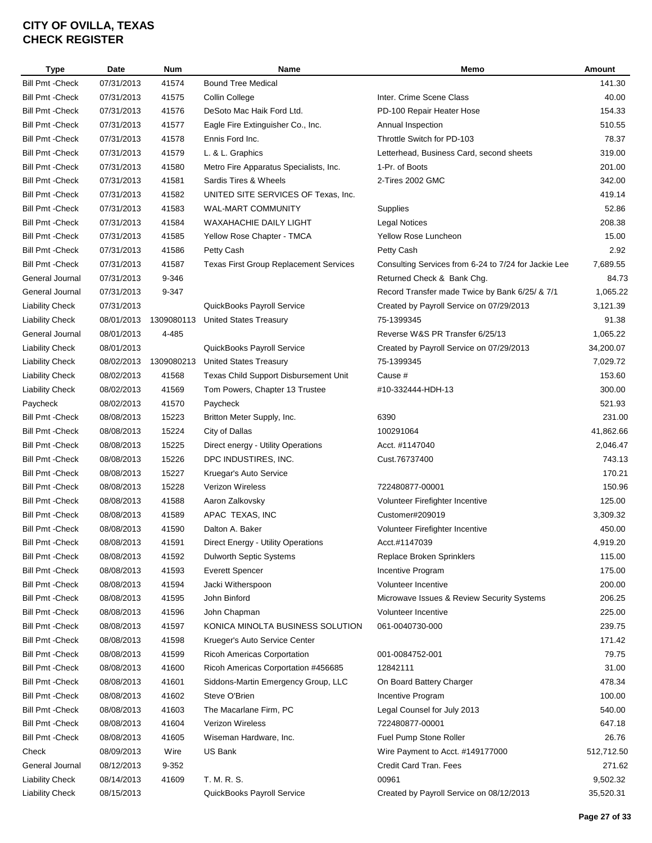| <b>Type</b>             | Date       | <b>Num</b> | Name                                          | Memo                                                 | Amount     |
|-------------------------|------------|------------|-----------------------------------------------|------------------------------------------------------|------------|
| <b>Bill Pmt - Check</b> | 07/31/2013 | 41574      | <b>Bound Tree Medical</b>                     |                                                      | 141.30     |
| <b>Bill Pmt - Check</b> | 07/31/2013 | 41575      | Collin College                                | Inter. Crime Scene Class                             | 40.00      |
| <b>Bill Pmt - Check</b> | 07/31/2013 | 41576      | DeSoto Mac Haik Ford Ltd.                     | PD-100 Repair Heater Hose                            | 154.33     |
| <b>Bill Pmt - Check</b> | 07/31/2013 | 41577      | Eagle Fire Extinguisher Co., Inc.             | Annual Inspection                                    | 510.55     |
| <b>Bill Pmt - Check</b> | 07/31/2013 | 41578      | Ennis Ford Inc.                               | Throttle Switch for PD-103                           | 78.37      |
| <b>Bill Pmt - Check</b> | 07/31/2013 | 41579      | L. & L. Graphics                              | Letterhead, Business Card, second sheets             | 319.00     |
| <b>Bill Pmt - Check</b> | 07/31/2013 | 41580      | Metro Fire Apparatus Specialists, Inc.        | 1-Pr. of Boots                                       | 201.00     |
| <b>Bill Pmt - Check</b> | 07/31/2013 | 41581      | Sardis Tires & Wheels                         | 2-Tires 2002 GMC                                     | 342.00     |
| <b>Bill Pmt - Check</b> | 07/31/2013 | 41582      | UNITED SITE SERVICES OF Texas, Inc.           |                                                      | 419.14     |
| <b>Bill Pmt - Check</b> | 07/31/2013 | 41583      | WAL-MART COMMUNITY                            | Supplies                                             | 52.86      |
| <b>Bill Pmt - Check</b> | 07/31/2013 | 41584      | WAXAHACHIE DAILY LIGHT                        | <b>Legal Notices</b>                                 | 208.38     |
| <b>Bill Pmt - Check</b> | 07/31/2013 | 41585      | Yellow Rose Chapter - TMCA                    | Yellow Rose Luncheon                                 | 15.00      |
| <b>Bill Pmt - Check</b> | 07/31/2013 | 41586      | Petty Cash                                    | Petty Cash                                           | 2.92       |
| <b>Bill Pmt - Check</b> | 07/31/2013 | 41587      | <b>Texas First Group Replacement Services</b> | Consulting Services from 6-24 to 7/24 for Jackie Lee | 7,689.55   |
| General Journal         | 07/31/2013 | 9-346      |                                               | Returned Check & Bank Chg.                           | 84.73      |
| General Journal         | 07/31/2013 | 9-347      |                                               | Record Transfer made Twice by Bank 6/25/ & 7/1       | 1,065.22   |
| <b>Liability Check</b>  | 07/31/2013 |            | QuickBooks Payroll Service                    | Created by Payroll Service on 07/29/2013             | 3,121.39   |
| <b>Liability Check</b>  | 08/01/2013 | 1309080113 | <b>United States Treasury</b>                 | 75-1399345                                           | 91.38      |
| General Journal         | 08/01/2013 | 4-485      |                                               | Reverse W&S PR Transfer 6/25/13                      | 1,065.22   |
| <b>Liability Check</b>  | 08/01/2013 |            | QuickBooks Payroll Service                    | Created by Payroll Service on 07/29/2013             | 34,200.07  |
| <b>Liability Check</b>  | 08/02/2013 | 1309080213 | <b>United States Treasury</b>                 | 75-1399345                                           | 7,029.72   |
| <b>Liability Check</b>  | 08/02/2013 | 41568      | Texas Child Support Disbursement Unit         | Cause #                                              | 153.60     |
|                         |            |            |                                               |                                                      |            |
| <b>Liability Check</b>  | 08/02/2013 | 41569      | Tom Powers, Chapter 13 Trustee                | #10-332444-HDH-13                                    | 300.00     |
| Paycheck                | 08/02/2013 | 41570      | Paycheck                                      |                                                      | 521.93     |
| <b>Bill Pmt - Check</b> | 08/08/2013 | 15223      | Britton Meter Supply, Inc.                    | 6390                                                 | 231.00     |
| <b>Bill Pmt - Check</b> | 08/08/2013 | 15224      | City of Dallas                                | 100291064                                            | 41,862.66  |
| <b>Bill Pmt - Check</b> | 08/08/2013 | 15225      | Direct energy - Utility Operations            | Acct. #1147040                                       | 2,046.47   |
| <b>Bill Pmt - Check</b> | 08/08/2013 | 15226      | DPC INDUSTIRES, INC.                          | Cust.76737400                                        | 743.13     |
| <b>Bill Pmt - Check</b> | 08/08/2013 | 15227      | Kruegar's Auto Service                        |                                                      | 170.21     |
| <b>Bill Pmt - Check</b> | 08/08/2013 | 15228      | Verizon Wireless                              | 722480877-00001                                      | 150.96     |
| <b>Bill Pmt - Check</b> | 08/08/2013 | 41588      | Aaron Zalkovsky                               | Volunteer Firefighter Incentive                      | 125.00     |
| <b>Bill Pmt - Check</b> | 08/08/2013 | 41589      | APAC TEXAS, INC                               | Customer#209019                                      | 3,309.32   |
| <b>Bill Pmt - Check</b> | 08/08/2013 | 41590      | Dalton A. Baker                               | Volunteer Firefighter Incentive                      | 450.00     |
| <b>Bill Pmt - Check</b> | 08/08/2013 | 41591      | Direct Energy - Utility Operations            | Acct.#1147039                                        | 4,919.20   |
| <b>Bill Pmt - Check</b> | 08/08/2013 | 41592      | <b>Dulworth Septic Systems</b>                | Replace Broken Sprinklers                            | 115.00     |
| <b>Bill Pmt - Check</b> | 08/08/2013 | 41593      | <b>Everett Spencer</b>                        | Incentive Program                                    | 175.00     |
| <b>Bill Pmt - Check</b> | 08/08/2013 | 41594      | Jacki Witherspoon                             | Volunteer Incentive                                  | 200.00     |
| <b>Bill Pmt - Check</b> | 08/08/2013 | 41595      | John Binford                                  | Microwave Issues & Review Security Systems           | 206.25     |
| Bill Pmt -Check         | 08/08/2013 | 41596      | John Chapman                                  | Volunteer Incentive                                  | 225.00     |
| <b>Bill Pmt - Check</b> | 08/08/2013 | 41597      | KONICA MINOLTA BUSINESS SOLUTION              | 061-0040730-000                                      | 239.75     |
| <b>Bill Pmt - Check</b> | 08/08/2013 | 41598      | Krueger's Auto Service Center                 |                                                      | 171.42     |
| <b>Bill Pmt - Check</b> | 08/08/2013 | 41599      | <b>Ricoh Americas Corportation</b>            | 001-0084752-001                                      | 79.75      |
| <b>Bill Pmt - Check</b> | 08/08/2013 | 41600      | Ricoh Americas Corportation #456685           | 12842111                                             | 31.00      |
| <b>Bill Pmt - Check</b> | 08/08/2013 | 41601      | Siddons-Martin Emergency Group, LLC           | On Board Battery Charger                             | 478.34     |
| Bill Pmt - Check        | 08/08/2013 | 41602      | Steve O'Brien                                 | Incentive Program                                    | 100.00     |
| <b>Bill Pmt - Check</b> | 08/08/2013 | 41603      | The Macarlane Firm, PC                        | Legal Counsel for July 2013                          | 540.00     |
| <b>Bill Pmt - Check</b> | 08/08/2013 | 41604      | Verizon Wireless                              | 722480877-00001                                      | 647.18     |
| Bill Pmt - Check        | 08/08/2013 | 41605      | Wiseman Hardware, Inc.                        | Fuel Pump Stone Roller                               | 26.76      |
| Check                   | 08/09/2013 | Wire       | US Bank                                       | Wire Payment to Acct. #149177000                     | 512,712.50 |
| General Journal         | 08/12/2013 | 9-352      |                                               | Credit Card Tran. Fees                               | 271.62     |
| Liability Check         | 08/14/2013 | 41609      | T. M. R. S.                                   | 00961                                                | 9,502.32   |
| <b>Liability Check</b>  | 08/15/2013 |            | QuickBooks Payroll Service                    | Created by Payroll Service on 08/12/2013             | 35,520.31  |
|                         |            |            |                                               |                                                      |            |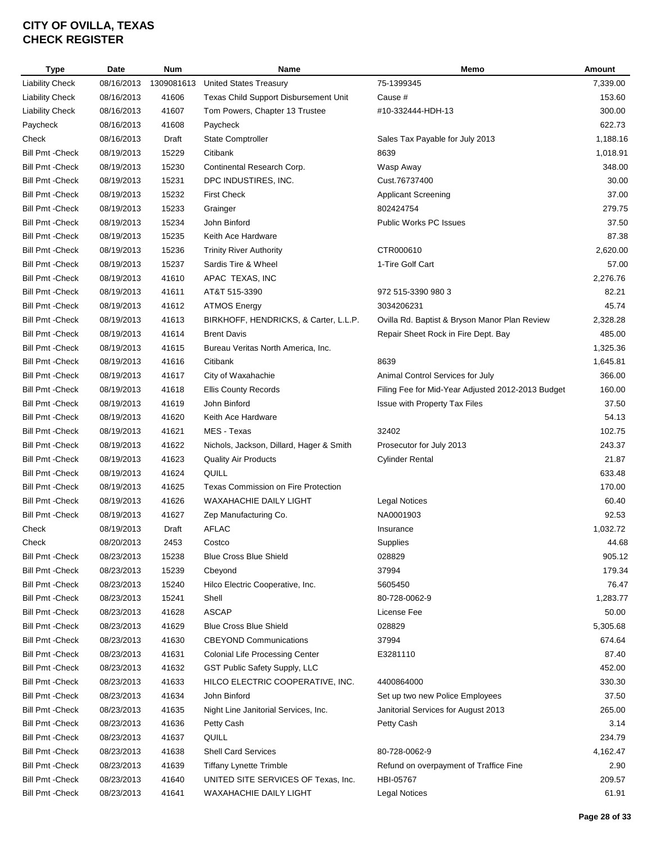| Type                    | Date                     | <b>Num</b> | Name                                     | Memo                                              | Amount   |
|-------------------------|--------------------------|------------|------------------------------------------|---------------------------------------------------|----------|
| Liability Check         | 08/16/2013               | 1309081613 | <b>United States Treasury</b>            | 75-1399345                                        | 7,339.00 |
| <b>Liability Check</b>  | 08/16/2013               | 41606      | Texas Child Support Disbursement Unit    | Cause #                                           | 153.60   |
| <b>Liability Check</b>  | 08/16/2013               | 41607      | Tom Powers, Chapter 13 Trustee           | #10-332444-HDH-13                                 | 300.00   |
| Paycheck                | 08/16/2013               | 41608      | Paycheck                                 |                                                   | 622.73   |
| Check                   | 08/16/2013               | Draft      | <b>State Comptroller</b>                 | Sales Tax Payable for July 2013                   | 1,188.16 |
| <b>Bill Pmt - Check</b> | 08/19/2013               | 15229      | Citibank                                 | 8639                                              | 1,018.91 |
| <b>Bill Pmt - Check</b> | 08/19/2013               | 15230      | Continental Research Corp.               | Wasp Away                                         | 348.00   |
| <b>Bill Pmt - Check</b> | 08/19/2013               | 15231      | DPC INDUSTIRES, INC.                     | Cust.76737400                                     | 30.00    |
| <b>Bill Pmt - Check</b> | 08/19/2013               | 15232      | <b>First Check</b>                       | <b>Applicant Screening</b>                        | 37.00    |
| <b>Bill Pmt - Check</b> | 08/19/2013               | 15233      | Grainger                                 | 802424754                                         | 279.75   |
| <b>Bill Pmt - Check</b> | 08/19/2013               | 15234      | John Binford                             | <b>Public Works PC Issues</b>                     | 37.50    |
| <b>Bill Pmt - Check</b> | 08/19/2013               | 15235      | Keith Ace Hardware                       |                                                   | 87.38    |
| <b>Bill Pmt - Check</b> | 08/19/2013               | 15236      | <b>Trinity River Authority</b>           | CTR000610                                         | 2,620.00 |
| <b>Bill Pmt - Check</b> | 08/19/2013               | 15237      | Sardis Tire & Wheel                      | 1-Tire Golf Cart                                  | 57.00    |
| <b>Bill Pmt - Check</b> | 08/19/2013               | 41610      | APAC TEXAS, INC                          |                                                   | 2,276.76 |
| <b>Bill Pmt - Check</b> | 08/19/2013               | 41611      | AT&T 515-3390                            | 972 515-3390 980 3                                | 82.21    |
| <b>Bill Pmt - Check</b> | 08/19/2013               | 41612      | <b>ATMOS Energy</b>                      | 3034206231                                        | 45.74    |
| <b>Bill Pmt - Check</b> | 08/19/2013               | 41613      | BIRKHOFF, HENDRICKS, & Carter, L.L.P.    | Ovilla Rd. Baptist & Bryson Manor Plan Review     | 2,328.28 |
| <b>Bill Pmt - Check</b> | 08/19/2013               | 41614      | <b>Brent Davis</b>                       | Repair Sheet Rock in Fire Dept. Bay               | 485.00   |
| <b>Bill Pmt - Check</b> | 08/19/2013               | 41615      | Bureau Veritas North America, Inc.       |                                                   | 1,325.36 |
| <b>Bill Pmt - Check</b> | 08/19/2013               | 41616      | Citibank                                 | 8639                                              | 1,645.81 |
| <b>Bill Pmt - Check</b> | 08/19/2013               | 41617      | City of Waxahachie                       | Animal Control Services for July                  | 366.00   |
| <b>Bill Pmt - Check</b> | 08/19/2013               | 41618      | <b>Ellis County Records</b>              | Filing Fee for Mid-Year Adjusted 2012-2013 Budget | 160.00   |
| <b>Bill Pmt - Check</b> | 08/19/2013               | 41619      | John Binford                             | Issue with Property Tax Files                     | 37.50    |
| <b>Bill Pmt - Check</b> | 08/19/2013               | 41620      | Keith Ace Hardware                       |                                                   | 54.13    |
| <b>Bill Pmt - Check</b> | 08/19/2013               | 41621      | MES - Texas                              | 32402                                             | 102.75   |
| <b>Bill Pmt - Check</b> | 08/19/2013               | 41622      | Nichols, Jackson, Dillard, Hager & Smith | Prosecutor for July 2013                          | 243.37   |
| <b>Bill Pmt - Check</b> | 08/19/2013               | 41623      | <b>Quality Air Products</b>              | <b>Cylinder Rental</b>                            | 21.87    |
| <b>Bill Pmt - Check</b> | 08/19/2013               | 41624      | QUILL                                    |                                                   | 633.48   |
| <b>Bill Pmt - Check</b> | 08/19/2013               | 41625      | Texas Commission on Fire Protection      |                                                   | 170.00   |
| <b>Bill Pmt - Check</b> | 08/19/2013               | 41626      | <b>WAXAHACHIE DAILY LIGHT</b>            | <b>Legal Notices</b>                              | 60.40    |
|                         |                          |            | Zep Manufacturing Co.                    |                                                   | 92.53    |
| <b>Bill Pmt - Check</b> | 08/19/2013<br>08/19/2013 | 41627      |                                          | NA0001903                                         | 1,032.72 |
| Check                   |                          | Draft      | AFLAC                                    | Insurance                                         |          |
| Check                   | 08/20/2013               | 2453       | Costco                                   | Supplies                                          | 44.68    |
| Bill Pmt -Check         | 08/23/2013               | 15238      | <b>Blue Cross Blue Shield</b>            | 028829                                            | 905.12   |
| <b>Bill Pmt - Check</b> | 08/23/2013               | 15239      | Cbeyond                                  | 37994                                             | 179.34   |
| <b>Bill Pmt - Check</b> | 08/23/2013               | 15240      | Hilco Electric Cooperative, Inc.         | 5605450                                           | 76.47    |
| <b>Bill Pmt - Check</b> | 08/23/2013               | 15241      | Shell                                    | 80-728-0062-9                                     | 1,283.77 |
| <b>Bill Pmt - Check</b> | 08/23/2013               | 41628      | <b>ASCAP</b>                             | License Fee                                       | 50.00    |
| <b>Bill Pmt - Check</b> | 08/23/2013               | 41629      | <b>Blue Cross Blue Shield</b>            | 028829                                            | 5,305.68 |
| <b>Bill Pmt - Check</b> | 08/23/2013               | 41630      | <b>CBEYOND Communications</b>            | 37994                                             | 674.64   |
| <b>Bill Pmt - Check</b> | 08/23/2013               | 41631      | <b>Colonial Life Processing Center</b>   | E3281110                                          | 87.40    |
| <b>Bill Pmt - Check</b> | 08/23/2013               | 41632      | GST Public Safety Supply, LLC            |                                                   | 452.00   |
| <b>Bill Pmt - Check</b> | 08/23/2013               | 41633      | HILCO ELECTRIC COOPERATIVE, INC.         | 4400864000                                        | 330.30   |
| <b>Bill Pmt - Check</b> | 08/23/2013               | 41634      | John Binford                             | Set up two new Police Employees                   | 37.50    |
| <b>Bill Pmt - Check</b> | 08/23/2013               | 41635      | Night Line Janitorial Services, Inc.     | Janitorial Services for August 2013               | 265.00   |
| <b>Bill Pmt - Check</b> | 08/23/2013               | 41636      | Petty Cash                               | Petty Cash                                        | 3.14     |
| <b>Bill Pmt - Check</b> | 08/23/2013               | 41637      | QUILL                                    |                                                   | 234.79   |
| Bill Pmt - Check        | 08/23/2013               | 41638      | <b>Shell Card Services</b>               | 80-728-0062-9                                     | 4,162.47 |
| <b>Bill Pmt - Check</b> | 08/23/2013               | 41639      | <b>Tiffany Lynette Trimble</b>           | Refund on overpayment of Traffice Fine            | 2.90     |
| Bill Pmt - Check        | 08/23/2013               | 41640      | UNITED SITE SERVICES OF Texas, Inc.      | HBI-05767                                         | 209.57   |
| <b>Bill Pmt - Check</b> | 08/23/2013               | 41641      | WAXAHACHIE DAILY LIGHT                   | <b>Legal Notices</b>                              | 61.91    |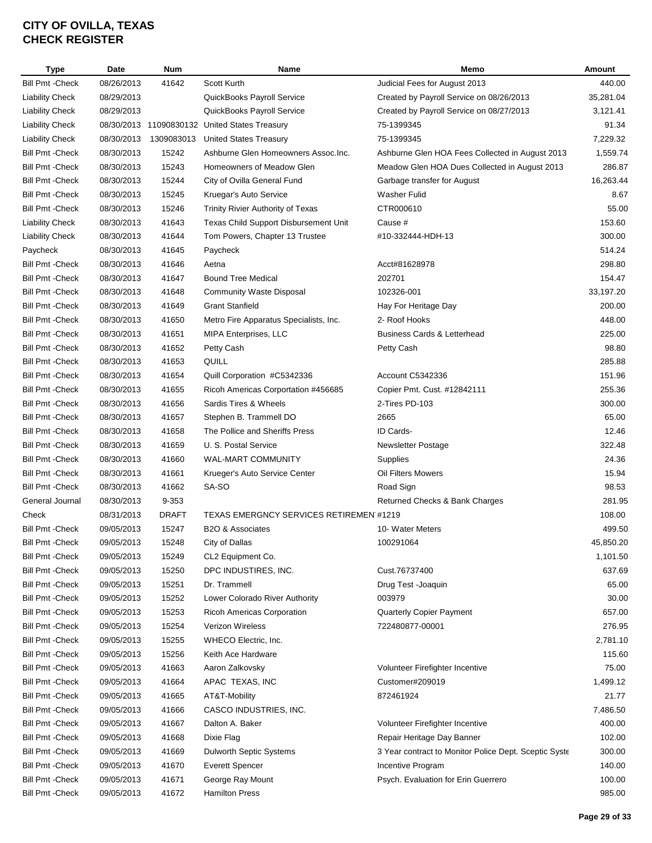| <b>Type</b>             | Date       | <b>Num</b>   | Name                                           | Memo                                                  | Amount    |
|-------------------------|------------|--------------|------------------------------------------------|-------------------------------------------------------|-----------|
| <b>Bill Pmt - Check</b> | 08/26/2013 | 41642        | Scott Kurth                                    | Judicial Fees for August 2013                         | 440.00    |
| <b>Liability Check</b>  | 08/29/2013 |              | QuickBooks Payroll Service                     | Created by Payroll Service on 08/26/2013              | 35,281.04 |
| <b>Liability Check</b>  | 08/29/2013 |              | QuickBooks Payroll Service                     | Created by Payroll Service on 08/27/2013              | 3,121.41  |
| <b>Liability Check</b>  | 08/30/2013 |              | 11090830132 United States Treasury             | 75-1399345                                            | 91.34     |
| <b>Liability Check</b>  | 08/30/2013 | 1309083013   | <b>United States Treasury</b>                  | 75-1399345                                            | 7,229.32  |
| <b>Bill Pmt - Check</b> | 08/30/2013 | 15242        | Ashburne Glen Homeowners Assoc.Inc.            | Ashburne Glen HOA Fees Collected in August 2013       | 1,559.74  |
| <b>Bill Pmt - Check</b> | 08/30/2013 | 15243        | Homeowners of Meadow Glen                      | Meadow Glen HOA Dues Collected in August 2013         | 286.87    |
| <b>Bill Pmt - Check</b> | 08/30/2013 | 15244        | City of Ovilla General Fund                    | Garbage transfer for August                           | 16,263.44 |
| <b>Bill Pmt - Check</b> | 08/30/2013 | 15245        | Kruegar's Auto Service                         | <b>Washer Fulid</b>                                   | 8.67      |
| <b>Bill Pmt - Check</b> | 08/30/2013 | 15246        | Trinity Rivier Authority of Texas              | CTR000610                                             | 55.00     |
| <b>Liability Check</b>  | 08/30/2013 | 41643        | Texas Child Support Disbursement Unit          | Cause #                                               | 153.60    |
| <b>Liability Check</b>  | 08/30/2013 | 41644        | Tom Powers, Chapter 13 Trustee                 | #10-332444-HDH-13                                     | 300.00    |
| Paycheck                | 08/30/2013 | 41645        | Paycheck                                       |                                                       | 514.24    |
| <b>Bill Pmt - Check</b> | 08/30/2013 | 41646        | Aetna                                          | Acct#81628978                                         | 298.80    |
| <b>Bill Pmt - Check</b> | 08/30/2013 | 41647        | <b>Bound Tree Medical</b>                      | 202701                                                | 154.47    |
| <b>Bill Pmt - Check</b> | 08/30/2013 | 41648        | <b>Community Waste Disposal</b>                | 102326-001                                            | 33,197.20 |
| <b>Bill Pmt - Check</b> | 08/30/2013 | 41649        | <b>Grant Stanfield</b>                         | Hay For Heritage Day                                  | 200.00    |
| <b>Bill Pmt - Check</b> | 08/30/2013 | 41650        | Metro Fire Apparatus Specialists, Inc.         | 2- Roof Hooks                                         | 448.00    |
| <b>Bill Pmt - Check</b> | 08/30/2013 | 41651        | MIPA Enterprises, LLC                          | <b>Business Cards &amp; Letterhead</b>                | 225.00    |
| <b>Bill Pmt - Check</b> | 08/30/2013 | 41652        | Petty Cash                                     | Petty Cash                                            | 98.80     |
| <b>Bill Pmt - Check</b> | 08/30/2013 | 41653        | QUILL                                          |                                                       | 285.88    |
| <b>Bill Pmt - Check</b> | 08/30/2013 | 41654        | Quill Corporation #C5342336                    | Account C5342336                                      | 151.96    |
| <b>Bill Pmt - Check</b> | 08/30/2013 | 41655        | Ricoh Americas Corportation #456685            | Copier Pmt. Cust. #12842111                           | 255.36    |
| <b>Bill Pmt - Check</b> | 08/30/2013 | 41656        | Sardis Tires & Wheels                          | 2-Tires PD-103                                        | 300.00    |
| <b>Bill Pmt - Check</b> | 08/30/2013 | 41657        | Stephen B. Trammell DO                         | 2665                                                  | 65.00     |
| <b>Bill Pmt - Check</b> | 08/30/2013 | 41658        | The Pollice and Sheriffs Press                 | ID Cards-                                             | 12.46     |
| <b>Bill Pmt - Check</b> | 08/30/2013 | 41659        | U. S. Postal Service                           | Newsletter Postage                                    | 322.48    |
| <b>Bill Pmt - Check</b> | 08/30/2013 | 41660        | WAL-MART COMMUNITY                             | Supplies                                              | 24.36     |
| <b>Bill Pmt - Check</b> | 08/30/2013 | 41661        | Krueger's Auto Service Center                  | Oil Filters Mowers                                    | 15.94     |
| <b>Bill Pmt - Check</b> | 08/30/2013 | 41662        | SA-SO                                          | Road Sign                                             | 98.53     |
| General Journal         | 08/30/2013 | 9-353        |                                                |                                                       | 281.95    |
| Check                   | 08/31/2013 | <b>DRAFT</b> | <b>TEXAS EMERGNCY SERVICES RETIREMEN #1219</b> | Returned Checks & Bank Charges                        | 108.00    |
|                         |            |              |                                                |                                                       |           |
| <b>Bill Pmt - Check</b> | 09/05/2013 | 15247        | B2O & Associates                               | 10- Water Meters                                      | 499.50    |
| <b>Bill Pmt - Check</b> | 09/05/2013 | 15248        | City of Dallas                                 | 100291064                                             | 45,850.20 |
| <b>Bill Pmt - Check</b> | 09/05/2013 | 15249        | CL2 Equipment Co.                              |                                                       | 1,101.50  |
| <b>Bill Pmt - Check</b> | 09/05/2013 | 15250        | DPC INDUSTIRES, INC.                           | Cust.76737400                                         | 637.69    |
| <b>Bill Pmt - Check</b> | 09/05/2013 | 15251        | Dr. Trammell                                   | Drug Test -Joaquin                                    | 65.00     |
| <b>Bill Pmt - Check</b> | 09/05/2013 | 15252        | Lower Colorado River Authority                 | 003979                                                | 30.00     |
| <b>Bill Pmt - Check</b> | 09/05/2013 | 15253        | <b>Ricoh Americas Corporation</b>              | Quarterly Copier Payment                              | 657.00    |
| <b>Bill Pmt - Check</b> | 09/05/2013 | 15254        | Verizon Wireless                               | 722480877-00001                                       | 276.95    |
| <b>Bill Pmt - Check</b> | 09/05/2013 | 15255        | <b>WHECO Electric, Inc.</b>                    |                                                       | 2,781.10  |
| <b>Bill Pmt - Check</b> | 09/05/2013 | 15256        | Keith Ace Hardware                             |                                                       | 115.60    |
| <b>Bill Pmt - Check</b> | 09/05/2013 | 41663        | Aaron Zalkovsky                                | Volunteer Firefighter Incentive                       | 75.00     |
| <b>Bill Pmt - Check</b> | 09/05/2013 | 41664        | APAC TEXAS, INC                                | Customer#209019                                       | 1,499.12  |
| <b>Bill Pmt - Check</b> | 09/05/2013 | 41665        | AT&T-Mobility                                  | 872461924                                             | 21.77     |
| <b>Bill Pmt - Check</b> | 09/05/2013 | 41666        | CASCO INDUSTRIES, INC.                         |                                                       | 7,486.50  |
| <b>Bill Pmt - Check</b> | 09/05/2013 | 41667        | Dalton A. Baker                                | Volunteer Firefighter Incentive                       | 400.00    |
| <b>Bill Pmt - Check</b> | 09/05/2013 | 41668        | Dixie Flag                                     | Repair Heritage Day Banner                            | 102.00    |
| <b>Bill Pmt - Check</b> | 09/05/2013 | 41669        | <b>Dulworth Septic Systems</b>                 | 3 Year contract to Monitor Police Dept. Sceptic Syste | 300.00    |
| <b>Bill Pmt - Check</b> | 09/05/2013 | 41670        | <b>Everett Spencer</b>                         | Incentive Program                                     | 140.00    |
| <b>Bill Pmt - Check</b> | 09/05/2013 | 41671        | George Ray Mount                               | Psych. Evaluation for Erin Guerrero                   | 100.00    |
| <b>Bill Pmt - Check</b> | 09/05/2013 | 41672        | <b>Hamilton Press</b>                          |                                                       | 985.00    |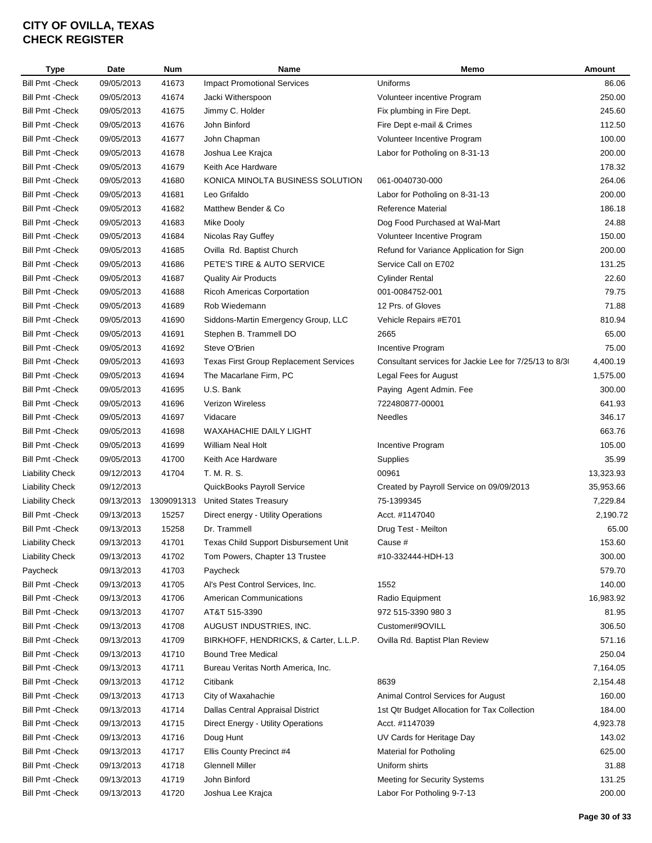| <b>Type</b>             | Date       | <b>Num</b> | Name                                          | Memo                                                  | Amount    |
|-------------------------|------------|------------|-----------------------------------------------|-------------------------------------------------------|-----------|
| <b>Bill Pmt - Check</b> | 09/05/2013 | 41673      | <b>Impact Promotional Services</b>            | Uniforms                                              | 86.06     |
| <b>Bill Pmt - Check</b> | 09/05/2013 | 41674      | Jacki Witherspoon                             | Volunteer incentive Program                           | 250.00    |
| <b>Bill Pmt - Check</b> | 09/05/2013 | 41675      | Jimmy C. Holder                               | Fix plumbing in Fire Dept.                            | 245.60    |
| <b>Bill Pmt - Check</b> | 09/05/2013 | 41676      | John Binford                                  | Fire Dept e-mail & Crimes                             | 112.50    |
| <b>Bill Pmt - Check</b> | 09/05/2013 | 41677      | John Chapman                                  | Volunteer Incentive Program                           | 100.00    |
| <b>Bill Pmt - Check</b> | 09/05/2013 | 41678      | Joshua Lee Krajca                             | Labor for Potholing on 8-31-13                        | 200.00    |
| <b>Bill Pmt - Check</b> | 09/05/2013 | 41679      | Keith Ace Hardware                            |                                                       | 178.32    |
| <b>Bill Pmt - Check</b> | 09/05/2013 | 41680      | KONICA MINOLTA BUSINESS SOLUTION              | 061-0040730-000                                       | 264.06    |
| <b>Bill Pmt - Check</b> | 09/05/2013 | 41681      | Leo Grifaldo                                  | Labor for Potholing on 8-31-13                        | 200.00    |
| <b>Bill Pmt - Check</b> | 09/05/2013 | 41682      | Matthew Bender & Co                           | <b>Reference Material</b>                             | 186.18    |
| <b>Bill Pmt - Check</b> | 09/05/2013 | 41683      | Mike Dooly                                    | Dog Food Purchased at Wal-Mart                        | 24.88     |
| <b>Bill Pmt - Check</b> | 09/05/2013 | 41684      | Nicolas Ray Guffey                            | Volunteer Incentive Program                           | 150.00    |
| <b>Bill Pmt - Check</b> | 09/05/2013 | 41685      | Ovilla Rd. Baptist Church                     | Refund for Variance Application for Sign              | 200.00    |
| <b>Bill Pmt - Check</b> | 09/05/2013 | 41686      | PETE'S TIRE & AUTO SERVICE                    | Service Call on E702                                  | 131.25    |
| <b>Bill Pmt - Check</b> | 09/05/2013 | 41687      | <b>Quality Air Products</b>                   | <b>Cylinder Rental</b>                                | 22.60     |
| <b>Bill Pmt - Check</b> | 09/05/2013 | 41688      | Ricoh Americas Corportation                   | 001-0084752-001                                       | 79.75     |
| <b>Bill Pmt - Check</b> | 09/05/2013 | 41689      | Rob Wiedemann                                 | 12 Prs. of Gloves                                     | 71.88     |
| <b>Bill Pmt - Check</b> | 09/05/2013 | 41690      | Siddons-Martin Emergency Group, LLC           | Vehicle Repairs #E701                                 | 810.94    |
| <b>Bill Pmt - Check</b> | 09/05/2013 | 41691      | Stephen B. Trammell DO                        | 2665                                                  | 65.00     |
| <b>Bill Pmt - Check</b> | 09/05/2013 | 41692      | Steve O'Brien                                 | Incentive Program                                     | 75.00     |
| <b>Bill Pmt - Check</b> | 09/05/2013 | 41693      | <b>Texas First Group Replacement Services</b> | Consultant services for Jackie Lee for 7/25/13 to 8/3 | 4,400.19  |
| <b>Bill Pmt - Check</b> | 09/05/2013 | 41694      | The Macarlane Firm, PC                        | Legal Fees for August                                 | 1,575.00  |
| <b>Bill Pmt - Check</b> | 09/05/2013 | 41695      | U.S. Bank                                     | Paying Agent Admin. Fee                               | 300.00    |
| <b>Bill Pmt - Check</b> | 09/05/2013 | 41696      | Verizon Wireless                              | 722480877-00001                                       | 641.93    |
| <b>Bill Pmt - Check</b> | 09/05/2013 | 41697      | Vidacare                                      | <b>Needles</b>                                        | 346.17    |
| <b>Bill Pmt - Check</b> | 09/05/2013 | 41698      | <b>WAXAHACHIE DAILY LIGHT</b>                 |                                                       | 663.76    |
| <b>Bill Pmt - Check</b> | 09/05/2013 | 41699      | <b>William Neal Holt</b>                      | Incentive Program                                     | 105.00    |
| <b>Bill Pmt - Check</b> | 09/05/2013 | 41700      | Keith Ace Hardware                            | Supplies                                              | 35.99     |
| <b>Liability Check</b>  | 09/12/2013 | 41704      | T. M. R. S.                                   | 00961                                                 | 13,323.93 |
| <b>Liability Check</b>  | 09/12/2013 |            | QuickBooks Payroll Service                    | Created by Payroll Service on 09/09/2013              | 35,953.66 |
| <b>Liability Check</b>  | 09/13/2013 | 1309091313 | <b>United States Treasury</b>                 | 75-1399345                                            | 7,229.84  |
| <b>Bill Pmt - Check</b> | 09/13/2013 | 15257      | Direct energy - Utility Operations            | Acct. #1147040                                        | 2,190.72  |
| <b>Bill Pmt - Check</b> | 09/13/2013 | 15258      | Dr. Trammell                                  | Drug Test - Meilton                                   | 65.00     |
| <b>Liability Check</b>  | 09/13/2013 | 41701      | Texas Child Support Disbursement Unit         | Cause #                                               | 153.60    |
| Liability Check         | 09/13/2013 | 41702      | Tom Powers, Chapter 13 Trustee                | #10-332444-HDH-13                                     | 300.00    |
| Paycheck                | 09/13/2013 | 41703      | Paycheck                                      |                                                       | 579.70    |
| <b>Bill Pmt - Check</b> | 09/13/2013 | 41705      | Al's Pest Control Services, Inc.              | 1552                                                  | 140.00    |
| <b>Bill Pmt - Check</b> | 09/13/2013 | 41706      | <b>American Communications</b>                | Radio Equipment                                       | 16,983.92 |
| <b>Bill Pmt - Check</b> | 09/13/2013 | 41707      | AT&T 515-3390                                 | 972 515-3390 980 3                                    | 81.95     |
| <b>Bill Pmt - Check</b> | 09/13/2013 | 41708      | AUGUST INDUSTRIES, INC.                       | Customer#9OVILL                                       | 306.50    |
| <b>Bill Pmt - Check</b> | 09/13/2013 | 41709      | BIRKHOFF, HENDRICKS, & Carter, L.L.P.         | Ovilla Rd. Baptist Plan Review                        | 571.16    |
| <b>Bill Pmt - Check</b> | 09/13/2013 | 41710      | <b>Bound Tree Medical</b>                     |                                                       | 250.04    |
| <b>Bill Pmt - Check</b> | 09/13/2013 | 41711      | Bureau Veritas North America, Inc.            |                                                       | 7,164.05  |
| <b>Bill Pmt - Check</b> | 09/13/2013 | 41712      | Citibank                                      | 8639                                                  | 2,154.48  |
| <b>Bill Pmt - Check</b> | 09/13/2013 | 41713      | City of Waxahachie                            | Animal Control Services for August                    | 160.00    |
| <b>Bill Pmt - Check</b> | 09/13/2013 | 41714      | Dallas Central Appraisal District             | 1st Qtr Budget Allocation for Tax Collection          | 184.00    |
| <b>Bill Pmt - Check</b> | 09/13/2013 | 41715      | Direct Energy - Utility Operations            | Acct. #1147039                                        | 4,923.78  |
| <b>Bill Pmt - Check</b> | 09/13/2013 | 41716      | Doug Hunt                                     | UV Cards for Heritage Day                             | 143.02    |
| <b>Bill Pmt - Check</b> | 09/13/2013 | 41717      | Ellis County Precinct #4                      | <b>Material for Potholing</b>                         | 625.00    |
| <b>Bill Pmt - Check</b> | 09/13/2013 | 41718      | <b>Glennell Miller</b>                        | Uniform shirts                                        | 31.88     |
|                         |            |            | John Binford                                  |                                                       |           |
| <b>Bill Pmt - Check</b> | 09/13/2013 | 41719      |                                               | Meeting for Security Systems                          | 131.25    |
| Bill Pmt - Check        | 09/13/2013 | 41720      | Joshua Lee Krajca                             | Labor For Potholing 9-7-13                            | 200.00    |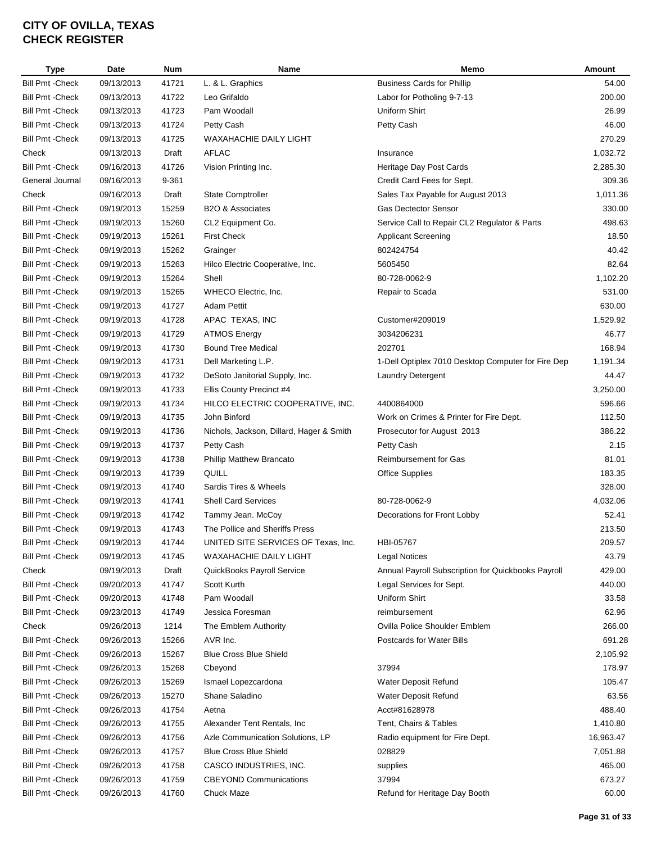| <b>Type</b>                                        | Date       | <b>Num</b> | Name                                     | Memo                                               | Amount    |
|----------------------------------------------------|------------|------------|------------------------------------------|----------------------------------------------------|-----------|
| <b>Bill Pmt - Check</b>                            | 09/13/2013 | 41721      | L. & L. Graphics                         | <b>Business Cards for Phillip</b>                  | 54.00     |
| <b>Bill Pmt - Check</b>                            | 09/13/2013 | 41722      | Leo Grifaldo                             | Labor for Potholing 9-7-13                         | 200.00    |
| <b>Bill Pmt - Check</b>                            | 09/13/2013 | 41723      | Pam Woodall                              | Uniform Shirt                                      | 26.99     |
| <b>Bill Pmt - Check</b>                            | 09/13/2013 | 41724      | Petty Cash                               | Petty Cash                                         | 46.00     |
| <b>Bill Pmt - Check</b>                            | 09/13/2013 | 41725      | <b>WAXAHACHIE DAILY LIGHT</b>            |                                                    | 270.29    |
| Check                                              | 09/13/2013 | Draft      | AFLAC                                    | Insurance                                          | 1,032.72  |
| <b>Bill Pmt - Check</b>                            | 09/16/2013 | 41726      | Vision Printing Inc.                     | Heritage Day Post Cards                            | 2,285.30  |
| General Journal                                    | 09/16/2013 | 9-361      |                                          | Credit Card Fees for Sept.                         | 309.36    |
| Check                                              | 09/16/2013 | Draft      | <b>State Comptroller</b>                 | Sales Tax Payable for August 2013                  | 1,011.36  |
| <b>Bill Pmt - Check</b>                            | 09/19/2013 | 15259      | B2O & Associates                         | <b>Gas Dectector Sensor</b>                        | 330.00    |
| <b>Bill Pmt - Check</b>                            | 09/19/2013 | 15260      | CL2 Equipment Co.                        | Service Call to Repair CL2 Regulator & Parts       | 498.63    |
| <b>Bill Pmt - Check</b>                            | 09/19/2013 | 15261      | <b>First Check</b>                       | <b>Applicant Screening</b>                         | 18.50     |
| <b>Bill Pmt - Check</b>                            | 09/19/2013 | 15262      | Grainger                                 | 802424754                                          | 40.42     |
| <b>Bill Pmt - Check</b>                            | 09/19/2013 | 15263      | Hilco Electric Cooperative, Inc.         | 5605450                                            | 82.64     |
| <b>Bill Pmt - Check</b>                            | 09/19/2013 | 15264      | Shell                                    | 80-728-0062-9                                      | 1,102.20  |
| <b>Bill Pmt - Check</b>                            | 09/19/2013 | 15265      | WHECO Electric, Inc.                     | Repair to Scada                                    | 531.00    |
| <b>Bill Pmt - Check</b>                            | 09/19/2013 | 41727      | Adam Pettit                              |                                                    | 630.00    |
| <b>Bill Pmt - Check</b>                            | 09/19/2013 | 41728      | APAC TEXAS, INC                          | Customer#209019                                    | 1,529.92  |
| <b>Bill Pmt - Check</b>                            | 09/19/2013 | 41729      | <b>ATMOS Energy</b>                      | 3034206231                                         | 46.77     |
|                                                    |            | 41730      | <b>Bound Tree Medical</b>                | 202701                                             | 168.94    |
| <b>Bill Pmt - Check</b><br><b>Bill Pmt - Check</b> | 09/19/2013 |            |                                          |                                                    |           |
|                                                    | 09/19/2013 | 41731      | Dell Marketing L.P.                      | 1-Dell Optiplex 7010 Desktop Computer for Fire Dep | 1,191.34  |
| <b>Bill Pmt - Check</b>                            | 09/19/2013 | 41732      | DeSoto Janitorial Supply, Inc.           | <b>Laundry Detergent</b>                           | 44.47     |
| <b>Bill Pmt - Check</b>                            | 09/19/2013 | 41733      | Ellis County Precinct #4                 |                                                    | 3,250.00  |
| <b>Bill Pmt - Check</b>                            | 09/19/2013 | 41734      | HILCO ELECTRIC COOPERATIVE, INC.         | 4400864000                                         | 596.66    |
| <b>Bill Pmt - Check</b>                            | 09/19/2013 | 41735      | John Binford                             | Work on Crimes & Printer for Fire Dept.            | 112.50    |
| <b>Bill Pmt - Check</b>                            | 09/19/2013 | 41736      | Nichols, Jackson, Dillard, Hager & Smith | Prosecutor for August 2013                         | 386.22    |
| <b>Bill Pmt - Check</b>                            | 09/19/2013 | 41737      | Petty Cash                               | Petty Cash                                         | 2.15      |
| <b>Bill Pmt - Check</b>                            | 09/19/2013 | 41738      | Phillip Matthew Brancato                 | Reimbursement for Gas                              | 81.01     |
| <b>Bill Pmt - Check</b>                            | 09/19/2013 | 41739      | QUILL                                    | <b>Office Supplies</b>                             | 183.35    |
| <b>Bill Pmt - Check</b>                            | 09/19/2013 | 41740      | Sardis Tires & Wheels                    |                                                    | 328.00    |
| <b>Bill Pmt - Check</b>                            | 09/19/2013 | 41741      | <b>Shell Card Services</b>               | 80-728-0062-9                                      | 4,032.06  |
| <b>Bill Pmt - Check</b>                            | 09/19/2013 | 41742      | Tammy Jean. McCoy                        | Decorations for Front Lobby                        | 52.41     |
| <b>Bill Pmt - Check</b>                            | 09/19/2013 | 41743      | The Pollice and Sheriffs Press           |                                                    | 213.50    |
| <b>Bill Pmt - Check</b>                            | 09/19/2013 | 41744      | UNITED SITE SERVICES OF Texas, Inc.      | HBI-05767                                          | 209.57    |
| <b>Bill Pmt - Check</b>                            | 09/19/2013 | 41745      | WAXAHACHIE DAILY LIGHT                   | Legal Notices                                      | 43.79     |
| Check                                              | 09/19/2013 | Draft      | QuickBooks Payroll Service               | Annual Payroll Subscription for Quickbooks Payroll | 429.00    |
| <b>Bill Pmt - Check</b>                            | 09/20/2013 | 41747      | Scott Kurth                              | Legal Services for Sept.                           | 440.00    |
| <b>Bill Pmt - Check</b>                            | 09/20/2013 | 41748      | Pam Woodall                              | Uniform Shirt                                      | 33.58     |
| Bill Pmt -Check                                    | 09/23/2013 | 41749      | Jessica Foresman                         | reimbursement                                      | 62.96     |
| Check                                              | 09/26/2013 | 1214       | The Emblem Authority                     | Ovilla Police Shoulder Emblem                      | 266.00    |
| Bill Pmt -Check                                    | 09/26/2013 | 15266      | AVR Inc.                                 | <b>Postcards for Water Bills</b>                   | 691.28    |
| Bill Pmt -Check                                    | 09/26/2013 | 15267      | <b>Blue Cross Blue Shield</b>            |                                                    | 2,105.92  |
| <b>Bill Pmt - Check</b>                            | 09/26/2013 | 15268      | Cbeyond                                  | 37994                                              | 178.97    |
| <b>Bill Pmt - Check</b>                            | 09/26/2013 | 15269      | Ismael Lopezcardona                      | Water Deposit Refund                               | 105.47    |
| Bill Pmt - Check                                   | 09/26/2013 | 15270      | Shane Saladino                           | Water Deposit Refund                               | 63.56     |
| <b>Bill Pmt - Check</b>                            | 09/26/2013 | 41754      | Aetna                                    | Acct#81628978                                      | 488.40    |
| <b>Bill Pmt - Check</b>                            | 09/26/2013 | 41755      | Alexander Tent Rentals, Inc              | Tent, Chairs & Tables                              | 1,410.80  |
| <b>Bill Pmt - Check</b>                            | 09/26/2013 | 41756      | Azle Communication Solutions, LP         | Radio equipment for Fire Dept.                     | 16,963.47 |
| <b>Bill Pmt - Check</b>                            | 09/26/2013 | 41757      | <b>Blue Cross Blue Shield</b>            | 028829                                             | 7,051.88  |
| <b>Bill Pmt - Check</b>                            | 09/26/2013 | 41758      | CASCO INDUSTRIES, INC.                   | supplies                                           | 465.00    |
| <b>Bill Pmt - Check</b>                            | 09/26/2013 | 41759      | <b>CBEYOND Communications</b>            | 37994                                              | 673.27    |
| <b>Bill Pmt - Check</b>                            | 09/26/2013 | 41760      | Chuck Maze                               | Refund for Heritage Day Booth                      | 60.00     |
|                                                    |            |            |                                          |                                                    |           |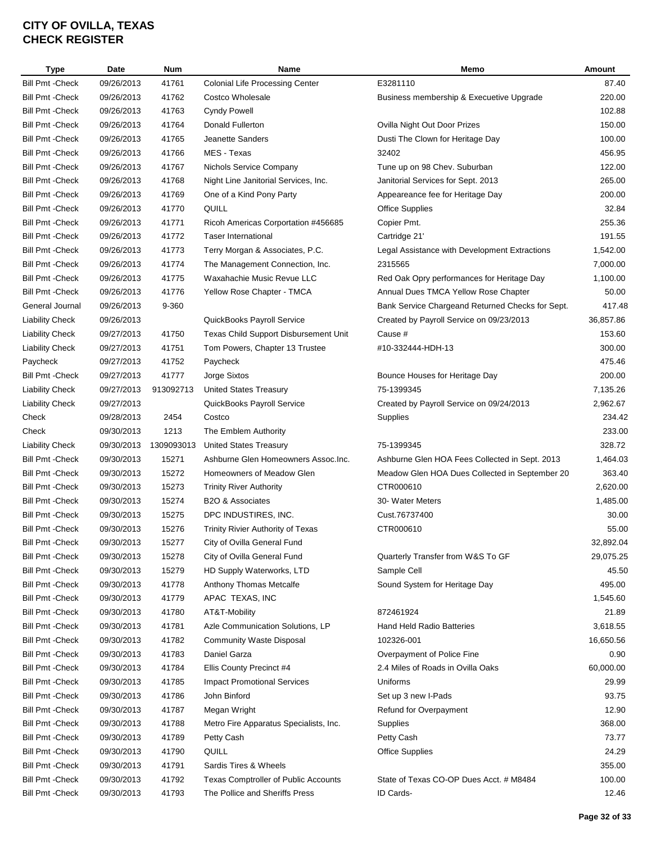| <b>Type</b>                                        | Date       | <b>Num</b>     | Name                                     | Memo                                             | Amount            |
|----------------------------------------------------|------------|----------------|------------------------------------------|--------------------------------------------------|-------------------|
| <b>Bill Pmt - Check</b>                            | 09/26/2013 | 41761          | <b>Colonial Life Processing Center</b>   | E3281110                                         | 87.40             |
| <b>Bill Pmt - Check</b>                            | 09/26/2013 | 41762          | Costco Wholesale                         | Business membership & Execuetive Upgrade         | 220.00            |
| <b>Bill Pmt - Check</b>                            | 09/26/2013 | 41763          | <b>Cyndy Powell</b>                      |                                                  | 102.88            |
| <b>Bill Pmt - Check</b>                            | 09/26/2013 | 41764          | Donald Fullerton                         | Ovilla Night Out Door Prizes                     | 150.00            |
| <b>Bill Pmt - Check</b>                            | 09/26/2013 | 41765          | <b>Jeanette Sanders</b>                  | Dusti The Clown for Heritage Day                 | 100.00            |
| <b>Bill Pmt - Check</b>                            | 09/26/2013 | 41766          | MES - Texas                              | 32402                                            | 456.95            |
| Bill Pmt - Check                                   | 09/26/2013 | 41767          | Nichols Service Company                  | Tune up on 98 Chev. Suburban                     | 122.00            |
| <b>Bill Pmt - Check</b>                            | 09/26/2013 | 41768          | Night Line Janitorial Services, Inc.     | Janitorial Services for Sept. 2013               | 265.00            |
| <b>Bill Pmt - Check</b>                            | 09/26/2013 | 41769          | One of a Kind Pony Party                 | Appeareance fee for Heritage Day                 | 200.00            |
| <b>Bill Pmt - Check</b>                            | 09/26/2013 | 41770          | QUILL                                    | <b>Office Supplies</b>                           | 32.84             |
| <b>Bill Pmt - Check</b>                            | 09/26/2013 | 41771          | Ricoh Americas Corportation #456685      | Copier Pmt.                                      | 255.36            |
| <b>Bill Pmt - Check</b>                            | 09/26/2013 | 41772          | <b>Taser International</b>               | Cartridge 21'                                    | 191.55            |
| <b>Bill Pmt - Check</b>                            | 09/26/2013 | 41773          | Terry Morgan & Associates, P.C.          | Legal Assistance with Development Extractions    | 1,542.00          |
| <b>Bill Pmt - Check</b>                            | 09/26/2013 | 41774          | The Management Connection, Inc.          | 2315565                                          | 7,000.00          |
| <b>Bill Pmt - Check</b>                            | 09/26/2013 | 41775          | Waxahachie Music Revue LLC               | Red Oak Opry performances for Heritage Day       | 1,100.00          |
| <b>Bill Pmt - Check</b>                            | 09/26/2013 | 41776          | Yellow Rose Chapter - TMCA               | Annual Dues TMCA Yellow Rose Chapter             | 50.00             |
| General Journal                                    | 09/26/2013 | 9-360          |                                          | Bank Service Chargeand Returned Checks for Sept. | 417.48            |
| <b>Liability Check</b>                             | 09/26/2013 |                | QuickBooks Payroll Service               | Created by Payroll Service on 09/23/2013         | 36,857.86         |
| <b>Liability Check</b>                             | 09/27/2013 | 41750          | Texas Child Support Disbursement Unit    | Cause #                                          | 153.60            |
| <b>Liability Check</b>                             | 09/27/2013 | 41751          | Tom Powers, Chapter 13 Trustee           | #10-332444-HDH-13                                | 300.00            |
| Paycheck                                           | 09/27/2013 | 41752          | Paycheck                                 |                                                  | 475.46            |
| <b>Bill Pmt - Check</b>                            | 09/27/2013 | 41777          | Jorge Sixtos                             | Bounce Houses for Heritage Day                   | 200.00            |
| <b>Liability Check</b>                             | 09/27/2013 | 913092713      | <b>United States Treasury</b>            | 75-1399345                                       | 7,135.26          |
| <b>Liability Check</b>                             | 09/27/2013 |                | QuickBooks Payroll Service               | Created by Payroll Service on 09/24/2013         | 2,962.67          |
| Check                                              | 09/28/2013 | 2454           | Costco                                   | Supplies                                         | 234.42            |
| Check                                              | 09/30/2013 | 1213           | The Emblem Authority                     |                                                  | 233.00            |
| <b>Liability Check</b>                             | 09/30/2013 | 1309093013     | <b>United States Treasury</b>            | 75-1399345                                       | 328.72            |
| <b>Bill Pmt - Check</b>                            | 09/30/2013 | 15271          | Ashburne Glen Homeowners Assoc.Inc.      | Ashburne Glen HOA Fees Collected in Sept. 2013   | 1,464.03          |
| <b>Bill Pmt - Check</b>                            | 09/30/2013 | 15272          | Homeowners of Meadow Glen                | Meadow Glen HOA Dues Collected in September 20   | 363.40            |
| <b>Bill Pmt - Check</b>                            | 09/30/2013 | 15273          | <b>Trinity River Authority</b>           | CTR000610                                        | 2,620.00          |
| <b>Bill Pmt - Check</b>                            | 09/30/2013 | 15274          | <b>B2O &amp; Associates</b>              | 30- Water Meters                                 | 1,485.00          |
| <b>Bill Pmt - Check</b>                            | 09/30/2013 | 15275          | DPC INDUSTIRES, INC.                     | Cust.76737400                                    | 30.00             |
| <b>Bill Pmt - Check</b>                            | 09/30/2013 | 15276          | <b>Trinity Rivier Authority of Texas</b> | CTR000610                                        | 55.00             |
| <b>Bill Pmt - Check</b>                            | 09/30/2013 | 15277          | City of Ovilla General Fund              |                                                  | 32,892.04         |
| Bill Pmt -Check                                    | 09/30/2013 | 15278          | City of Ovilla General Fund              | Quarterly Transfer from W&S To GF                | 29,075.25         |
| <b>Bill Pmt - Check</b>                            | 09/30/2013 | 15279          | HD Supply Waterworks, LTD                | Sample Cell                                      | 45.50             |
| <b>Bill Pmt - Check</b>                            | 09/30/2013 | 41778          | Anthony Thomas Metcalfe                  | Sound System for Heritage Day                    | 495.00            |
|                                                    | 09/30/2013 |                |                                          |                                                  |                   |
| <b>Bill Pmt - Check</b><br><b>Bill Pmt - Check</b> | 09/30/2013 | 41779<br>41780 | APAC TEXAS, INC<br>AT&T-Mobility         | 872461924                                        | 1,545.60<br>21.89 |
|                                                    | 09/30/2013 |                |                                          |                                                  |                   |
| <b>Bill Pmt - Check</b>                            |            | 41781          | Azle Communication Solutions, LP         | Hand Held Radio Batteries                        | 3,618.55          |
| <b>Bill Pmt - Check</b>                            | 09/30/2013 | 41782          | <b>Community Waste Disposal</b>          | 102326-001                                       | 16,650.56         |
| <b>Bill Pmt - Check</b>                            | 09/30/2013 | 41783          | Daniel Garza                             | Overpayment of Police Fine                       | 0.90              |
| <b>Bill Pmt - Check</b>                            | 09/30/2013 | 41784          | Ellis County Precinct #4                 | 2.4 Miles of Roads in Ovilla Oaks                | 60,000.00         |
| <b>Bill Pmt - Check</b>                            | 09/30/2013 | 41785          | <b>Impact Promotional Services</b>       | Uniforms                                         | 29.99             |
| <b>Bill Pmt - Check</b>                            | 09/30/2013 | 41786          | John Binford                             | Set up 3 new I-Pads                              | 93.75             |
| <b>Bill Pmt - Check</b>                            | 09/30/2013 | 41787          | Megan Wright                             | Refund for Overpayment                           | 12.90             |
| <b>Bill Pmt - Check</b>                            | 09/30/2013 | 41788          | Metro Fire Apparatus Specialists, Inc.   | Supplies                                         | 368.00            |
| <b>Bill Pmt - Check</b>                            | 09/30/2013 | 41789          | Petty Cash                               | Petty Cash                                       | 73.77             |
| <b>Bill Pmt - Check</b>                            | 09/30/2013 | 41790          | QUILL                                    | <b>Office Supplies</b>                           | 24.29             |
| <b>Bill Pmt - Check</b>                            | 09/30/2013 | 41791          | Sardis Tires & Wheels                    |                                                  | 355.00            |
| <b>Bill Pmt - Check</b>                            | 09/30/2013 | 41792          | Texas Comptroller of Public Accounts     | State of Texas CO-OP Dues Acct. # M8484          | 100.00            |
| <b>Bill Pmt - Check</b>                            | 09/30/2013 | 41793          | The Pollice and Sheriffs Press           | ID Cards-                                        | 12.46             |